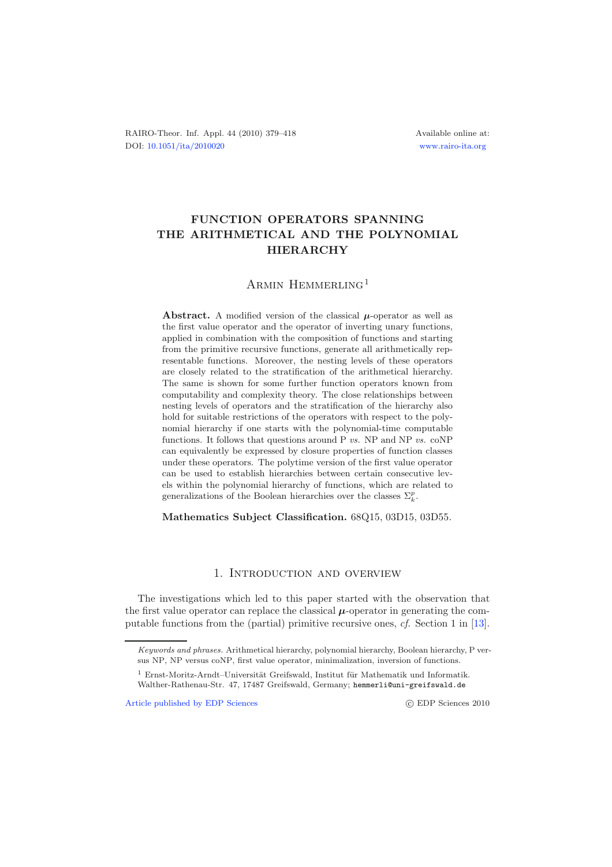RAIRO-Theor. Inf. Appl. 44 (2010) 379–418 Available online at: DOI: [10.1051/ita/2010020](http://dx.doi.org/10.1051/ita/2010020) [www.rairo-ita.org](http://www.rairo-ita.org)

# **FUNCTION OPERATORS SPANNING THE ARITHMETICAL AND THE POLYNOMIAL HIERARCHY**

## ARMIN HEMMERLING<sup>1</sup>

**Abstract.** A modified version of the classical  $\mu$ -operator as well as the first value operator and the operator of inverting unary functions, applied in combination with the composition of functions and starting from the primitive recursive functions, generate all arithmetically representable functions. Moreover, the nesting levels of these operators are closely related to the stratification of the arithmetical hierarchy. The same is shown for some further function operators known from computability and complexity theory. The close relationships between nesting levels of operators and the stratification of the hierarchy also hold for suitable restrictions of the operators with respect to the polynomial hierarchy if one starts with the polynomial-time computable functions. It follows that questions around P *vs.* NP and NP *vs.* coNP can equivalently be expressed by closure properties of function classes under these operators. The polytime version of the first value operator can be used to establish hierarchies between certain consecutive levels within the polynomial hierarchy of functions, which are related to generalizations of the Boolean hierarchies over the classes  $\Sigma_k^p$ .

**Mathematics Subject Classification.** 68Q15, 03D15, 03D55.

### 1. Introduction and overview

The investigations which led to this paper started with the observation that the first value operator can replace the classical  $\mu$ -operator in generating the computable functions from the (partial) primitive recursive ones, *cf.* Section 1 in [\[13\]](#page-39-0).

[Article published by EDP Sciences](http://www.edpsciences.org)

Keywords and phrases. Arithmetical hierarchy, polynomial hierarchy, Boolean hierarchy, P versus NP, NP versus coNP, first value operator, minimalization, inversion of functions.

 $1$  Ernst-Moritz-Arndt–Universität Greifswald, Institut für Mathematik und Informatik. Walther-Rathenau-Str. 47, 17487 Greifswald, Germany; hemmerli@uni-greifswald.de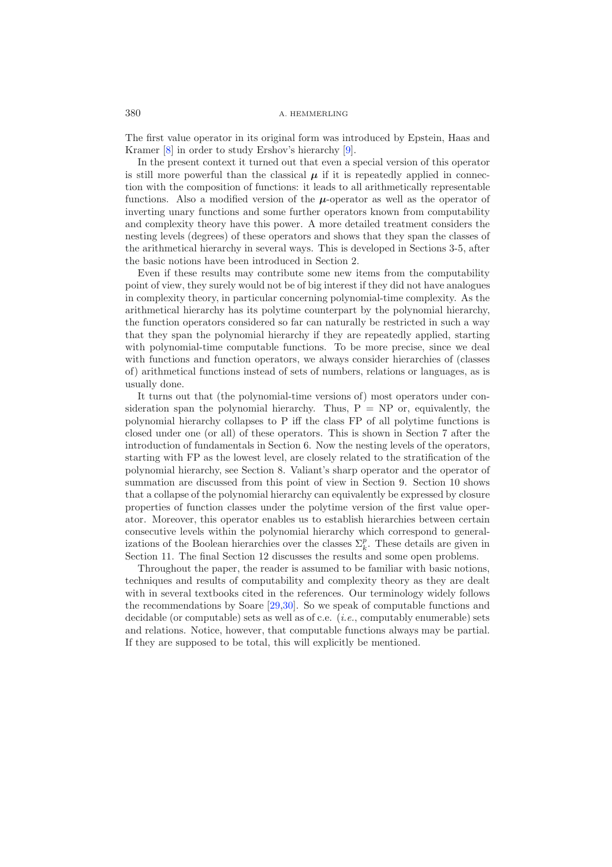The first value operator in its original form was introduced by Epstein, Haas and Kramer [\[8](#page-39-1)] in order to study Ershov's hierarchy [\[9\]](#page-39-2).

In the present context it turned out that even a special version of this operator is still more powerful than the classical  $\mu$  if it is repeatedly applied in connection with the composition of functions: it leads to all arithmetically representable functions. Also a modified version of the  $\mu$ -operator as well as the operator of inverting unary functions and some further operators known from computability and complexity theory have this power. A more detailed treatment considers the nesting levels (degrees) of these operators and shows that they span the classes of the arithmetical hierarchy in several ways. This is developed in Sections 3-5, after the basic notions have been introduced in Section 2.

Even if these results may contribute some new items from the computability point of view, they surely would not be of big interest if they did not have analogues in complexity theory, in particular concerning polynomial-time complexity. As the arithmetical hierarchy has its polytime counterpart by the polynomial hierarchy, the function operators considered so far can naturally be restricted in such a way that they span the polynomial hierarchy if they are repeatedly applied, starting with polynomial-time computable functions. To be more precise, since we deal with functions and function operators, we always consider hierarchies of (classes of) arithmetical functions instead of sets of numbers, relations or languages, as is usually done.

It turns out that (the polynomial-time versions of) most operators under consideration span the polynomial hierarchy. Thus,  $P = NP$  or, equivalently, the polynomial hierarchy collapses to P iff the class FP of all polytime functions is closed under one (or all) of these operators. This is shown in Section 7 after the introduction of fundamentals in Section 6. Now the nesting levels of the operators, starting with FP as the lowest level, are closely related to the stratification of the polynomial hierarchy, see Section 8. Valiant's sharp operator and the operator of summation are discussed from this point of view in Section 9. Section 10 shows that a collapse of the polynomial hierarchy can equivalently be expressed by closure properties of function classes under the polytime version of the first value operator. Moreover, this operator enables us to establish hierarchies between certain consecutive levels within the polynomial hierarchy which correspond to generalizations of the Boolean hierarchies over the classes  $\Sigma_k^p$ . These details are given in<br>Section 11. The final Section 12 discusses the results and some onen problems Section 11. The final Section 12 discusses the results and some open problems.

Throughout the paper, the reader is assumed to be familiar with basic notions, techniques and results of computability and complexity theory as they are dealt with in several textbooks cited in the references. Our terminology widely follows the recommendations by Soare [\[29](#page-39-3)[,30\]](#page-39-4). So we speak of computable functions and decidable (or computable) sets as well as of c.e. (*i.e.*, computably enumerable) sets and relations. Notice, however, that computable functions always may be partial. If they are supposed to be total, this will explicitly be mentioned.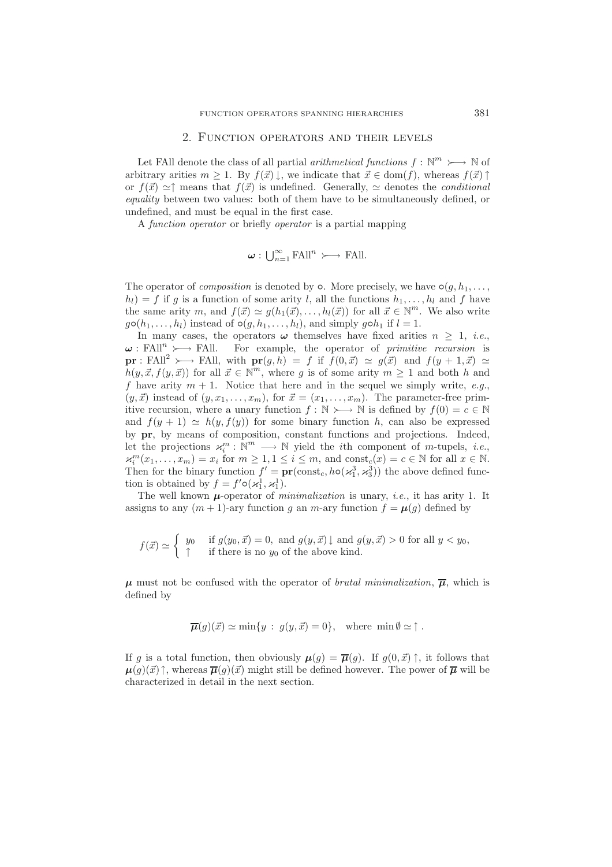#### 2. Function operators and their levels

Let FAll denote the class of all partial *arithmetical functions*  $f: \mathbb{N}^m \rightarrow \mathbb{N}$  of arbitrary arities  $m \geq 1$ . By  $f(\vec{x}) \downarrow$ , we indicate that  $\vec{x} \in \text{dom}(f)$ , whereas  $f(\vec{x}) \uparrow$ or  $f(\vec{x}) \simeq \uparrow$  means that  $f(\vec{x})$  is undefined. Generally,  $\simeq$  denotes the *conditional equality* between two values: both of them have to be simultaneously defined, or undefined, and must be equal in the first case.

A *function operator* or briefly *operator* is a partial mapping

$$
\boldsymbol{\omega} : \bigcup_{n=1}^{\infty} \mathrm{FAll}^n \succ \longrightarrow \mathrm{FAll}.
$$

The operator of *composition* is denoted by  $\circ$ . More precisely, we have  $\circ$ ( $g$ ,  $h_1$ ,...,  $h_l$ ) = f if g is a function of some arity l, all the functions  $h_1, \ldots, h_l$  and f have the same arity m, and  $f(\vec{x}) \simeq g(h_1(\vec{x}), \ldots, h_l(\vec{x}))$  for all  $\vec{x} \in \mathbb{N}^m$ . We also write  $g \circ (h_1, \ldots, h_l)$  instead of  $\circ (g, h_1, \ldots, h_l)$ , and simply g $\circ h_1$  if  $l = 1$ .

In many cases, the operators  $\omega$  themselves have fixed arities  $n > 1$ , *i.e.*,  $\omega$ : FAll<sup>n</sup>  $\rightarrow$  FAll. For example, the operator of *primitive recursion* is **pr** : FAll<sup>2</sup>  $\rightarrow$  FAll, with  $pr(g, h) = f$  if  $f(0, \vec{x}) \simeq g(\vec{x})$  and  $f(y + 1, \vec{x}) \simeq$  $h(y, \vec{x}, f(y, \vec{x}))$  for all  $\vec{x} \in \mathbb{N}^m$ , where g is of some arity  $m \geq 1$  and both h and f have arity  $m + 1$ . Notice that here and in the sequel we simply write, *e.g.*,  $(y, \vec{x})$  instead of  $(y, x_1, \ldots, x_m)$ , for  $\vec{x} = (x_1, \ldots, x_m)$ . The parameter-free prim-<br>iting negation where a unone function  $f \in \mathbb{N}$ ,  $\mathbb{N}$  is defined by  $f(0) = \mathbb{N} \in \mathbb{N}$ . itive recursion, where a unary function  $f: \mathbb{N} \rightarrow \mathbb{N}$  is defined by  $f(0) = c \in \mathbb{N}$ and  $f(y + 1) \simeq h(y, f(y))$  for some binary function h, can also be expressed by **pr**, by means of composition, constant functions and projections. Indeed, let the projections  $\mathcal{K}_i^m : \mathbb{N}^m \longrightarrow \mathbb{N}$  yield the *i*th component of *m*-tupels, *i.e.*,  $\mathcal{K}_i^m(x_1, \ldots, x_n) = x_i$  for  $m > 1, 1 \leq i \leq m$  and const  $(x) = c \in \mathbb{N}$  for all  $x \in \mathbb{N}$  $\varkappa_k^m(x_1,\ldots,x_m) = x_i$  for  $m \geq 1, 1 \leq i \leq m$ , and  $\text{const}_c(x) = c \in \mathbb{N}$  for all  $x \in \mathbb{N}$ .<br>Then for the binary function  $f' = \text{pr}(const, \, h_0(x^3, x^3))$  the above defined func-Then for the binary function  $f' = \mathbf{pr}(\text{const}_c, h \circ (\varkappa_1^3, \varkappa_3^3))$  the above defined function is obtained by  $f = f(\varepsilon(\cdot, 1, \cdot, 1))$ tion is obtained by  $f = f' \circ (\varkappa_1^1, \varkappa_1^1)$ .

The well known *μ*-operator of *minimalization* is unary, *i.e.*, it has arity 1. It assigns to any  $(m + 1)$ -ary function g an m-ary function  $f = \mu(g)$  defined by

$$
f(\vec{x}) \simeq \begin{cases} y_0 & \text{if } g(y_0, \vec{x}) = 0, \text{ and } g(y, \vec{x}) \downarrow \text{ and } g(y, \vec{x}) > 0 \text{ for all } y < y_0, \\ \uparrow & \text{if there is no } y_0 \text{ of the above kind.} \end{cases}
$$

 $\mu$  must not be confused with the operator of *brutal minimalization*,  $\overline{\mu}$ , which is defined by

$$
\overline{\mu}(g)(\vec{x}) \simeq \min\{y : g(y, \vec{x}) = 0\}, \text{ where } \min \emptyset \simeq \uparrow.
$$

If g is a total function, then obviously  $\mu(g) = \overline{\mu}(g)$ . If  $g(0, \vec{x})$   $\uparrow$ , it follows that  $\mu(g)(\vec{x})\uparrow$ , whereas  $\overline{\mu}(g)(\vec{x})$  might still be defined however. The power of  $\overline{\mu}$  will be characterized in detail in the next section.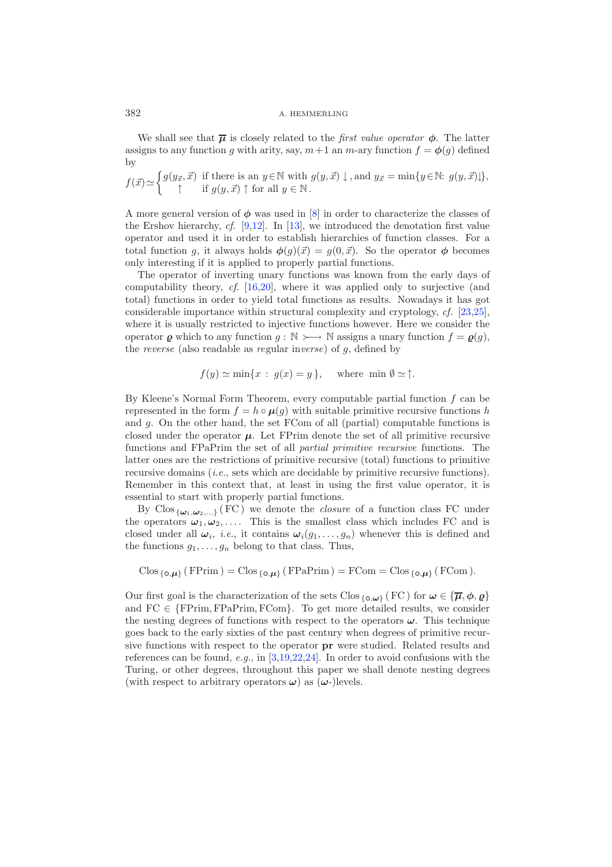#### 382 A. HEMMERLING

We shall see that  $\bar{\mu}$  is closely related to the *first value operator*  $\phi$ . The latter assigns to any function g with arity, say,  $m+1$  an  $m$ -ary function  $f = \phi(g)$  defined by

 $f(\vec{x}) \simeq$  $\left\{ g(y_{\vec{x}}, \vec{x}) \text{ if there is an } y \in \mathbb{N} \text{ with } g(y, \vec{x}) \downarrow \text{, and } y_{\vec{x}} = \min\{y \in \mathbb{N}: g(y, \vec{x})\downarrow\},\right\}$  $\uparrow$  if  $g(y, \vec{x}) \uparrow$  for all  $y \in \mathbb{N}$ .

A more general version of *φ* was used in [\[8\]](#page-39-1) in order to characterize the classes of the Ershov hierarchy, *cf.* [\[9](#page-39-2)[,12\]](#page-39-5). In [\[13](#page-39-0)], we introduced the denotation first value operator and used it in order to establish hierarchies of function classes. For a total function g, it always holds  $\phi(g)(\vec{x}) = g(0, \vec{x})$ . So the operator  $\phi$  becomes only interesting if it is applied to properly partial functions.

The operator of inverting unary functions was known from the early days of computability theory, *cf.* [\[16](#page-39-6)[,20](#page-39-7)], where it was applied only to surjective (and total) functions in order to yield total functions as results. Nowadays it has got considerable importance within structural complexity and cryptology, *cf.* [\[23](#page-39-8)[,25\]](#page-39-9), where it is usually restricted to injective functions however. Here we consider the operator  $\varrho$  which to any function  $g : \mathbb{N} \rightarrow \mathbb{N}$  assigns a unary function  $f = \varrho(g)$ , the *reverse* (also readable as *re*gular in*verse*) of g, defined by

$$
f(y) \simeq \min\{x : g(x) = y\}, \text{ where } \min \emptyset \simeq \uparrow.
$$

By Kleene's Normal Form Theorem, every computable partial function  $f$  can be represented in the form  $f = h \circ \mu(g)$  with suitable primitive recursive functions h and g. On the other hand, the set FCom of all (partial) computable functions is closed under the operator  $\mu$ . Let FPrim denote the set of all primitive recursive functions and FPaPrim the set of all *partial primitive recursive* functions. The latter ones are the restrictions of primitive recursive (total) functions to primitive recursive domains (*i.e.*, sets which are decidable by primitive recursive functions). Remember in this context that, at least in using the first value operator, it is essential to start with properly partial functions.

By  $C$ los  $\{\omega_1,\omega_2,...\}$  (FC) we denote the *closure* of a function class FC under the operators  $\omega_1, \omega_2, \ldots$ . This is the smallest class which includes FC and is closed under all  $\omega_i$ , *i.e.*, it contains  $\omega_i(g_1,\ldots,g_n)$  whenever this is defined and the functions  $g_1, \ldots, g_n$  belong to that class. Thus,

$$
Clos_{\{\mathbf{o}, \mu\}} (FPrim) = Clos_{\{\mathbf{o}, \mu\}} (FPaPrim) = FCom = Clos_{\{\mathbf{o}, \mu\}} (FCom).
$$

Our first goal is the characterization of the sets Clos  ${_{\{\mathbf{o},\omega\}}}$  (FC) for  $\omega \in {\{\overline{\mu},\phi,\varrho\}}$ and  $FC \in \{FPrim, FPaPrim, FCom\}$ . To get more detailed results, we consider the nesting degrees of functions with respect to the operators  $\omega$ . This technique goes back to the early sixties of the past century when degrees of primitive recursive functions with respect to the operator **pr** were studied. Related results and references can be found, *e.g.*, in [\[3](#page-38-0)[,19](#page-39-10)[,22](#page-39-11)[,24\]](#page-39-12). In order to avoid confusions with the Turing, or other degrees, throughout this paper we shall denote nesting degrees (with respect to arbitrary operators  $\omega$ ) as ( $\omega$ -)levels.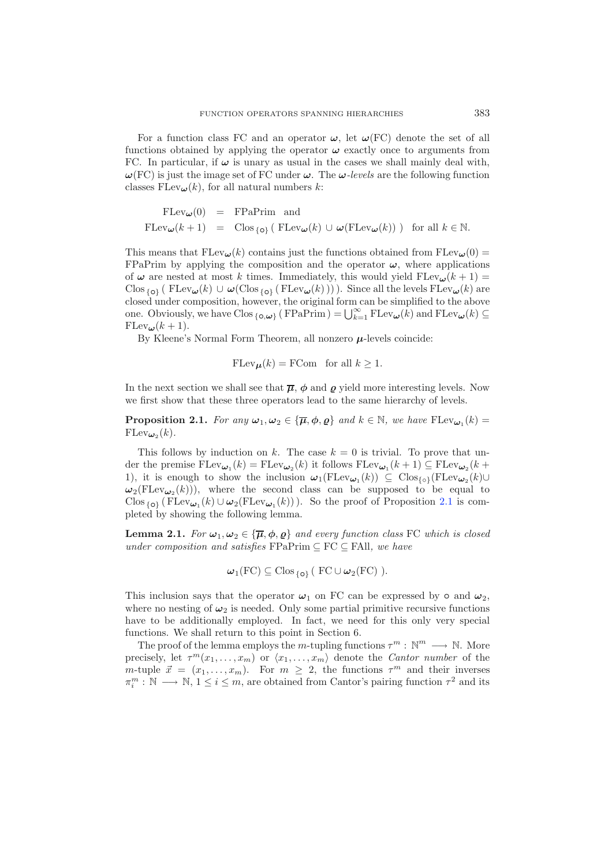For a function class FC and an operator  $\omega$ , let  $\omega$ (FC) denote the set of all functions obtained by applying the operator  $\omega$  exactly once to arguments from FC. In particular, if  $\omega$  is unary as usual in the cases we shall mainly deal with, *ω*(FC) is just the image set of FC under *ω*. The *ω-levels* are the following function classes  $FLev_{\boldsymbol{\omega}}(k)$ , for all natural numbers k:

$$
\begin{array}{rcl}\n\text{FLev}_{\pmb{\omega}}(0) & = & \text{FPaPrim} \text{ and} \\
\text{FLev}_{\pmb{\omega}}(k+1) & = & \text{Clos}_{\{o\}} \left( \text{ FLev}_{\pmb{\omega}}(k) \cup \pmb{\omega}(\text{FLev}_{\pmb{\omega}}(k)) \right) \text{ for all } k \in \mathbb{N}.\n\end{array}
$$

This means that  $FLev_{\omega}(k)$  contains just the functions obtained from  $FLev_{\omega}(0)$  = FPaPrim by applying the composition and the operator  $\omega$ , where applications of  $\omega$  are nested at most k times. Immediately, this would yield  $FLev_{\omega}(k+1)$  =  $C$ los {**o**} (  $F$ Lev $\omega$ (k) ∪  $\omega$ ( $C$ los {**o**} ( $F$ Lev $\omega$ (k)))). Since all the levels  $F$ Lev $\omega$ (k) are closed under composition, however, the original form can be simplified to the above one. Obviously, we have  $\text{Clos}_{\{\text{o}, \omega\}} (\text{FPaPrim}) = \bigcup_{k=1}^{\infty} \text{FLev}_{\omega}(k)$  and  $\text{FLev}_{\omega}(k) \subseteq \text{FLev}_{\omega}(k+1)$  $\text{FLev}_{\boldsymbol{\omega}}(k+1)$ .

By Kleene's Normal Form Theorem, all nonzero *μ*-levels coincide:

$$
F \operatorname{Lev}_{\mathcal{H}}(k) = F \operatorname{Com} \text{ for all } k \ge 1.
$$

<span id="page-4-0"></span>In the next section we shall see that  $\overline{\mu}$ ,  $\phi$  and  $\rho$  yield more interesting levels. Now we first show that these three operators lead to the same hierarchy of levels.

**Proposition 2.1.** *For any*  $\omega_1, \omega_2 \in {\{\overline{\mu}, \phi, \varrho\}}$  *and*  $k \in \mathbb{N}$ *, we have*  $\text{FLev}_{\omega_1}(k) =$  $\text{FLev}_{\boldsymbol{\omega}_2}(k)$ .

This follows by induction on k. The case  $k = 0$  is trivial. To prove that under the premise  $FLev_{\omega_1}(k) = FLev_{\omega_2}(k)$  it follows  $FLev_{\omega_1}(k+1) \subseteq FLev_{\omega_2}(k+1)$ 1), it is enough to show the inclusion  $\omega_1(\text{FLev}_{\omega_1}(k)) \subseteq \text{Clos}_{\{\circ\}}(\text{FLev}_{\omega_2}(k) \cup$  $\omega_2(F \text{Lev}_{\omega_2}(k))$ , where the second class can be supposed to be equal to Clos  $_{\{o\}}$  (FLev<sub> $\omega_1(k) \cup \omega_2$ (FLev<sub> $\omega_1(k)$ </sub>)). So the proof of Proposition [2.1](#page-4-0) is com-</sub> pleted by showing the following lemma.

<span id="page-4-1"></span>**Lemma 2.1.** *For*  $\omega_1, \omega_2 \in {\overline{\mu}}, \phi, \varrho$  *and every function class* FC *which is closed under composition and satisfies* FPaPrim ⊆ FC ⊆ FAll*, we have*

$$
\boldsymbol{\omega}_1(FC) \subseteq \mathrm{Clos}_{\{\mathsf{o}\}} (\mathrm{FC} \cup \boldsymbol{\omega}_2(FC) ).
$$

This inclusion says that the operator  $\omega_1$  on FC can be expressed by  $\circ$  and  $\omega_2$ , where no nesting of  $\omega_2$  is needed. Only some partial primitive recursive functions have to be additionally employed. In fact, we need for this only very special functions. We shall return to this point in Section 6.

The proof of the lemma employs the m-tupling functions  $\tau^m : \mathbb{N}^m \longrightarrow \mathbb{N}$ . More precisely, let  $\tau^m(x_1, \ldots, x_m)$  or  $\langle x_1, \ldots, x_m \rangle$  denote the *Cantor number* of the precisely, let  $\tau^m(x_1,\ldots,x_m)$  or  $\langle x_1,\ldots,x_m \rangle$  denote the *Cantor number* of the  $m$ -tuple  $\vec{x} = (x_1,\ldots,x_m)$ . For  $m \geq 2$ , the functions  $\tau^m$  and their inverses  $\pi_i^m : \mathbb{N} \longrightarrow \mathbb{N}, 1 \leq i \leq m$ , are obtained from Cantor's pairing function  $\tau^2$  and its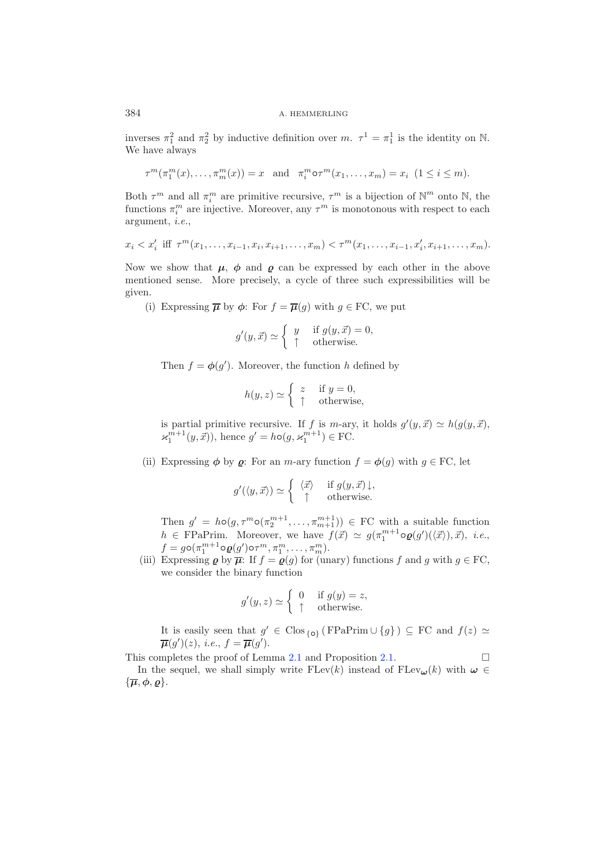inverses  $\pi_1^2$  and  $\pi_2^2$  by inductive definition over  $m$ .  $\tau^1 = \pi_1^1$  is the identity on N. We have always

$$
\tau^m(\pi_1^m(x),\ldots,\pi_m^m(x))=x \text{ and } \pi_i^m\circ\tau^m(x_1,\ldots,x_m)=x_i \ (1\leq i\leq m).
$$

Both  $\tau^m$  and all  $\pi_i^m$  are primitive recursive,  $\tau^m$  is a bijection of  $\mathbb{N}^m$  onto  $\mathbb{N}$ , the functions  $\tau^m$  are injective. Moreover, any  $\tau^m$  is monotoneus with respect to each functions  $\pi_i^m$  are injective. Moreover, any  $\tau^m$  is monotonous with respect to each argument  $\phi$ . argument, *i.e.*,

$$
x_i < x'_i \text{ iff } \tau^m(x_1, \ldots, x_{i-1}, x_i, x_{i+1}, \ldots, x_m) < \tau^m(x_1, \ldots, x_{i-1}, x'_i, x_{i+1}, \ldots, x_m).
$$

Now we show that  $\mu$ ,  $\phi$  and  $\rho$  can be expressed by each other in the above mentioned sense. More precisely, a cycle of three such expressibilities will be given.

(i) Expressing  $\bar{\mu}$  by  $\phi$ : For  $f = \bar{\mu}(g)$  with  $g \in \mathrm{FC}$ , we put

$$
g'(y, \vec{x}) \simeq \begin{cases} y & \text{if } g(y, \vec{x}) = 0, \\ \uparrow & \text{otherwise.} \end{cases}
$$

Then  $f = \phi(g')$ . Moreover, the function h defined by

$$
h(y, z) \simeq \begin{cases} z & \text{if } y = 0, \\ \uparrow & \text{otherwise,} \end{cases}
$$

is partial primitive recursive. If f is m-ary, it holds  $g'(y, \vec{x}) \simeq h(g(y, \vec{x}))$ ,  $\varkappa_1^{m+1}(y, \vec{x})$ , hence  $g' = h \circ (g, \varkappa_1^{m+1}) \in \text{FC}.$ 

(ii) Expressing  $\phi$  by  $\rho$ : For an *m*-ary function  $f = \phi(q)$  with  $q \in FC$ , let

$$
g'(\langle y, \vec{x} \rangle) \simeq \begin{cases} \langle \vec{x} \rangle & \text{if } g(y, \vec{x}) \downarrow, \\ \uparrow & \text{otherwise.} \end{cases}
$$

Then  $g' = h \circ (g, \tau^m \circ (\pi_2^{m+1}, \dots, \pi_{m+1}^{m+1})) \in \mathbf{FC}$  with a suitable function  $h \in \mathbf{FPaPrim}$ . Moreover, we have  $f(\vec{x}) \simeq g(\pi_1^{m+1} \circ \varrho(g')(\langle \vec{x} \rangle), \vec{x}), i.e.,$  $f = g \circ (\pi_1^{m+1} \circ \varrho(g') \circ \tau^m, \pi_1^m, \dots, \pi_m^m)$ .<br>(iii) Expressing  $\varrho$  by  $\overline{\mu}$ : If  $f = \varrho(g)$  for (unary) functions f and g with  $g \in FC$ ,

we consider the binary function

$$
g'(y, z) \simeq \begin{cases} 0 & \text{if } g(y) = z, \\ \uparrow & \text{otherwise.} \end{cases}
$$

It is easily seen that  $g' \in \text{Clos}_{\{o\}}$  (FPaPrim ∪  $\{g\}$ ) ⊆ FC and  $f(z) \simeq$  $\overline{\mu}(g')(z), \text{ i.e., } f = \overline{\mu}(g').$ 

This completes the proof of Lemma [2.1](#page-4-1) and Proposition [2.1.](#page-4-0)  $\Box$ 

In the sequel, we shall simply write  $F \text{Lev}(k)$  instead of  $F \text{Lev}_{\omega}(k)$  with  $\omega \in$  $\{\overline{\mu}, \phi, \rho\}.$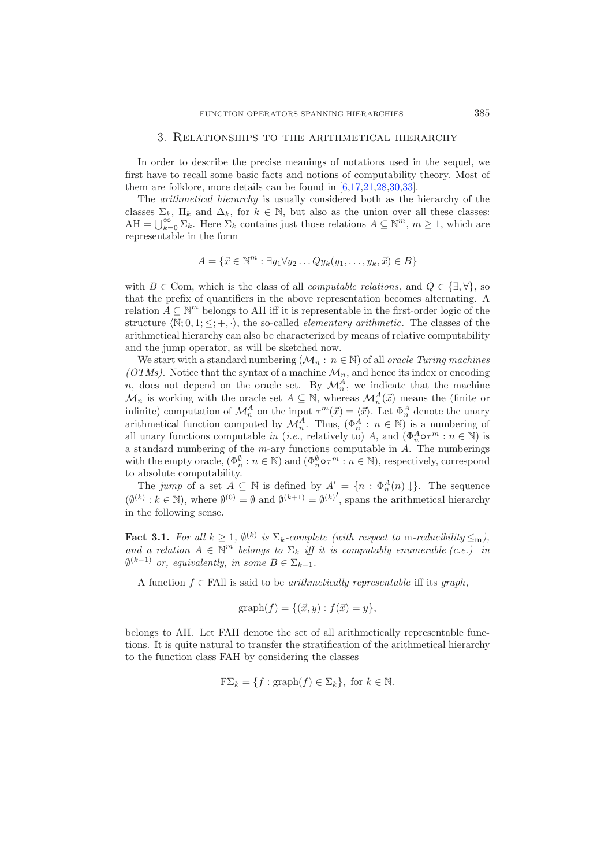#### 3. Relationships to the arithmetical hierarchy

In order to describe the precise meanings of notations used in the sequel, we first have to recall some basic facts and notions of computability theory. Most of them are folklore, more details can be found in [\[6](#page-39-13)[,17](#page-39-14)[,21](#page-39-15)[,28](#page-39-16)[,30](#page-39-4)[,33\]](#page-39-17).

The *arithmetical hierarchy* is usually considered both as the hierarchy of the classes  $\Sigma_k$ ,  $\Pi_k$  and  $\Delta_k$ , for  $k \in \mathbb{N}$ , but also as the union over all these classes:  $AH = \bigcup_{k=0}^{\infty} \Sigma_k$ . Here  $\Sigma_k$  contains just those relations  $A \subseteq \mathbb{N}^m$ ,  $m \geq 1$ , which are representable in the form

$$
A = \{ \vec{x} \in \mathbb{N}^m : \exists y_1 \forall y_2 \dots Q y_k (y_1, \dots, y_k, \vec{x}) \in B \}
$$

with  $B \in \text{Com}$ , which is the class of all *computable relations*, and  $Q \in \{\exists, \forall\}$ , so that the prefix of quantifiers in the above representation becomes alternating. A relation  $A \subseteq \mathbb{N}^m$  belongs to AH iff it is representable in the first-order logic of the structure  $\langle \mathbb{N}; 0, 1; \langle \cdot, \cdot \rangle$ , the so-called *elementary arithmetic*. The classes of the arithmetical hierarchy can also be characterized by means of relative computability and the jump operator, as will be sketched now.

We start with a standard numbering  $(\mathcal{M}_n : n \in \mathbb{N})$  of all *oracle Turing machines* ( $OTMs$ ). Notice that the syntax of a machine  $\mathcal{M}_n$ , and hence its index or encoding n, does not depend on the oracle set. By  $\mathcal{M}_n^A$ , we indicate that the machine  $\mathcal{M}_n$  is working with the oracle set  $A \subseteq \mathbb{N}$ , whereas  $\mathcal{M}_n^A(\vec{x})$  means the (finite or  $\mathcal{M}_n$  is working with the oracle set  $A \subseteq \mathbb{N}$ , whereas  $\mathcal{M}_n^A(\vec{x})$  means the (finite or infinite) computation of  $\mathcal{M}_n^A$  on the input  $\tau^m(\vec{x}) = \langle \vec{x} \rangle$ . Let  $\Phi_n^A$  denote the unary arithmetical function all unary functions computable *in* (*i.e.*, relatively to) A, and  $(\Phi_n^A \circ \tau^m : n \in \mathbb{N})$  is a standard numbering of the  $m$ -ary functions computable in  $A$ . The numberings with the empty oracle,  $(\Phi_n^{\emptyset} : n \in \mathbb{N})$  and  $(\Phi_n^{\emptyset} \circ \tau^m : n \in \mathbb{N})$ , respectively, correspond to absolute computability to absolute computability.

The *jump* of a set  $A \subseteq \mathbb{N}$  is defined by  $A' = \{n : \Phi_n^A(n) \downarrow\}$ . The sequence  $(\emptyset^{(k)} : k \in \mathbb{N})$ , where  $\emptyset^{(0)} = \emptyset$  and  $\emptyset^{(k+1)} = \emptyset^{(k)}'$ , spans the arithmetical hierarchy in the following sense.

**Fact 3.1.** *For all*  $k \geq 1$ ,  $\emptyset^{(k)}$  *is*  $\Sigma_k$ -*complete (with respect to* m-*reducibility*  $\leq_m$ *)*, and a relation  $A \in \mathbb{N}^m$  belongs to  $\Sigma_k$  *iff it is computably enumerable (c.e.) in*  $\emptyset^{(k-1)}$  *or, equivalently, in some*  $B \in \Sigma_{k-1}$ *.* 

A function f ∈ FAll is said to be *arithmetically representable* iff its *graph*,

$$
graph(f) = \{ (\vec{x}, y) : f(\vec{x}) = y \},
$$

belongs to AH. Let FAH denote the set of all arithmetically representable functions. It is quite natural to transfer the stratification of the arithmetical hierarchy to the function class FAH by considering the classes

$$
\mathcal{F}\Sigma_k = \{f : \text{graph}(f) \in \Sigma_k\}, \text{ for } k \in \mathbb{N}.
$$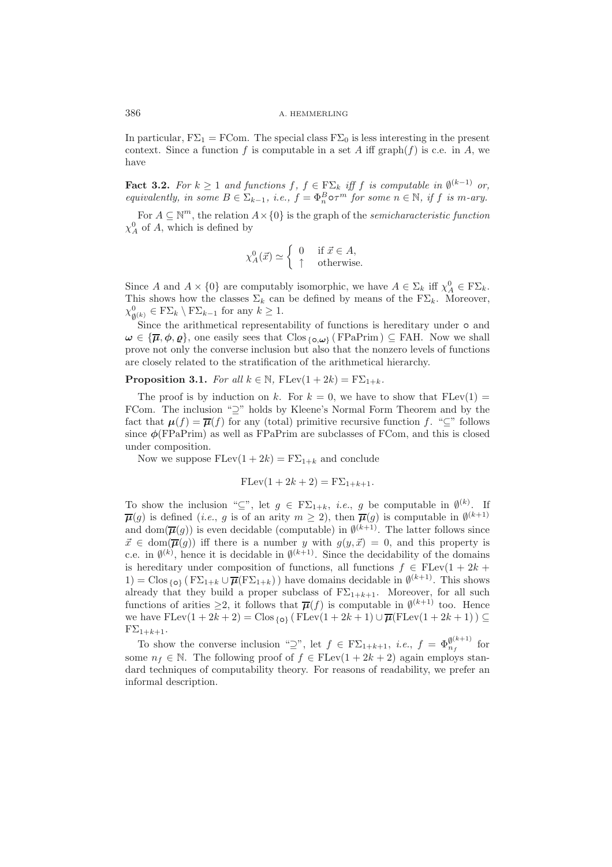#### 386 A. HEMMERLING

In particular,  $F\Sigma_1 = FCom$ . The special class  $F\Sigma_0$  is less interesting in the present context. Since a function f is computable in a set A iff graph(f) is c.e. in A, we have

**Fact 3.2.** For  $k \geq 1$  and functions  $f, f \in F\Sigma_k$  iff f is computable in  $\emptyset^{(k-1)}$  or, *equivalently, in some*  $B \in \Sigma_{k-1}$ *, i.e.,*  $f = \Phi_n^B \circ \tau^m$  *for some*  $n \in \mathbb{N}$ *, if f is m-ary.* 

For  $A \subseteq \mathbb{N}^m$ , the relation  $A \times \{0\}$  is the graph of the *semicharacteristic function*  $\chi_A^0$  of A, which is defined by

$$
\chi_A^0(\vec{x}) \simeq \begin{cases} 0 & \text{if } \vec{x} \in A, \\ \uparrow & \text{otherwise.} \end{cases}
$$

Since A and  $A \times \{0\}$  are computably isomorphic, we have  $A \in \Sigma_k$  iff  $\chi_A^0 \in F\Sigma_k$ .<br>This shows how the classes  $\Sigma_k$  can be defined by means of the  $\overline{F\Sigma_k}$ . Meroever This shows how the classes  $\Sigma_k$  can be defined by means of the  $F\Sigma_k$ . Moreover,  $\chi^0_{\emptyset^{(k)}} \in F\Sigma_k \setminus F\Sigma_{k-1}$  for any  $k \geq 1$ .

Since the arithmetical representability of functions is hereditary under *◦* and  $\omega \in {\overline{\mu}, \phi, \varrho}$ , one easily sees that  $C \text{los}_{\{o, \omega\}} (F \text{PaPrim}) \subseteq \text{FAH}.$  Now we shall prove not only the converse inclusion but also that the nonzero levels of functions are closely related to the stratification of the arithmetical hierarchy.

<span id="page-7-0"></span>**Proposition 3.1.** *For all*  $k \in \mathbb{N}$ ,  $\text{FLev}(1 + 2k) = \text{F}\Sigma_{1+k}$ .

The proof is by induction on k. For  $k = 0$ , we have to show that  $F \text{Lev}(1) =$ FCom. The inclusion "⊇" holds by Kleene's Normal Form Theorem and by the fact that  $\mu(f) = \overline{\mu}(f)$  for any (total) primitive recursive function f. " $\subseteq$ " follows since  $\phi$ (FPaPrim) as well as FPaPrim are subclasses of FCom, and this is closed under composition.

Now we suppose  $FLev(1 + 2k) = F\Sigma_{1+k}$  and conclude

$$
\text{FLev}(1+2k+2) = \text{F}\Sigma_{1+k+1}.
$$

To show the inclusion " $\subseteq$ ", let  $g \in F\Sigma_{1+k}$ , *i.e.*, g be computable in  $\emptyset^{(k)}$ . If  $\overline{\mu}(g)$  is defined (*i.e.*, g is of an arity  $m \geq 2$ ), then  $\overline{\mu}(g)$  is computable in  $\emptyset^{(k+1)}$ and dom( $\overline{\mu}(g)$ ) is even decidable (computable) in  $\emptyset^{(k+1)}$ . The latter follows since  $\vec{x} \in \text{dom}(\overline{\mu}(g))$  iff there is a number y with  $g(y, \vec{x}) = 0$ , and this property is c.e. in  $\emptyset^{(k)}$ , hence it is decidable in  $\emptyset^{(k+1)}$ . Since the decidability of the domains is hereditary under composition of functions, all functions  $f \in FLev(1 + 2k + \dots)$ 1) = Clos  $\{\rho\}$  ( $F\Sigma_{1+k} \cup \overline{\mu}(F\Sigma_{1+k})$ ) have domains decidable in  $\emptyset^{(k+1)}$ . This shows already that they build a proper subclass of  $F\Sigma_{1+k+1}$ . Moreover, for all such functions of arities  $\geq 2$ , it follows that  $\overline{\mu}(f)$  is computable in  $\emptyset^{(k+1)}$  too. Hence we have  $\text{FLev}(1+2k+2) = \text{Clos}_{\{0\}} (\text{FLev}(1+2k+1) \cup \overline{\mu}(\text{FLev}(1+2k+1)) \subseteq$  $F\Sigma_{1+k+1}.$ 

To show the converse inclusion " $\supseteq$ ", let  $f \in F\Sigma_{1+k+1}$ , *i.e.*,  $f = \Phi_{n_f}^{\emptyset^{(k+1)}}$  for some  $n_f \in \mathbb{N}$ . The following proof of  $f \in F \text{Lev}(1 + 2k + 2)$  again employs standard techniques of computability theory. For reasons of readability, we prefer an informal description.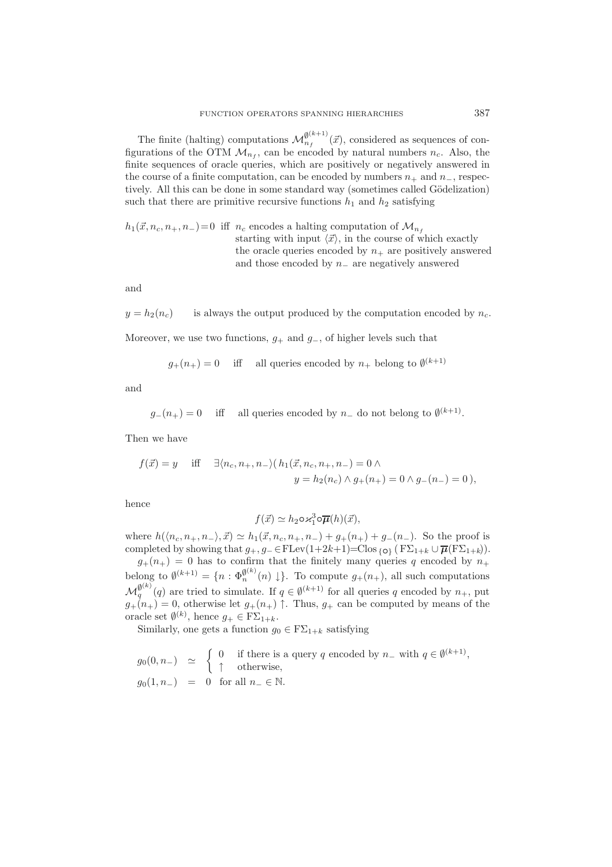The finite (halting) computations  $\mathcal{M}_{n_f}^{\emptyset^{(k+1)}}(\vec{x})$ , considered as sequences of con-<br>unstigns of the OTM  $M_{n_f}$  can be engloded by natural numbers  $x_i$ . Also, the figurations of the OTM  $\mathcal{M}_{n_f}$ , can be encoded by natural numbers  $n_c$ . Also, the finite sequences of oracle queries, which are positively or negatively answered in the course of a finite computation, can be encoded by numbers  $n_+$  and  $n_-$ , respectively. All this can be done in some standard way (sometimes called Gödelization) such that there are primitive recursive functions  $h_1$  and  $h_2$  satisfying

 $h_1(\vec{x}, n_c, n_+, n_-)=0$  iff  $n_c$  encodes a halting computation of  $\mathcal{M}_{n_f}$ starting with input  $\langle \vec{x} \rangle$ , in the course of which exactly the oracle queries encoded by  $n_{+}$  are positively answered and those encoded by  $n_$  are negatively answered

and

 $y = h_2(n_c)$  is always the output produced by the computation encoded by  $n_c$ . Moreover, we use two functions,  $g_{+}$  and  $g_{-}$ , of higher levels such that

$$
g_{+}(n_{+}) = 0
$$
 iff all queries encoded by  $n_{+}$  belong to  $\emptyset^{(k+1)}$ 

and

 $g_-(n_+) = 0$  iff all queries encoded by  $n_-$  do not belong to  $\emptyset^{(k+1)}$ .

Then we have

$$
f(\vec{x}) = y
$$
 iff  $\exists \langle n_c, n_+, n_- \rangle (h_1(\vec{x}, n_c, n_+, n_-) = 0 \land$   
 $y = h_2(n_c) \land g_+(n_+) = 0 \land g_-(n_-) = 0),$ 

hence

$$
f(\vec{x}) \simeq h_2 \circ \varkappa_1^3 \circ \overline{\mu}(h)(\vec{x}),
$$

where  $h(\langle n_c, n_+, n_- \rangle, \vec{x}) \simeq h_1(\vec{x}, n_c, n_+, n_-) + g_+(n_+) + g_-(n_-)$ . So the proof is completed by showing that  $g_+, g_-\in$  FLev $(1+2k+1)=$ Clos  ${}_{i}$ <sub>O</sub>} ( $F\Sigma_{1+k}\cup \overline{\mu}(F\Sigma_{1+k})$ ).

 $g_{+}(n_{+}) = 0$  has to confirm that the finitely many queries q encoded by  $n_{+}$ belong to  $\emptyset^{(k+1)} = \{n : \Phi_n^{\emptyset^{(k)}}(n) \downarrow \}.$  To compute  $g_+(n_+),$  all such computations  $\mathcal{M}_q^{\emptyset(k)}(q)$  are tried to simulate. If  $q \in \emptyset^{(k+1)}$  for all queries q encoded by  $n_+$ , put  $a_n$  ( $n_+$ ) = 0, otherwise let  $a_n$  ( $n_+$ )  $\uparrow$ . Thus,  $a_n$  can be computed by means of the  $g_{+}(n_{+})=0$ , otherwise let  $g_{+}(n_{+})\uparrow$ . Thus,  $g_{+}$  can be computed by means of the oracle set  $\emptyset^{(k)}$ , hence  $g_+ \in F\Sigma_{1+k}$ .<br>Similarly are note a function a

Similarly, one gets a function  $g_0 \in F\Sigma_{1+k}$  satisfying

$$
\begin{array}{lcl} g_0(0,n_-) & \simeq & \left\{ \begin{array}{cl} 0 & \text{if there is a query $q$ encoded by $n_-$ with $q\in \emptyset^{(k+1)}$,} \\ \uparrow & \text{otherwise,} \end{array} \right. \\ g_0(1,n_-) & = & 0 \; \text{ for all $n_-\in \mathbb{N}$.} \end{array}
$$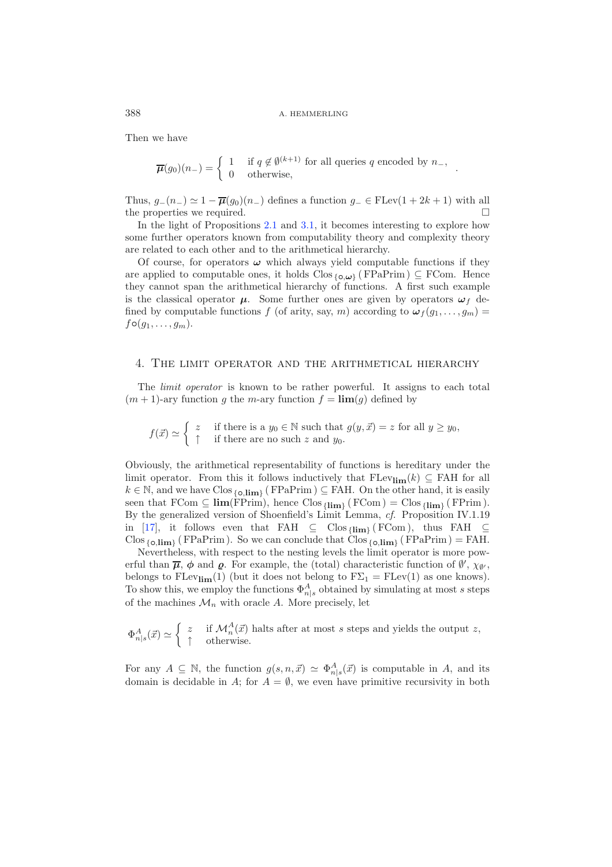### 388 A. HEMMERLING

Then we have

$$
\overline{\mu}(g_0)(n_{-}) = \begin{cases} 1 & \text{if } q \notin \emptyset^{(k+1)} \text{ for all queries } q \text{ encoded by } n_{-}, \\ 0 & \text{otherwise}, \end{cases}
$$

Thus,  $g_-(n_-) \simeq 1 - \overline{\mu}(g_0)(n_-)$  defines a function  $g_-\in$  FLev(1 + 2k + 1) with all the properties we required.  $\Box$ 

In the light of Propositions [2.1](#page-4-0) and [3.1,](#page-7-0) it becomes interesting to explore how some further operators known from computability theory and complexity theory are related to each other and to the arithmetical hierarchy.

Of course, for operators  $\omega$  which always yield computable functions if they are applied to computable ones, it holds Clos {*◦*,*ω*} ( FPaPrim ) <sup>⊆</sup> FCom. Hence they cannot span the arithmetical hierarchy of functions. A first such example is the classical operator  $\mu$ . Some further ones are given by operators  $\omega_f$  defined by computable functions f (of arity, say, m) according to  $\omega_f(g_1,\ldots,g_m)$  $f \circ (g_1, \ldots, g_m)$ .

### 4. The limit operator and the arithmetical hierarchy

The *limit operator* is known to be rather powerful. It assigns to each total  $(m + 1)$ -ary function g the m-ary function  $f = \lim(g)$  defined by

 $f(\vec{x}) \simeq \begin{cases} z & \text{if there is a } y_0 \in \mathbb{N} \text{ such that } g(y, \vec{x}) = z \text{ for all } y \geq y_0, \end{cases}$  $\uparrow$  if there are no such z and  $y_0$ .

Obviously, the arithmetical representability of functions is hereditary under the limit operator. From this it follows inductively that  $FLev_{\lim}(k) \subseteq FAH$  for all <sup>k</sup> <sup>∈</sup> <sup>N</sup>, and we have Clos {*◦*,**lim**} ( FPaPrim ) <sup>⊆</sup> FAH. On the other hand, it is easily seen that  $FCom \subseteq \lim(FPrim)$ , hence  $Clos_{\{lim\}} (FCom) = Clos_{\{lim\}} (FPrim)$ . By the generalized version of Shoenfield's Limit Lemma, *cf.* Proposition IV.1.19 in [\[17\]](#page-39-14), it follows even that FAH ⊆ Clos {**lim**} ( FCom ), thus FAH ⊆  $\text{Clos}_{\{o,\text{lim}\}}$  (FPaPrim). So we can conclude that  $\text{Clos}_{\{o,\text{lim}\}}$  (FPaPrim) = FAH.

Nevertheless, with respect to the nesting levels the limit operator is more powerful than  $\bar{\mu}$ ,  $\phi$  and  $\varrho$ . For example, the (total) characteristic function of  $\emptyset'$ ,  $\chi_{\emptyset'}$ , belongs to  $FLev_{\text{lim}}(1)$  (but it does not belong to  $F\Sigma_1 = FLev(1)$  as one knows). To show this, we employ the functions  $\Phi_{n|s}^{A}$  obtained by simulating at most s steps of the machines  $M$ , with excels A. More procisely, let of the machines  $\mathcal{M}_n$  with oracle A. More precisely, let

$$
\Phi_{n|s}^{A}(\vec{x}) \simeq \begin{cases} z & \text{if } \mathcal{M}_{n}^{A}(\vec{x}) \text{ halts after at most } s \text{ steps and yields the output } z, \\ \uparrow & \text{otherwise.} \end{cases}
$$

For any  $A \subseteq \mathbb{N}$ , the function  $g(s, n, \vec{x}) \simeq \Phi_{n|s}^A(\vec{x})$  is computable in A, and its domain is double in A, for  $A = \emptyset$  we are hore primitive requestivity in both domain is decidable in A; for  $A = \emptyset$ , we even have primitive recursivity in both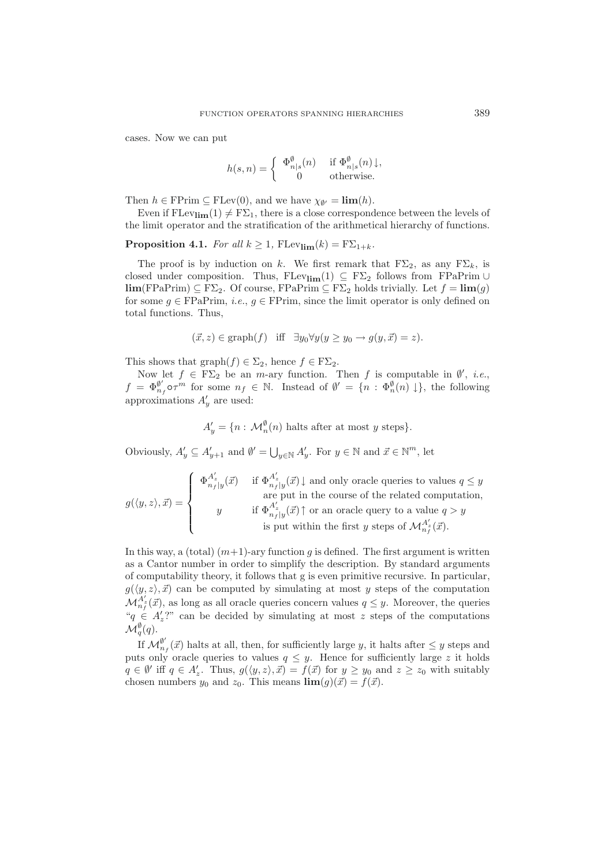cases. Now we can put

$$
h(s,n) = \begin{cases} \Phi_{n|s}^{\emptyset}(n) & \text{if } \Phi_{n|s}^{\emptyset}(n) \downarrow, \\ 0 & \text{otherwise.} \end{cases}
$$

Then  $h \in \text{FPrim} \subseteq \text{FLev}(0)$ , and we have  $\chi_{\emptyset'} = \lim(h)$ .

<span id="page-10-0"></span>Even if  $FLev_{lim}(1) \neq F\Sigma_1$ , there is a close correspondence between the levels of the limit operator and the stratification of the arithmetical hierarchy of functions.

**Proposition 4.1.** *For all*  $k \geq 1$ ,  $\text{FLev}_{\lim}(k) = \text{F}\Sigma_{1+k}$ *.* 

The proof is by induction on k. We first remark that  $F\Sigma_2$ , as any  $F\Sigma_k$ , is closed under composition. Thus, FLev<sub>lim</sub>(1)  $\subseteq$  F $\Sigma_2$  follows from FPaPrim ∪ **lim**(FPaPrim) ⊆ F $\Sigma$ <sub>2</sub>. Of course, FPaPrim ⊆ F $\Sigma$ <sub>2</sub> holds trivially. Let  $f = \lim(g)$ for some  $g \in \text{FPaPrim}$ , *i.e.*,  $g \in \text{FPrim}$ , since the limit operator is only defined on total functions. Thus,

$$
(\vec{x}, z) \in \text{graph}(f)
$$
 iff  $\exists y_0 \forall y (y \ge y_0 \rightarrow g(y, \vec{x}) = z).$ 

This shows that graph $(f) \in \Sigma_2$ , hence  $f \in F\Sigma_2$ .

Now let  $f \in F\Sigma_2$  be an *m*-ary function. Then f is computable in  $\emptyset'$ , *i.e.*,  $f = \Phi_{n}^{\emptyset'} \circ \tau^m$  for some  $n_f \in \mathbb{N}$ . Instead of  $\emptyset' = \{n : \Phi_n^{\emptyset}(n) \downarrow\}$ , the following approximations  $A'_y$  are used:

 $A'_y = \{n : \mathcal{M}_n^{\emptyset}(n) \text{ halts after at most } y \text{ steps}\}.$ 

Obviously,  $A'_y \subseteq A'_{y+1}$  and  $\emptyset' = \bigcup_{y \in \mathbb{N}} A'_y$ . For  $y \in \mathbb{N}$  and  $\vec{x} \in \mathbb{N}^m$ , let

$$
g(\langle y, z \rangle, \vec{x}) = \left\{ \begin{array}{cl} \Phi^{A'_z}_{n_f|y}(\vec{x}) & \text{if } \Phi^{A'_z}_{n_f|y}(\vec{x}) \downarrow \text{ and only oracle queries to values } q \leq y \\ & \text{are put in the course of the related computation,} \\ & y & \text{if } \Phi^{A'_z}_{n_f|y}(\vec{x}) \uparrow \text{ or an oracle query to a value } q > y \\ & \text{is put within the first } y \text{ steps of } \mathcal{M}^{A'_z}_{n_f}(\vec{x}). \end{array} \right.
$$

In this way, a (total)  $(m+1)$ -ary function q is defined. The first argument is written as a Cantor number in order to simplify the description. By standard arguments of computability theory, it follows that g is even primitive recursive. In particular,  $g(\langle y, z \rangle, \vec{x})$  can be computed by simulating at most y steps of the computation  $\mathcal{M}_{n_f}^{A'_z}(\vec{x})$ , as long as all oracle queries concern values  $q \leq y$ . Moreover, the queries " $q \in A'_z$ ?" can be decided by simulating at most z steps of the computations  $\mathcal{M}_q^{\emptyset}(q)$ .

If  $\mathcal{M}_{n_f}^{\emptyset'}(\vec{x})$  halts at all, then, for sufficiently large y, it halts after  $\leq y$  steps and<br>to only exactle queries to values  $a \leq u$ . Hence for sufficiently large z it holds puts only oracle queries to values  $q \leq y$ . Hence for sufficiently large z it holds  $q \in \emptyset'$  iff  $q \in A'_z$ . Thus,  $g(\langle y, z \rangle, \vec{x}) = f(\vec{x})$  for  $y \ge y_0$  and  $z \ge z_0$  with suitably chosen numbers  $y_0$  and  $z_0$ . This means  $\lim_{z \to z_0} (q)(\vec{x}) = f(\vec{x})$ chosen numbers  $y_0$  and  $z_0$ . This means  $\lim(g)(\vec{x}) = f(\vec{x})$ .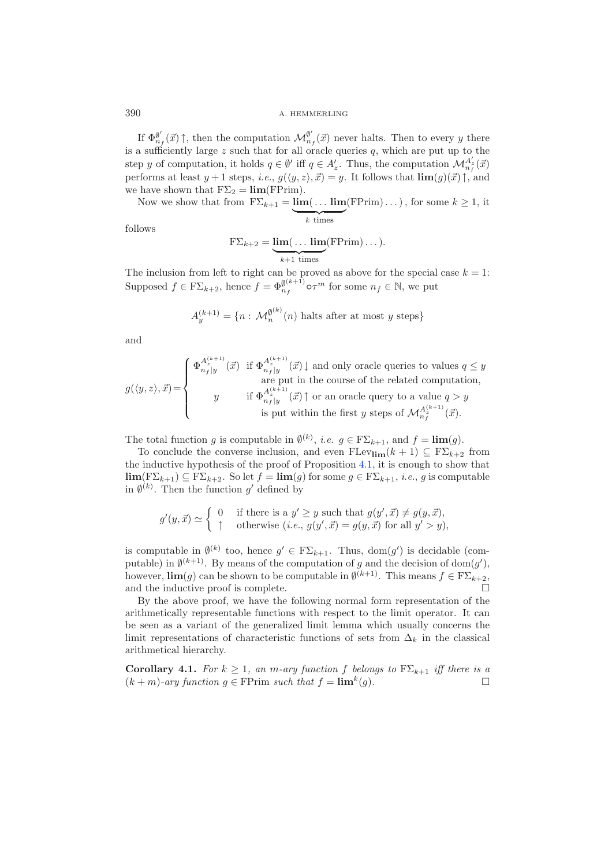If  $\Phi_{n_f}^{\emptyset'}(\vec{x})$   $\uparrow$ , then the computation  $\mathcal{M}_{n_f}^{\emptyset'}(\vec{x})$  never halts. Then to every y there is a sufficiently large  $z$  such that for all oracle queries  $q$ , which are put up to the step y of computation, it holds  $q \in \emptyset'$  iff  $q \in A'_z$ . Thus, the computation  $\mathcal{M}_{n_f}^{A'_z}(\vec{x})$ performs at least  $y + 1$  steps, *i.e.*,  $g(\langle y, z \rangle, \vec{x}) = y$ . It follows that  $\lim(g)(\vec{x})\uparrow$ , and we have shown that  $F\Sigma_2 = \lim(FPrim)$ .

Now we show that from  $F\Sigma_{k+1} = \underbrace{\lim(\dots \lim}_{k \text{ times}} (FPrim) \dots)$ , for some  $k \ge 1$ , it  $k$  times

follows

$$
F\Sigma_{k+2} = \underbrace{\lim(\dots \lim}_{k+1 \text{ times}} (FPrim)\dots).
$$

The inclusion from left to right can be proved as above for the special case  $k = 1$ : Supposed  $f \in F\Sigma_{k+2}$ , hence  $f = \Phi_{n_f}^{\emptyset(k+1)} \circ \tau^m$  for some  $n_f \in \mathbb{N}$ , we put

$$
A_y^{(k+1)} = \{ n : \mathcal{M}_n^{\emptyset^{(k)}}(n) \text{ halts after at most } y \text{ steps} \}
$$

and

$$
g(\langle y, z \rangle, \vec{x}) = \begin{cases} \Phi_{n_f|y}^{A_{\vec{x}}^{(k+1)}}(\vec{x}) & \text{if } \Phi_{n_f|y}^{A_{\vec{x}}^{(k+1)}}(\vec{x}) \downarrow \text{ and only oracle queries to values } q \leq y \\ & \text{are put in the course of the related computation,} \\ & y & \text{if } \Phi_{n_f|y}^{A_{\vec{x}}^{(k+1)}}(\vec{x}) \uparrow \text{ or an oracle query to a value } q > y \\ & \text{is put within the first } y \text{ steps of } \mathcal{M}_{n_f}^{A_{\vec{x}}^{(k+1)}}(\vec{x}). \end{cases}
$$

The total function g is computable in  $\emptyset^{(k)}$ , *i.e.*  $g \in F\Sigma_{k+1}$ , and  $f = \lim(g)$ .

To conclude the converse inclusion, and even  $\text{FLev}_{\text{lim}}(k + 1) \subseteq \text{F}\Sigma_{k+2}$  from the inductive hypothesis of the proof of Proposition [4.1,](#page-10-0) it is enough to show that **lim**(F∑<sub>k+1</sub>) ⊆ F∑<sub>k+2</sub>. So let  $f = \lim(g)$  for some  $g \in F\Sigma_{k+1}$ , *i.e.*, g is computable in  $\emptyset^{(k)}$ . Then the function g' defined by

$$
g'(y, \vec{x}) \simeq \begin{cases} 0 & \text{if there is a } y' \ge y \text{ such that } g(y', \vec{x}) \ne g(y, \vec{x}), \\ \uparrow & \text{otherwise } (i.e., g(y', \vec{x}) = g(y, \vec{x}) \text{ for all } y' > y), \end{cases}
$$

is computable in  $\emptyset^{(k)}$  too, hence  $g' \in F\Sigma_{k+1}$ . Thus, dom(g') is decidable (com-<br>nutrible) in  $\emptyset^{(k+1)}$ . Premiering f the computation of a subtle decision of dam(g') putable) in  $\emptyset^{(k+1)}$ . By means of the computation of g and the decision of dom(g'), however, **lim**(g) can be shown to be computable in  $\emptyset^{(k+1)}$ . This means  $f \in F\Sigma_{k+2}$ , and the inductive proof is complete. and the inductive proof is complete.

By the above proof, we have the following normal form representation of the arithmetically representable functions with respect to the limit operator. It can be seen as a variant of the generalized limit lemma which usually concerns the limit representations of characteristic functions of sets from  $\Delta_k$  in the classical arithmetical hierarchy.

<span id="page-11-0"></span>**Corollary 4.1.** *For*  $k \geq 1$ *, an m*-ary function f belongs to  $F\Sigma_{k+1}$  *iff there is a*<br>( $k + m$ )-ary function  $a \in F\text{Prim}$  such that  $f = \lim^k(a)$  $(k + m)$ -ary function  $q \in \text{FPrim such that } f = \lim^{k}(q)$ .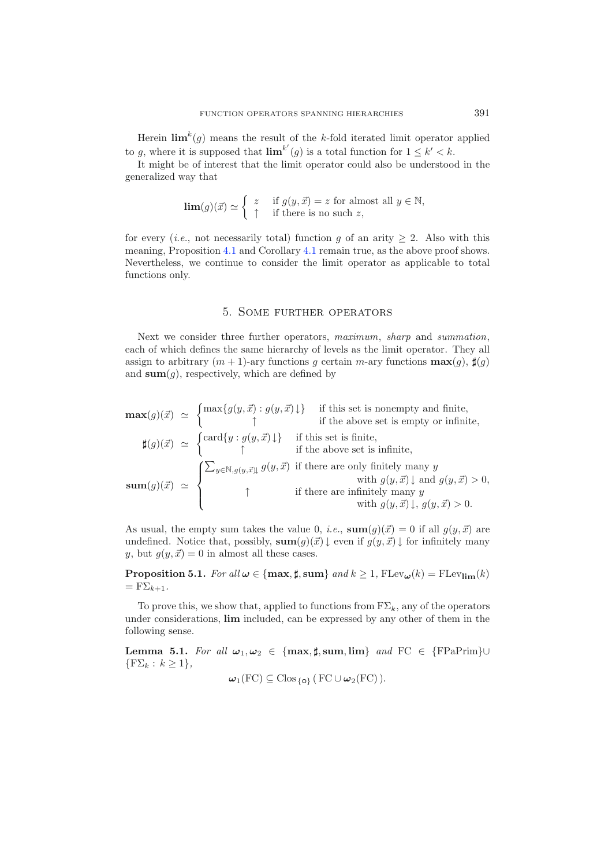Herein  $\lim_{k \to \infty} k(g)$  means the result of the k-fold iterated limit operator applied to g, where it is supposed that  $\lim^{k'}(g)$  is a total function for  $1 \leq k' < k$ .

It might be of interest that the limit operator could also be understood in the generalized way that

$$
\lim(g)(\vec{x}) \simeq \begin{cases} z & \text{if } g(y, \vec{x}) = z \text{ for almost all } y \in \mathbb{N}, \\ \uparrow & \text{if there is no such } z, \end{cases}
$$

for every (*i.e.*, not necessarily total) function g of an arity  $\geq 2$ . Also with this meaning, Proposition [4.1](#page-10-0) and Corollary [4.1](#page-11-0) remain true, as the above proof shows. Nevertheless, we continue to consider the limit operator as applicable to total functions only.

### 5. Some further operators

Next we consider three further operators, *maximum*, *sharp* and *summation*, each of which defines the same hierarchy of levels as the limit operator. They all assign to arbitrary  $(m + 1)$ -ary functions g certain m-ary functions  $\max(g)$ ,  $\sharp(g)$ and **sum** $(g)$ , respectively, which are defined by

$$
\mathbf{max}(g)(\vec{x}) \simeq \begin{cases} \max\{g(y, \vec{x}) : g(y, \vec{x}) \downarrow\} & \text{if this set is nonempty and finite,} \\ \uparrow & \text{if the above set is empty or infinite,} \\ \max(g)(\vec{x}) \simeq \begin{cases} \text{card}\{y : g(y, \vec{x}) \downarrow\} & \text{if this set is finite,} \\ \uparrow & \text{if the above set is infinite,} \end{cases} \\ \text{sum}(g)(\vec{x}) \simeq \begin{cases} \sum_{y \in \mathbb{N}, g(y, \vec{x})} g(y, \vec{x}) & \text{if there are only finitely many } y \\ \uparrow & \text{with } g(y, \vec{x}) \downarrow \text{ and } g(y, \vec{x}) > 0, \\ \uparrow & \text{if there are infinitely many } y \\ \text{with } g(y, \vec{x}) \downarrow, g(y, \vec{x}) > 0. \end{cases}
$$

As usual, the empty sum takes the value 0, *i.e.*,  $\textbf{sum}(g)(\vec{x}) = 0$  if all  $g(y, \vec{x})$  are undefined. Notice that, possibly,  $\textbf{sum}(g)(\vec{x}) \downarrow$  even if  $g(y, \vec{x}) \downarrow$  for infinitely many y, but  $g(y, \vec{x}) = 0$  in almost all these cases.

<span id="page-12-1"></span>**Proposition 5.1.** *For all*  $\omega \in \{\max, \sharp, \text{sum}\}$  *and*  $k \geq 1$ ,  $\text{FLev}_{\omega}(k) = \text{FLev}_{\text{lim}}(k)$  $=$   $F\Sigma_{k+1}$ .

To prove this, we show that, applied to functions from  $F\Sigma_k$ , any of the operators under considerations, **lim** included, can be expressed by any other of them in the following sense.

<span id="page-12-0"></span>**Lemma 5.1.** *For all*  $\omega_1, \omega_2 \in \{\text{max}, \sharp, \text{sum}, \text{lim}\}\$  *and*  $\text{FC} \in \{\text{FPaPrim}\} \cup$  $\{F\Sigma_k : k \geq 1\},\$ 

$$
\boldsymbol{\omega}_1(\mathrm{FC}) \subseteq \mathrm{Clos}_{\{\mathbf{o}\}} (\mathrm{FC} \cup \boldsymbol{\omega}_2(\mathrm{FC})).
$$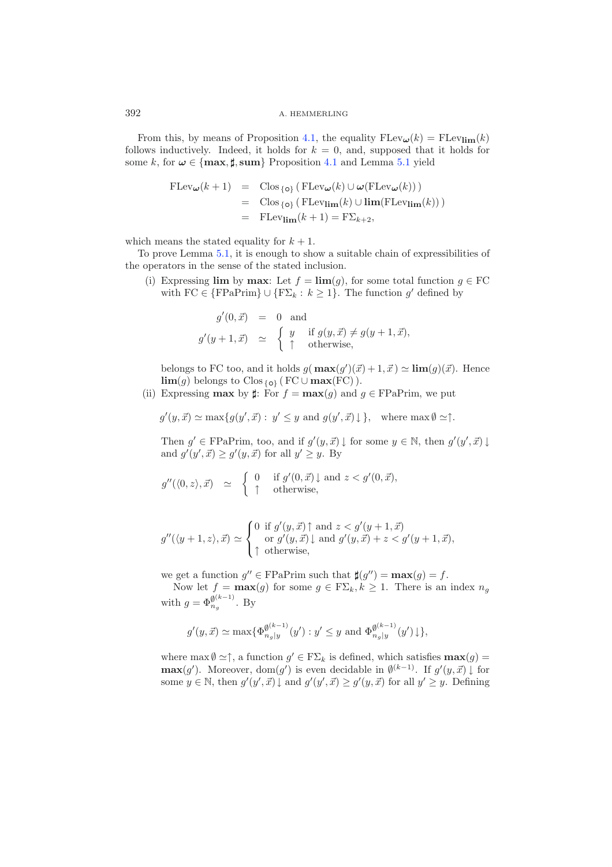From this, by means of Proposition [4.1,](#page-10-0) the equality  $FLev_{\omega}(k) = FLev_{\text{lim}}(k)$ follows inductively. Indeed, it holds for  $k = 0$ , and, supposed that it holds for some k, for  $\omega \in \{\text{max}, \sharp, \text{sum}\}$  Proposition [4.1](#page-10-0) and Lemma [5.1](#page-12-0) yield

$$
\begin{array}{rcl}\n\text{FLev}_{\omega}(k+1) & = & \text{Clos}_{\{o\}} \left( \text{FLev}_{\omega}(k) \cup \omega(\text{FLev}_{\omega}(k)) \right) \\
& = & \text{Clos}_{\{o\}} \left( \text{FLev}_{\text{lim}}(k) \cup \text{lim}(\text{FLev}_{\text{lim}}(k)) \right) \\
& = & \text{FLev}_{\text{lim}}(k+1) = \text{F}\Sigma_{k+2},\n\end{array}
$$

which means the stated equality for  $k + 1$ .

To prove Lemma [5.1,](#page-12-0) it is enough to show a suitable chain of expressibilities of the operators in the sense of the stated inclusion.

(i) Expressing **lim** by **max**: Let  $f = \lim(g)$ , for some total function  $g \in \mathbf{FC}$ with FC  $\in \{FPaPrim\} \cup \{F\Sigma_k : k \geq 1\}$ . The function g' defined by

$$
g'(0, \vec{x}) = 0 \text{ and}
$$
  
\n
$$
g'(y+1, \vec{x}) \simeq \begin{cases} y & \text{if } g(y, \vec{x}) \neq g(y+1, \vec{x}), \\ \uparrow & \text{otherwise,} \end{cases}
$$

belongs to FC too, and it holds  $g(\max(g')(\vec{x})+1, \vec{x}) \simeq \lim(g)(\vec{x})$ . Hence **lim**(g) belongs to Clos {**o**} ( $FC ∪ max(FC)$ ).

(ii) Expressing **max** by  $\sharp$ : For  $f = \max(g)$  and  $g \in \text{FPaPrim}$ , we put

$$
g'(y, \vec{x}) \simeq \max\{g(y', \vec{x}) : y' \leq y \text{ and } g(y', \vec{x})\downarrow\}, \text{ where } \max \emptyset \simeq \uparrow.
$$

Then  $g' \in \text{FPaPrim}$ , too, and if  $g'(y, \vec{x}) \downarrow$  for some  $y \in \mathbb{N}$ , then  $g'(y', \vec{x}) \downarrow$ and  $g'(y',\vec{x}) \ge g'(y,\vec{x})$  for all  $y' \ge y$ . By

$$
g''(\langle 0, z \rangle, \vec{x}) \quad \simeq \quad \begin{cases} \begin{array}{rcl} 0 & \text{if } g'(0, \vec{x}) \downarrow \text{ and } z < g'(0, \vec{x}), \\ \uparrow & \text{otherwise,} \end{array} \end{cases}
$$

$$
g''(\langle y+1,z\rangle,\vec{x}) \simeq \begin{cases} 0 \text{ if } g'(y,\vec{x}) \uparrow \text{ and } z < g'(y+1,\vec{x}) \\ \text{ or } g'(y,\vec{x}) \downarrow \text{ and } g'(y,\vec{x}) + z < g'(y+1,\vec{x}), \\ \uparrow \text{ otherwise,} \end{cases}
$$

we get a function  $g'' \in \text{FPaPrim}$  such that  $\sharp(g'') = \max(g) = f$ .

Now let  $f = \max(g)$  for some  $g \in F\Sigma_k, k \ge 1$ . There is an index  $n_g$ with  $g = \Phi_{n_g}^{\emptyset^{(k-1)}}$ . By

$$
g'(y, \vec{x}) \simeq \max\{\Phi_{n_g|y}^{\emptyset(k-1)}(y') : y' \leq y \text{ and } \Phi_{n_g|y}^{\emptyset(k-1)}(y')\}\},
$$

where  $\max \emptyset \simeq \uparrow$ , a function  $g' \in F\Sigma_k$  is defined, which satisfies  $\max(g)$ **max**(g'). Moreover, dom(g') is even decidable in  $\emptyset^{(k-1)}$ . If  $g'(y, \vec{x}) \downarrow$  for some  $y \in \mathbb{N}$ , then  $g'(y', \vec{x}) \downarrow$  and  $g'(y', \vec{x}) \ge g'(y, \vec{x})$  for all  $y' \ge y$ . Defining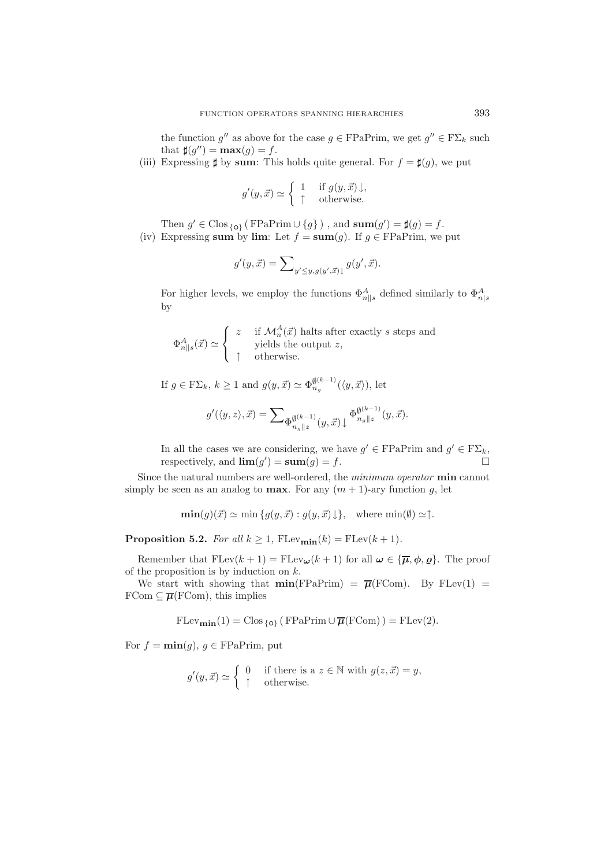the function g'' as above for the case  $g \in \mathrm{FPaPrim}$ , we get  $g'' \in \mathrm{F\Sigma}_k$  such that  $\sharp(g'') = \max(g) = f$ .

(iii) Expressing  $\sharp$  by sum: This holds quite general. For  $f = \sharp(g)$ , we put

$$
g'(y, \vec{x}) \simeq \begin{cases} 1 & \text{if } g(y, \vec{x}) \downarrow, \\ \uparrow & \text{otherwise.} \end{cases}
$$

Then  $g' \in \text{Clos}_{\{o\}}$  (FPaPrim  $\cup \{g\}$ ), and  $\text{sum}(g') = \sharp(g) = f$ .

(iv) Expressing **sum** by **lim**: Let  $f = \textbf{sum}(g)$ . If  $g \in \text{FPaPrim}$ , we put

$$
g'(y, \vec{x}) = \sum_{y' \leq y, g(y', \vec{x})\downarrow} g(y', \vec{x}).
$$

For higher levels, we employ the functions  $\Phi_{n||s}^A$  defined similarly to  $\Phi_{n|s}^A$ by

$$
\Phi^A_{n\parallel s}(\vec{x}) \simeq \left\{ \begin{array}{cl} z & \text{if } \mathcal{M}_n^A(\vec{x}) \text{ halts after exactly } s \text{ steps and} \\ & \text{yields the output } z, \\ & \uparrow & \text{otherwise.} \end{array} \right.
$$

If  $g \in F\Sigma_k$ ,  $k \ge 1$  and  $g(y, \vec{x}) \simeq \Phi_{n_g}^{\emptyset^{(k-1)}}(\langle y, \vec{x} \rangle)$ , let

$$
g'(\langle y, z \rangle, \vec{x}) = \sum_{\Phi_{n_g||z}^{\emptyset(k-1)}(y, \vec{x})} \Phi_{n_g||z}^{\emptyset^{(k-1)}}(y, \vec{x}).
$$

In all the cases we are considering, we have  $g' \in \text{FPaPrim}$  and  $g' \in \text{F}\Sigma_k$ , respectively, and  $\lim(g') = \textbf{sum}(g) = f$ .

Since the natural numbers are well-ordered, the *minimum operator* **min** cannot simply be seen as an analog to **max**. For any  $(m + 1)$ -ary function g, let

 $\min(g)(\vec{x}) \simeq \min\{g(y, \vec{x}) : g(y, \vec{x}) \downarrow\}, \text{ where } \min(\emptyset) \simeq \uparrow.$ 

**Proposition 5.2.** *For all*  $k \geq 1$ ,  $\text{FLev}_{\text{min}}(k) = \text{FLev}(k+1)$ *.* 

Remember that  $FLev(k + 1) = FLev_{\omega}(k + 1)$  for all  $\omega \in {\overline{\mu}, \phi, \rho}$ . The proof of the proposition is by induction on  $k$ .

We start with showing that  $\min(\text{FPaPrim}) = \overline{\mu}(\text{FCom})$ . By FLev(1) =  $\text{FCom} \subseteq \overline{\mu}(\text{FCom})$ , this implies

 $FLev_{\textbf{min}}(1) = C \log_{10} (FPaPrim \cup \overline{\mu}(FCom)) = FLev(2).$ 

For  $f = \min(g)$ ,  $g \in \text{FPaPrim}$ , put

$$
g'(y, \vec{x}) \simeq \begin{cases} 0 & \text{if there is a } z \in \mathbb{N} \text{ with } g(z, \vec{x}) = y, \\ \uparrow & \text{otherwise.} \end{cases}
$$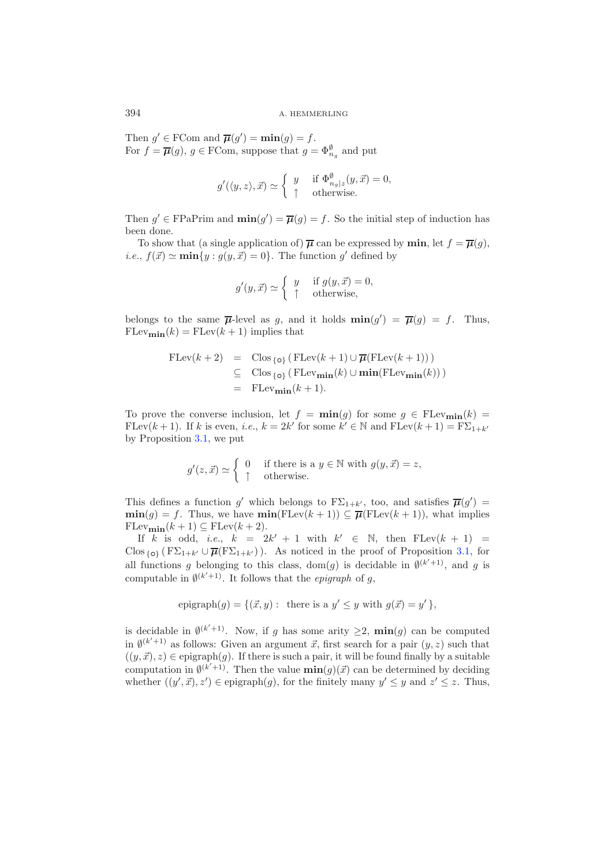Then  $g' \in \text{FCom and } \overline{\mu}(g') = \min(g) = f$ . For  $f = \overline{\mu}(g)$ ,  $g \in \text{FCom}$ , suppose that  $g = \Phi_{n_g}^{\emptyset}$  and put

$$
g'(\langle y, z \rangle, \vec{x}) \simeq \begin{cases} y & \text{if } \Phi_{n_g|z}^{\emptyset}(y, \vec{x}) = 0, \\ \uparrow & \text{otherwise.} \end{cases}
$$

Then  $g' \in \text{FPaPrim}$  and  $\min(g') = \overline{\mu}(g) = f$ . So the initial step of induction has been done.

To show that (a single application of)  $\overline{\mu}$  can be expressed by **min**, let  $f = \overline{\mu}(g)$ , *i.e.*,  $f(\vec{x}) \simeq \min\{y : g(y, \vec{x}) = 0\}$ . The function g' defined by

$$
g'(y, \vec{x}) \simeq \begin{cases} y & \text{if } g(y, \vec{x}) = 0, \\ \uparrow & \text{otherwise,} \end{cases}
$$

belongs to the same  $\overline{\mu}$ -level as g, and it holds  $\min(g') = \overline{\mu}(g) = f$ . Thus,  $FLev_{\textbf{min}}(k) = FLev(k+1)$  implies that

$$
\begin{array}{rcl}\n\text{FLev}(k+2) & = & \text{Clos}_{\{o\}} \left( \text{FLev}(k+1) \cup \overline{\mu}(\text{FLev}(k+1)) \right) \\
& \subseteq & \text{Clos}_{\{o\}} \left( \text{FLev}_{\text{min}}(k) \cup \text{min}(\text{FLev}_{\text{min}}(k)) \right) \\
& = & \text{FLev}_{\text{min}}(k+1).\n\end{array}
$$

To prove the converse inclusion, let  $f = \min(g)$  for some  $g \in \text{FLev}_{\min}(k)$ FLev $(k + 1)$ . If k is even, *i.e.*,  $k = 2k'$  for some  $k' \in \mathbb{N}$  and  $\text{FLev}(k + 1) = \text{F}\Sigma_{1+k'}$ by Proposition [3.1,](#page-7-0) we put

$$
g'(z, \vec{x}) \simeq \begin{cases} 0 & \text{if there is a } y \in \mathbb{N} \text{ with } g(y, \vec{x}) = z, \\ \uparrow & \text{otherwise.} \end{cases}
$$

This defines a function g' which belongs to  $F\Sigma_{1+k'}$ , too, and satisfies  $\overline{\mu}(g') = \min(e) - f$ . Thus we have  $\min(F[\alpha](h+1)) \subset \overline{\pi}(F[\alpha](h+1))$ , what implies  $\min(g) = f$ . Thus, we have  $\min(\text{FLev}(k+1)) \subseteq \overline{\mu}(\text{FLev}(k+1))$ , what implies  $FLev_{\textbf{min}}(k+1) \subseteq FLev(k+2).$ 

If k is odd, *i.e.*,  $k = 2k' + 1$  with  $k' \in \mathbb{N}$ , then  $F \text{Lev}(k + 1) =$ Clos  $\{\mathbf{o}\}\left(\mathbf{F}\Sigma_{1+k'}\cup\overline{\boldsymbol{\mu}}(\mathbf{F}\Sigma_{1+k'})\right)$ . As noticed in the proof of Proposition [3.1,](#page-7-0) for all functions g belonging to this class, dom(g) is decidable in  $\emptyset^{(k'+1)}$ , and g is computable in  $\emptyset^{(k'+1)}$ . It follows that the *epigraph* of g,

epigraph
$$
(g)
$$
 = { $(\vec{x}, y)$ : there is a  $y' \leq y$  with  $g(\vec{x}) = y'$ },

is decidable in  $\mathbf{0}^{(k'+1)}$ . Now, if g has some arity  $\geq 2$ ,  $\min(g)$  can be computed in  $\emptyset^{(k'+1)}$  as follows: Given an argument  $\vec{x}$ , first search for a pair  $(y, z)$  such that  $((y, \vec{x}), z) \in$  epigraph $(g)$ . If there is such a pair, it will be found finally by a suitable computation in  $\phi^{(k'+1)}$ . Then the value  $\min(g)(\vec{x})$  can be determined by deciding whether  $((y', \vec{x}), z') \in \text{epigraph}(g)$ , for the finitely many  $y' \leq y$  and  $z' \leq z$ . Thus,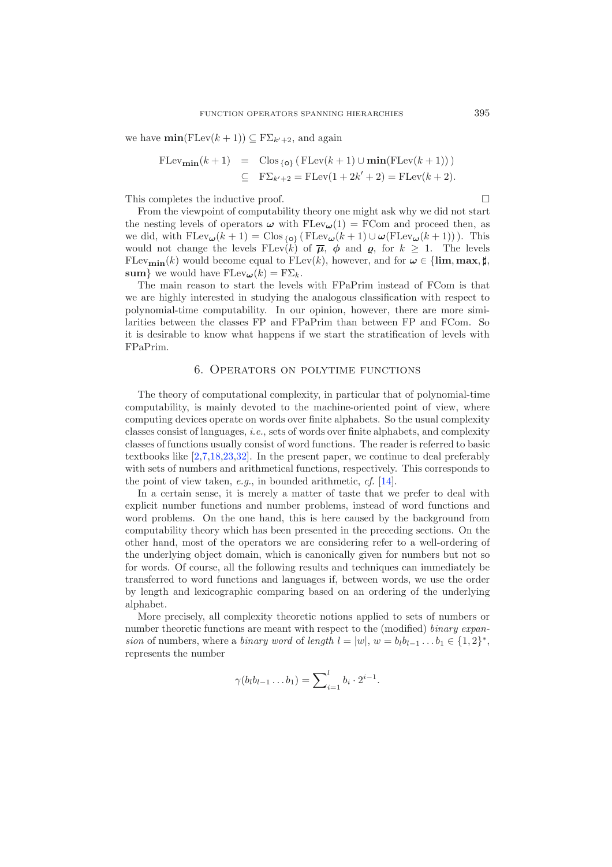we have  $\min(\text{FLev}(k+1)) \subseteq \text{F}\Sigma_{k'+2}$ , and again

$$
\begin{array}{rcl}\n\text{FLev}_{\mathbf{min}}(k+1) & = & \text{Clos}_{\{0\}} \left( \text{FLev}(k+1) \cup \mathbf{min}(\text{FLev}(k+1)) \right) \\
& \subseteq & \text{F\Sigma}_{k'+2} = \text{FLev}(1+2k'+2) = \text{FLev}(k+2).\n\end{array}
$$

This completes the inductive proof.  $\Box$ 

From the viewpoint of computability theory one might ask why we did not start the nesting levels of operators  $\omega$  with  $FLev_{\omega}(1) = FCom$  and proceed then, as we did, with  $FLev_{\omega}(k+1) = \text{Clos}_{\{o\}} (\text{FLev}_{\omega}(k+1) \cup \omega (\text{FLev}_{\omega}(k+1)))$ . This would not change the levels  $FLev(k)$  of  $\overline{\mu}$ ,  $\phi$  and  $\phi$ , for  $k \geq 1$ . The levels FLev<sub>min</sub> $(k)$  would become equal to FLev $(k)$ , however, and for  $\omega \in \{\lim, \max, \sharp\}$ , **sum**} we would have  $\text{FLev}_{\omega}(k) = \text{F}\Sigma_k$ .

The main reason to start the levels with FPaPrim instead of FCom is that we are highly interested in studying the analogous classification with respect to polynomial-time computability. In our opinion, however, there are more similarities between the classes FP and FPaPrim than between FP and FCom. So it is desirable to know what happens if we start the stratification of levels with FPaPrim.

### 6. Operators on polytime functions

The theory of computational complexity, in particular that of polynomial-time computability, is mainly devoted to the machine-oriented point of view, where computing devices operate on words over finite alphabets. So the usual complexity classes consist of languages, *i.e.*, sets of words over finite alphabets, and complexity classes of functions usually consist of word functions. The reader is referred to basic textbooks like [\[2](#page-38-1)[,7](#page-39-18)[,18](#page-39-19)[,23](#page-39-8)[,32\]](#page-39-20). In the present paper, we continue to deal preferably with sets of numbers and arithmetical functions, respectively. This corresponds to the point of view taken, *e.g.*, in bounded arithmetic, *cf.* [\[14\]](#page-39-21).

In a certain sense, it is merely a matter of taste that we prefer to deal with explicit number functions and number problems, instead of word functions and word problems. On the one hand, this is here caused by the background from computability theory which has been presented in the preceding sections. On the other hand, most of the operators we are considering refer to a well-ordering of the underlying object domain, which is canonically given for numbers but not so for words. Of course, all the following results and techniques can immediately be transferred to word functions and languages if, between words, we use the order by length and lexicographic comparing based on an ordering of the underlying alphabet.

More precisely, all complexity theoretic notions applied to sets of numbers or number theoretic functions are meant with respect to the (modified) *binary expansion* of numbers, where a *binary word* of *length*  $l = |w|$ ,  $w = b_l b_{l-1} \ldots b_1 \in \{1, 2\}^*,$ represents the number

$$
\gamma(b_l b_{l-1} \ldots b_1) = \sum_{i=1}^l b_i \cdot 2^{i-1}.
$$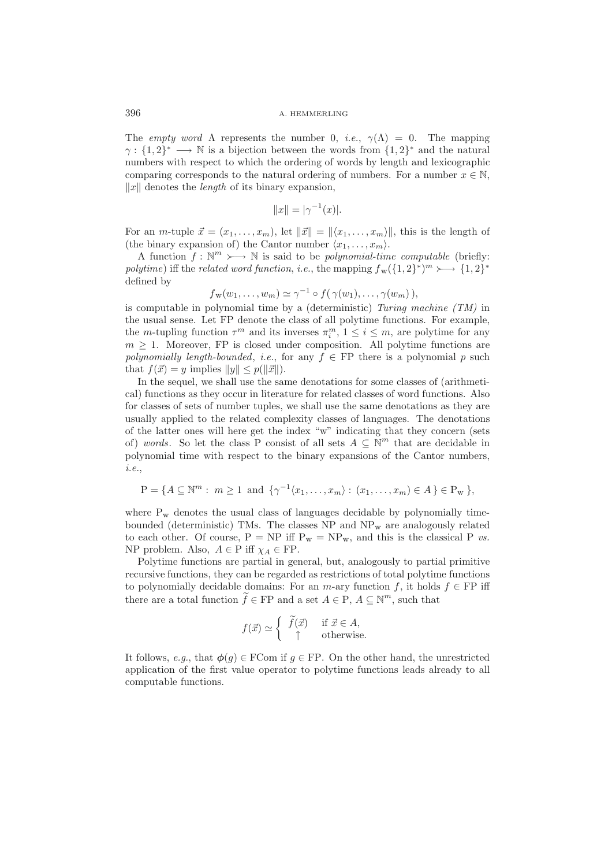The *empty word*  $\Lambda$  represents the number 0, *i.e.*,  $\gamma(\Lambda) = 0$ . The mapping  $\gamma: \{1,2\}^* \longrightarrow \mathbb{N}$  is a bijection between the words from  $\{1,2\}^*$  and the natural numbers with respect to which the ordering of words by length and lexicographic comparing corresponds to the natural ordering of numbers. For a number  $x \in \mathbb{N}$ ,  $||x||$  denotes the *length* of its binary expansion,

$$
||x|| = |\gamma^{-1}(x)|.
$$

For an *m*-tuple  $\vec{x} = (x_1, \ldots, x_m)$ , let  $\|\vec{x}\| = \langle x_1, \ldots, x_m \rangle$ , this is the length of (the binary expansion of) the Cantor number  $\langle x_1, \ldots, x_m \rangle$ .

A function  $f: \mathbb{N}^m \rightarrow \mathbb{N}$  is said to be *polynomial-time computable* (briefly: *polytime*) iff the *related word function*, *i.e.*, the mapping  $f_{w}(\{1,2\}^*)^m \rightarrow \{1,2\}^*$ defined by

$$
f_{\mathbf{w}}(w_1,\ldots,w_m) \simeq \gamma^{-1} \circ f(\gamma(w_1),\ldots,\gamma(w_m)),
$$

 $f_{\mathbf{w}}(w_1,\ldots,w_m) \simeq \gamma^{-1} \circ f(\gamma(w_1),\ldots,\gamma(w_m)),$ <br>is computable in polynomial time by a (deterministic) *Turing machine (TM)* in the usual sense. Let FP denote the class of all polytime functions. For example, the m-tupling function  $\tau^m$  and its inverses  $\pi_i^m$ ,  $1 \le i \le m$ , are polytime for any  $m > 1$ . Moreover, EP is closed under composition. All polytime functions are  $m \geq 1$ . Moreover, FP is closed under composition. All polytime functions are *polynomially length-bounded*, *i.e.*, for any  $f \in FP$  there is a polynomial p such that  $f(\vec{x}) = y$  implies  $||y|| \leq p(||\vec{x}||)$ .

In the sequel, we shall use the same denotations for some classes of (arithmetical) functions as they occur in literature for related classes of word functions. Also for classes of sets of number tuples, we shall use the same denotations as they are usually applied to the related complexity classes of languages. The denotations of the latter ones will here get the index "w" indicating that they concern (sets of) *words*. So let the class P consist of all sets  $A \subseteq \mathbb{N}^m$  that are decidable in polynomial time with respect to the binary expansions of the Cantor numbers, *i.e.*,

$$
P = \{A \subseteq \mathbb{N}^m : m \ge 1 \text{ and } \{\gamma^{-1}(x_1, ..., x_m) : (x_1, ..., x_m) \in A\} \in P_{\mathbf{w}}\},\
$$

where  $P_w$  denotes the usual class of languages decidable by polynomially timebounded (deterministic) TMs. The classes  $NP$  and  $NP_w$  are analogously related to each other. Of course,  $P = NP$  iff  $P_w = NP_w$ , and this is the classical P *vs.* NP problem. Also,  $A \in \mathcal{P}$  iff  $\chi_A \in \mathcal{FP}$ .

Polytime functions are partial in general, but, analogously to partial primitive recursive functions, they can be regarded as restrictions of total polytime functions to polynomially decidable domains: For an  $m$ -ary function f, it holds  $f \in FP$  iff there are a total function  $\tilde{f} \in \text{FP}$  and a set  $A \in \text{P}, A \subseteq \mathbb{N}^m$ , such that

$$
f(\vec{x}) \simeq \begin{cases} \tilde{f}(\vec{x}) & \text{if } \vec{x} \in A, \\ \uparrow & \text{otherwise.} \end{cases}
$$

It follows, *e.g.*, that  $\phi(g) \in \text{FCom if } g \in \text{FP}$ . On the other hand, the unrestricted application of the first value operator to polytime functions leads already to all computable functions.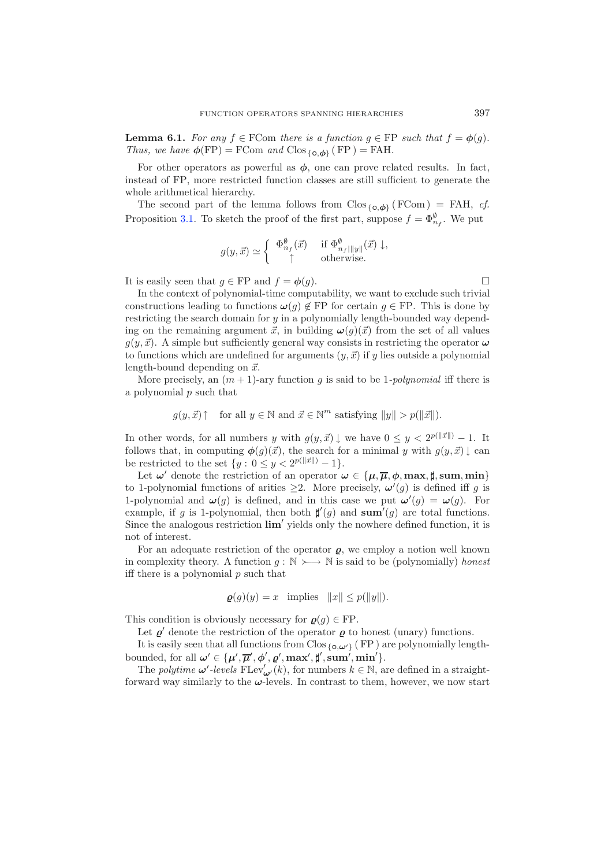**Lemma 6.1.** *For any*  $f \in \text{FCom}$  *there is a function*  $g \in \text{FP}$  *such that*  $f = \phi(g)$ *. Thus, we have*  $\phi(\text{FP}) = \text{FCom}$  *and*  $\text{Clos}_{\{\text{o}, \phi\}}(\text{FP}) = \text{FAH}.$ 

For other operators as powerful as  $\phi$ , one can prove related results. In fact, instead of FP, more restricted function classes are still sufficient to generate the whole arithmetical hierarchy.

The second part of the lemma follows from  $C$ los  ${_{\{\mathbf{o}, \phi\}}}$  (FCom) = FAH, *cf.* Proposition [3.1.](#page-7-0) To sketch the proof of the first part, suppose  $f = \Phi_{n_f}^{\emptyset}$ . We put

$$
g(y,\vec{x}) \simeq \begin{cases} \Phi_{n_f}^{\emptyset}(\vec{x}) & \text{if } \Phi_{n_f|||y||}^{\emptyset}(\vec{x}) \downarrow, \\ \uparrow & \text{otherwise.} \end{cases}
$$

It is easily seen that  $g \in \text{FP}$  and  $f = \phi(g)$ .

In the context of polynomial-time computability, we want to exclude such trivial constructions leading to functions  $\omega(g) \notin FP$  for certain  $g \in FP$ . This is done by restricting the search domain for y in a polynomially length-bounded way depending on the remaining argument  $\vec{x}$ , in building  $\omega(g)(\vec{x})$  from the set of all values  $g(y, \vec{x})$ . A simple but sufficiently general way consists in restricting the operator  $\omega$ to functions which are undefined for arguments  $(y, \vec{x})$  if y lies outside a polynomial length-bound depending on  $\vec{x}$ .

More precisely, an  $(m + 1)$ -ary function q is said to be 1-*polynomial* iff there is a polynomial  $p$  such that

$$
g(y, \vec{x}) \uparrow
$$
 for all  $y \in \mathbb{N}$  and  $\vec{x} \in \mathbb{N}^m$  satisfying  $||y|| > p(||\vec{x}||)$ .

In other words, for all numbers y with  $g(y, \vec{x}) \downarrow$  we have  $0 \leq y < 2^{p(||\vec{x}||)} - 1$ . It follows that, in computing  $\phi(g)(\vec{x})$ , the search for a minimal y with  $g(y, \vec{x}) \downarrow$  can be restricted to the set  $\{y: 0 \le y < 2^{p(||\vec{x}||)} - 1\}.$ 

Let  $\omega'$  denote the restriction of an operator  $\omega \in {\mu, \overline{\mu}, \phi, \max, \sharp, \text{sum}, \min}$ to 1-polynomial functions of arities  $\geq$ 2. More precisely,  $\omega'(g)$  is defined iff g is 1-polynomial and  $\omega(g)$  is defined, and in this case we put  $\omega'(g) = \omega(g)$ . For example, if g is 1-polynomial, then both  $\sharp'(g)$  and **sum**<sup>'</sup>(g) are total functions. Since the analogous restriction  $\lim'$  yields only the nowhere defined function, it is not of interest.

For an adequate restriction of the operator  $\rho$ , we employ a notion well known in complexity theory. A function  $g : \mathbb{N} \rightarrow \mathbb{N}$  is said to be (polynomially) *honest* iff there is a polynomial  $p$  such that

$$
\boldsymbol{g}(g)(y) = x \quad \text{implies} \quad ||x|| \leq p(||y||).
$$

This condition is obviously necessary for  $\varrho(g) \in FP$ .

Let  $\rho'$  denote the restriction of the operator  $\rho$  to honest (unary) functions.

It is easily seen that all functions from Clos  ${_{\{\mathbf{o}, \boldsymbol{\omega}'\}}(FP)}$  are polynomially lengthbounded, for all  $\omega' \in {\{\mu', \overline{\mu}', \phi', \varrho', \max', \sharp', \text{sum'}, \min'\}.$ 

The *polytime*  $\omega'$ -levels  $FLev'_{\omega'}(k)$ , for numbers  $k \in \mathbb{N}$ , are defined in a straightforward way similarly to the *ω*-levels. In contrast to them, however, we now start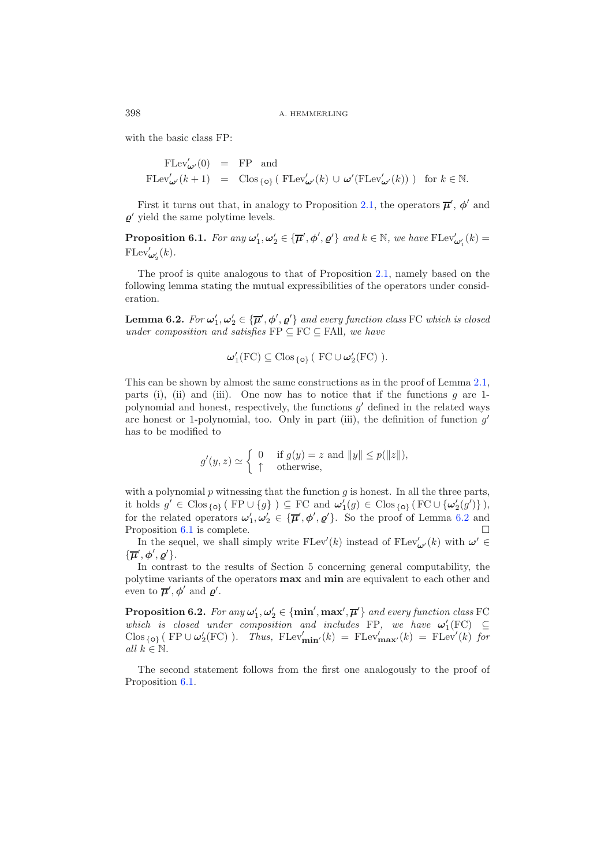398 A. HEMMERLING

with the basic class FP:

$$
\begin{array}{rcl}\n\text{FLev}'_{\pmb{\omega}'}(0) & = & \text{FP} \quad \text{and} \\
\text{FLev}'_{\pmb{\omega}'}(k+1) & = & \text{Clos}_{\{\mathbf{o}\}}\left(\text{ FLev}'_{\pmb{\omega}'}(k)\cup \pmb{\omega}'(\text{FLev}'_{\pmb{\omega}'}(k)\right)\right) \quad \text{for } k \in \mathbb{N}.\n\end{array}
$$

<span id="page-19-1"></span>First it turns out that, in analogy to Proposition [2.1,](#page-4-0) the operators  $\overline{\mu}'$ ,  $\phi'$  and  $\varrho'$  yield the same polytime levels.

**Proposition 6.1.** *For any*  $\omega'_1, \omega'_2 \in {\{\overline{\mu}', \phi', \varrho'\}}$  *and*  $k \in \mathbb{N}$ *, we have*  $\text{FLev}'_{\omega'_1}(k) =$  $FLev'_{\boldsymbol{\omega}_2'}(k)$ .

<span id="page-19-0"></span>The proof is quite analogous to that of Proposition [2.1,](#page-4-0) namely based on the following lemma stating the mutual expressibilities of the operators under consideration.

**Lemma 6.2.** *For*  $\omega'_1, \omega'_2 \in {\overline{\mu}}', \phi', \varrho'$  *and every function class* FC *which is closed under composition and satisfies* FP ⊆ FC ⊆ FAll*, we have*

$$
\boldsymbol{\omega}'_1(\mathrm{FC}) \subseteq \mathrm{Clos}_{\{\mathbf{o}\}} (\mathrm{FC} \cup \boldsymbol{\omega}'_2(\mathrm{FC})).
$$

This can be shown by almost the same constructions as in the proof of Lemma [2.1,](#page-4-1) parts (i), (ii) and (iii). One now has to notice that if the functions  $g$  are 1polynomial and honest, respectively, the functions  $g'$  defined in the related ways are honest or 1-polynomial, too. Only in part (iii), the definition of function  $g'$ has to be modified to

$$
g'(y, z) \simeq \begin{cases} 0 & \text{if } g(y) = z \text{ and } ||y|| \le p(||z||), \\ \uparrow & \text{otherwise,} \end{cases}
$$

with a polynomial  $p$  witnessing that the function  $q$  is honest. In all the three parts, it holds  $g' \in \text{Clos}_{\{o\}}$  (FP ∪  $\{g\}$ ) ⊆ FC and  $\omega'_1(g) \in \text{Clos}_{\{o\}}$  (FC ∪  $\{\omega'_2(g')\}$ ), for the related operators  $\omega'_1, \omega'_2 \in {\{\overline{\mu}', \phi', \varrho'\}}$ . So the proof of Lemma [6.2](#page-19-0) and Proposition [6.1](#page-19-1) is complete.  $\Box$  $\Box$ 

In the sequel, we shall simply write  $\text{FLev}'(k)$  instead of  $\text{FLev}'_{\omega'}(k)$  with  $\omega' \in$  $\{\overline{\mu}', \phi', \varrho'\}.$ 

In contrast to the results of Section 5 concerning general computability, the polytime variants of the operators **max** and **min** are equivalent to each other and even to  $\overline{\mu}', \phi'$  and  $\varrho'$ .

<span id="page-19-2"></span>**Proposition 6.2.** *For any*  $\omega'_1, \omega'_2 \in \{\min', \max', \overline{\mu}'\}$  *and every function class* FC *which is closed under composition and includes* FP, we have  $\omega'_{1}(FC) \subseteq$  $\text{Clos}_{\{o\}}$  (FP  $\cup \omega_2'$  (FC) )*. Thus,*  $\text{FLev}'_{\text{min}'}(k) = \text{FLev}'_{\text{max}'}(k) = \text{FLev}'(k)$  for *all*  $k \in \mathbb{N}$ *.* 

The second statement follows from the first one analogously to the proof of Proposition [6.1.](#page-19-1)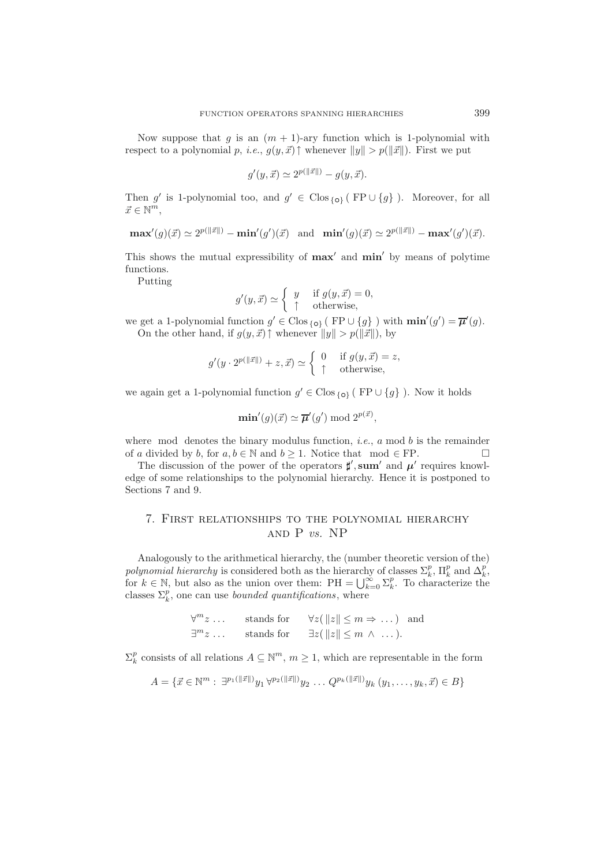Now suppose that g is an  $(m + 1)$ -ary function which is 1-polynomial with respect to a polynomial p, *i.e.*,  $g(y, \vec{x}) \uparrow$  whenever  $||y|| > p(||\vec{x}||)$ . First we put

$$
g'(y, \vec{x}) \simeq 2^{p(||\vec{x}||)} - g(y, \vec{x}).
$$

Then g' is 1-polynomial too, and  $g' \in \text{Clos}_{\{0\}}$  (FP ∪ {g}). Moreover, for all  $\vec{x} \in \mathbb{N}^m$ ,

$$
\mathbf{max}'(g)(\vec{x}) \simeq 2^{p(||\vec{x}||)} - \mathbf{min}'(g')(\vec{x}) \quad \text{and} \quad \mathbf{min}'(g)(\vec{x}) \simeq 2^{p(||\vec{x}||)} - \mathbf{max}'(g')(\vec{x}).
$$

This shows the mutual expressibility of **max'** and **min'** by means of polytime functions.

Putting

$$
g'(y, \vec{x}) \simeq \begin{cases} y & \text{if } g(y, \vec{x}) = 0, \\ \uparrow & \text{otherwise,} \end{cases}
$$

we get a 1-polynomial function  $g' \in \text{Clos}_{\{o\}}$  ( $\text{FP} \cup \{g\}$ ) with  $\min'(g') = \overline{\mu}'(g)$ . On the other hand, if  $g(y, \vec{x}) \uparrow$  whenever  $||y|| > p(||\vec{x}||)$ , by

$$
g'(y \cdot 2^{p(||\vec{x}||)} + z, \vec{x}) \simeq \begin{cases} 0 & \text{if } g(y, \vec{x}) = z, \\ \uparrow & \text{otherwise,} \end{cases}
$$

we again get a 1-polynomial function  $g' \in \text{Clos}_{\{o\}}$  ( FP  $\cup \{g\}$  ). Now it holds

$$
\min'(g)(\vec{x}) \simeq \overline{\mu}'(g') \bmod 2^{p(\vec{x})},
$$

where mod denotes the binary modulus function, *i.e.*,  $a \mod b$  is the remainder of a divided by b, for  $a, b \in \mathbb{N}$  and  $b \ge 1$ . Notice that mod  $\in \text{FP}$ .

The discussion of the power of the operators  $\sharp'$ , sum' and  $\mu'$  requires knowledge of some relationships to the polynomial hierarchy. Hence it is postponed to Sections 7 and 9.

### 7. First relationships to the polynomial hierarchy and P *vs.* NP

Analogously to the arithmetical hierarchy, the (number theoretic version of the) *polynomial hierarchy* is considered both as the hierarchy of classes  $\Sigma_k^p$ ,  $\Pi_k^p$  and  $\Delta_k^p$ , polynomial hierarchy is considered both as the hierarchy of classes  $\Sigma_k^p$ ,  $\Pi_k^p$  and  $\Delta_k^p$ , for  $k \in \mathbb{N}$ , but also as the union over them:  $PH = \bigcup_{k=0}^{\infty} \Sigma_k^p$ . To characterize the classes  $\Sigma_k^p$ , one can use

| $\forall^m z\,\ldots$ | stands for | $\forall z(\Vert z \Vert \leq m \Rightarrow \dots)$ and |  |
|-----------------------|------------|---------------------------------------------------------|--|
| $\exists^m z \dots$   | stands for | $\exists z(\Vert z \Vert \leq m \wedge \dots).$         |  |

 $\Sigma_k^p$  consists of all relations  $A \subseteq \mathbb{N}^m$ ,  $m \ge 1$ , which are representable in the form

$$
A = \{ \vec{x} \in \mathbb{N}^m : \exists^{p_1(||\vec{x}||)} y_1 \forall^{p_2(||\vec{x}||)} y_2 \dots Q^{p_k(||\vec{x}||)} y_k (y_1, \dots, y_k, \vec{x}) \in B \}
$$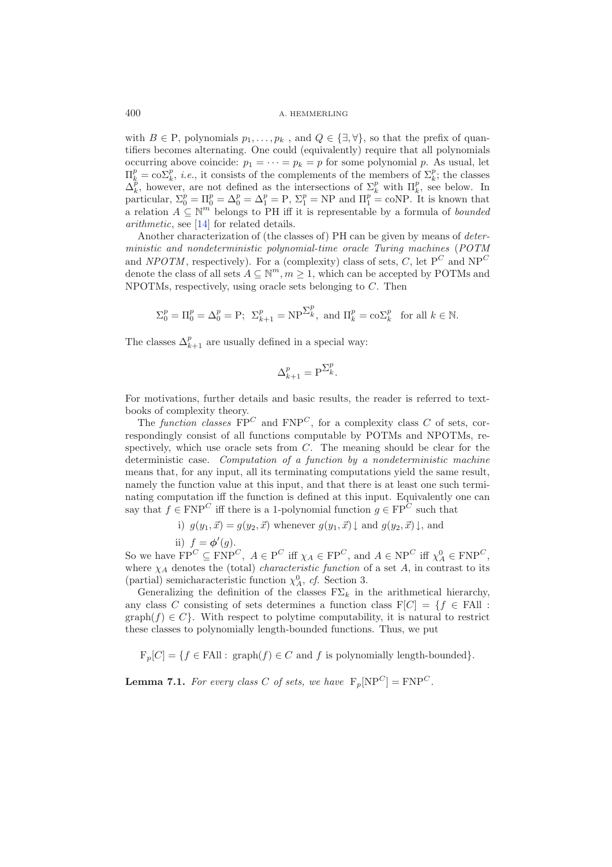#### 400 A. HEMMERLING

with  $B \in \mathcal{P}$ , polynomials  $p_1, \ldots, p_k$ , and  $Q \in \{\exists, \forall\}$ , so that the prefix of quantifiers becomes alternating. One could (equivalently) require that all polynomials occurring above coincide:  $p_1 = \cdots = p_k = p$  for some polynomial p. As usual, let  $\Pi_k^p = \text{co}\Sigma_k^p$ , *i.e.*, it consists of the complements of the members of  $\Sigma_k^p$ ; the classes  $\Delta^p$  however are not defined as the intersections of  $\Sigma_k^p$  with  $\Pi^p$  see below. In  $\Delta_k^p$ , however, are not defined as the intersections of  $\Sigma_k^p$  with  $\Pi_k^p$ , see below. In particular,  $\Sigma_0^p = \Pi_0^p = \Delta_0^p = \Delta_1^p = \mathcal{P}$ ,  $\Sigma_1^p = \mathcal{NP}$  and  $\Pi_1^p = \text{coNP}$ . It is known that a relation  $A \subseteq \mathbb{N}^m$  belongs to PH iff it is representable by a formula of *bounded arithmetic*, see [\[14\]](#page-39-21) for related details.

Another characterization of (the classes of) PH can be given by means of *deterministic and nondeterministic polynomial-time oracle Turing machines* (*POTM* and *NPOTM*, respectively). For a (complexity) class of sets,  $C$ , let  $P^C$  and  $NP^C$ denote the class of all sets  $A \subseteq \mathbb{N}^m$ ,  $m \geq 1$ , which can be accepted by POTMs and NPOTMs, respectively, using oracle sets belonging to C. Then

$$
\Sigma_0^p = \Pi_0^p = \Delta_0^p = \mathbf{P}; \ \Sigma_{k+1}^p = \mathbf{NP}^{\Sigma_k^p}, \text{ and } \Pi_k^p = \mathbf{co}\Sigma_k^p \text{ for all } k \in \mathbb{N}.
$$

The classes  $\Delta_{k+1}^p$  are usually defined in a special way:

$$
\Delta_{k+1}^p = \mathbf{P}^{\sum_k^p}.
$$

For motivations, further details and basic results, the reader is referred to textbooks of complexity theory.

The *function classes*  $\overline{FP}^C$  and  $\overline{FNP}^C$ , for a complexity class C of sets, correspondingly consist of all functions computable by POTMs and NPOTMs, respectively, which use oracle sets from  $C$ . The meaning should be clear for the deterministic case. *Computation of a function by a nondeterministic machine* means that, for any input, all its terminating computations yield the same result, namely the function value at this input, and that there is at least one such terminating computation iff the function is defined at this input. Equivalently one can say that  $f \in \text{FNP}^C$  iff there is a 1-polynomial function  $g \in \text{FP}^C$  such that

i) 
$$
g(y_1, \vec{x}) = g(y_2, \vec{x})
$$
 whenever  $g(y_1, \vec{x}) \downarrow$  and  $g(y_2, \vec{x}) \downarrow$ , and

ii)  $f = \phi'(g)$ .

So we have  $\text{FP}^C \subseteq \text{FNP}^C$ ,  $A \in \text{P}^C$  iff  $\chi_A \in \text{FP}^C$ , and  $A \in \text{NP}^C$  iff  $\chi_A^0 \in \text{FNP}^C$ ,<br>where  $\chi_A$  denotes the (total) characteristic function of a set A in contrast to its where  $\chi_A$  denotes the (total) *characteristic function* of a set A, in contrast to its (partial) semicharacteristic function  $\chi_A^0$ , *cf.* Section 3.<br>Congralizing the definition of the classes  $\mathbb{F}\Sigma$ , in

Generalizing the definition of the classes  $F\Sigma_k$  in the arithmetical hierarchy, any class C consisting of sets determines a function class  $F[C] = \{f \in \text{FAll} :$ graph $(f) \in C$ . With respect to polytime computability, it is natural to restrict these classes to polynomially length-bounded functions. Thus, we put

 $F_p[C] = \{f \in \text{FAll} : \text{graph}(f) \in C \text{ and } f \text{ is polynomially length-bounded}\}.$ 

<span id="page-21-0"></span>**Lemma 7.1.** *For every class* C *of sets, we have*  $F_p[NP^C] = FNP^C$ *.*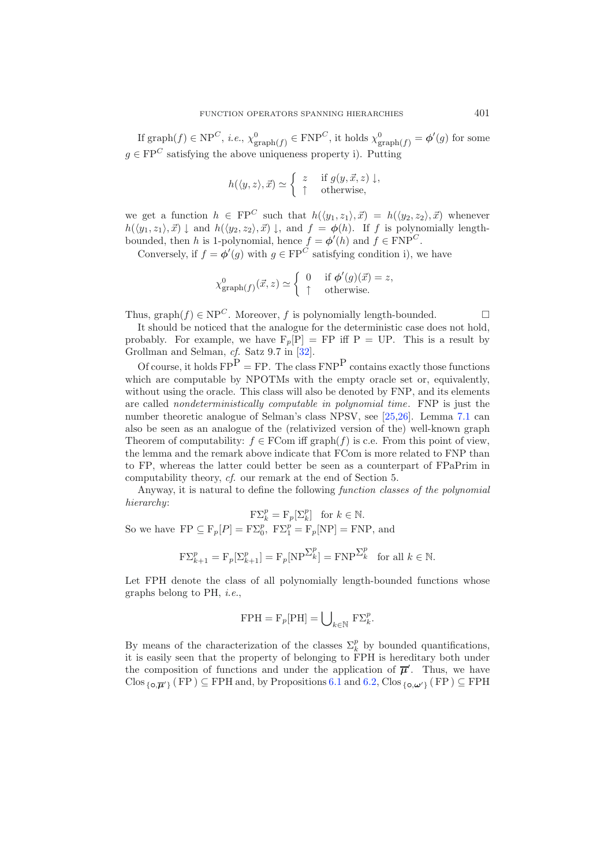If  $\text{graph}(f) \in \text{NP}^C$ , *i.e.*,  $\chi^0_{\text{graph}(f)} \in \text{FNP}^C$ , it holds  $\chi^0_{\text{graph}(f)} = \phi'(g)$  for some  $q \in \text{FP}^C$  satisfying the above uniqueness property i). Putting

$$
h(\langle y, z \rangle, \vec{x}) \simeq \begin{cases} z & \text{if } g(y, \vec{x}, z) \downarrow, \\ \uparrow & \text{otherwise,} \end{cases}
$$

we get a function  $h \in \text{FP}^C$  such that  $h(\langle y_1, z_1 \rangle, \vec{x}) = h(\langle y_2, z_2 \rangle, \vec{x})$  whenever  $h(\langle y_1, z_1 \rangle, \vec{x}) \downarrow$  and  $h(\langle y_2, z_2 \rangle, \vec{x}) \downarrow$ , and  $f = \phi(h)$ . If f is polynomially lengthbounded, then h is 1-polynomial, hence  $f = \phi'(h)$  and  $f \in FNP<sup>C</sup>$ .

Conversely, if  $f = \phi'(g)$  with  $g \in \text{FP}^C$  satisfying condition i), we have

$$
\chi^0_{\text{graph}(f)}(\vec{x}, z) \simeq \begin{cases} 0 & \text{if } \phi'(g)(\vec{x}) = z, \\ \uparrow & \text{otherwise.} \end{cases}
$$

Thus, graph(f)  $\in$  NP<sup>C</sup>. Moreover, f is polynomially length-bounded.  $\square$ 

It should be noticed that the analogue for the deterministic case does not hold, probably. For example, we have  $F_p[P] = FP$  iff  $P = UP$ . This is a result by Grollman and Selman, *cf.* Satz 9.7 in [\[32\]](#page-39-20).

Of course, it holds  $\text{FP}^{\text{P}} = \text{FP}$ . The class  $\text{FNP}^{\text{P}}$  contains exactly those functions which are computable by NPOTMs with the empty oracle set or, equivalently, without using the oracle. This class will also be denoted by FNP, and its elements are called *nondeterministically computable in polynomial time*. FNP is just the number theoretic analogue of Selman's class NPSV, see [\[25](#page-39-9)[,26\]](#page-39-22). Lemma [7.1](#page-21-0) can also be seen as an analogue of the (relativized version of the) well-known graph Theorem of computability:  $f \in \text{FCom iff graph}(f)$  is c.e. From this point of view, the lemma and the remark above indicate that FCom is more related to FNP than to FP, whereas the latter could better be seen as a counterpart of FPaPrim in computability theory, *cf.* our remark at the end of Section 5.

Anyway, it is natural to define the following *function classes of the polynomial hierarchy*:

$$
\mathbf{F}\Sigma_k^p = \mathbf{F}_p[\Sigma_k^p] \quad \text{for } k \in \mathbb{N}.
$$

So we have  $\mathbf{FP} \subseteq \mathbf{F}_p[P] = \mathbf{F} \Sigma_0^p$ ,  $\mathbf{F} \Sigma_1^p = \mathbf{F}_p[\text{NP}] = \mathbf{F} \text{NP}$ , and

$$
\mathcal{F}\Sigma_{k+1}^p = \mathcal{F}_p[\Sigma_{k+1}^p] = \mathcal{F}_p[\mathcal{NP}^{\Sigma_k^p}] = \mathcal{F}\mathcal{NP}^{\Sigma_k^p} \text{ for all } k \in \mathbb{N}.
$$

Let FPH denote the class of all polynomially length-bounded functions whose graphs belong to PH, *i.e.*,

$$
\mathrm{FPH} = \mathrm{F}_p[\mathrm{PH}] = \bigcup\nolimits_{k \in \mathbb{N}} \ \mathrm{F}\Sigma_k^p.
$$

By means of the characterization of the classes  $\Sigma_k^p$  by bounded quantifications,<br>it is easily seen that the property of belonging to FPH is beneditary both under it is easily seen that the property of belonging to FPH is hereditary both under the composition of functions and under the application of  $\overline{\mu}'$ . Thus, we have Clos  ${_{\{\mathbf{o}, \overline{\boldsymbol{\mu}}'\}}$  (FP)  $\subseteq$  FPH and, by Propositions [6.1](#page-19-1) and [6.2,](#page-19-2) Clos  ${_{\{\mathbf{o}, \boldsymbol{\omega}'\}}}\$  (FP)  $\subseteq$  FPH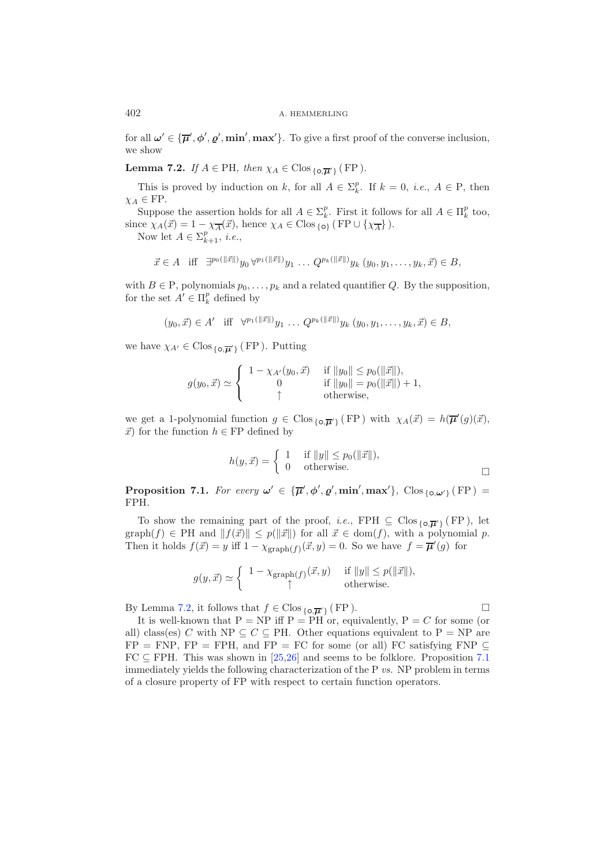<span id="page-23-0"></span>for all  $\omega' \in {\{\overline{\mu}', \phi', \varrho', \min', \max'\}}$ . To give a first proof of the converse inclusion, we show

**Lemma 7.2.** *If*  $A \in PH$ *, then*  $\chi_A \in Clos_{\{o, \pi'\}}(FP)$ *.* 

This is proved by induction on k, for all  $A \in \Sigma_k^p$ . If  $k = 0$ , *i.e.*,  $A \in \mathbb{P}$ , then  $\in \mathbb{F}^p$  $\chi_A \in \text{FP}.$ 

Suppose the assertion holds for all  $A \in \Sigma_k^p$ . First it follows for all  $A \in \Pi_k^p$  too,<br>ce  $\chi_k(\vec{x}) = 1 - \chi - (\vec{x})$  hence  $\chi_k \in \text{Clos}_{\lambda,k}$  (FP)  $\chi_k(\vec{x})$ since  $\chi_A(\vec{x}) = 1 - \chi_{\vec{A}}(\vec{x})$ , hence  $\chi_A \in \text{Clos}_{\{o\}}$  (FP  $\cup \{\chi_{\vec{A}}\}$ ).<br>Now lot  $A \in \Sigma^p$  *i.e.* 

Now let  $A \in \Sigma_{k+1}^p$ , *i.e.*,

$$
\vec{x} \in A
$$
 iff  $\exists^{p_0(\|\vec{x}\|)} y_0 \forall^{p_1(\|\vec{x}\|)} y_1 \dots Q^{p_k(\|\vec{x}\|)} y_k (y_0, y_1, \dots, y_k, \vec{x}) \in B$ ,

with  $B \in \mathcal{P}$ , polynomials  $p_0, \ldots, p_k$  and a related quantifier Q. By the supposition, for the set  $A' \in \Pi_k^p$  defined by

$$
(y_0, \vec{x}) \in A'
$$
 iff  $\forall^{p_1(||\vec{x}||)} y_1 \dots Q^{p_k(||\vec{x}||)} y_k (y_0, y_1, \dots, y_k, \vec{x}) \in B$ ,

we have  $\chi_{A'} \in \text{Clos}_{\{o,\overline{\mu'}\}}(FP)$ . Putting

$$
g(y_0, \vec{x}) \simeq \left\{ \begin{array}{cl} 1 - \chi_{A'}(y_0, \vec{x}) & \text{if } \|y_0\| \leq p_0(\|\vec{x}\|), \\ 0 & \text{if } \|y_0\| = p_0(\|\vec{x}\|) + 1, \\ \uparrow & \text{otherwise}, \end{array} \right.
$$

we get a 1-polynomial function  $g \in \text{Clos}_{\{o, \overline{\mu}'\}}(\text{FP})$  with  $\chi_A(\vec{x}) = h(\overline{\mu}'(g)(\vec{x}), \vec{x})$  $\vec{x}$ ) for the function  $h \in FP$  defined by

$$
h(y, \vec{x}) = \begin{cases} 1 & \text{if } ||y|| \le p_0(||\vec{x}||), \\ 0 & \text{otherwise.} \end{cases}
$$

<span id="page-23-1"></span>**Proposition 7.1.** *For every*  $\omega' \in {\{\overline{\mu}', \phi', \varrho', \min', \max'\}}$ ,  $C \log {\{\circ, \omega'\}}$  (FP) = FPH*.*

To show the remaining part of the proof, *i.e.*, FPH  $\subseteq$  Clos  $\{o, \pi'\}$  (FP), let  $graph(f) \in PH$  and  $||f(\vec{x})|| \leq p(||\vec{x}||)$  for all  $\vec{x} \in dom(f)$ , with a polynomial p. Then it holds  $f(\vec{x}) = y$  iff  $1 - \chi_{\text{graph}(f)}(\vec{x}, y) = 0$ . So we have  $f = \vec{\mu}'(g)$  for

$$
g(y, \vec{x}) \simeq \begin{cases} 1 - \chi_{\text{graph}(f)}(\vec{x}, y) & \text{if } ||y|| \le p(||\vec{x}||), \\ \uparrow & \text{otherwise.} \end{cases}
$$

<span id="page-23-2"></span>By Lemma [7.2,](#page-23-0) it follows that  $f \in \text{Clos}_{\{o,\overline{\mu}'\}}(FP)$ . It is well-known that  $P = NP$  iff  $P = PH$  or, equivalently,  $P = C$  for some (or all) class(es) C with NP  $\subseteq C \subseteq PH$ . Other equations equivalent to P = NP are  $FP = FNP$ ,  $FP = FPH$ , and  $FP = FC$  for some (or all) FC satisfying  $FNP \subseteq$  $FC \subseteq FPH$ . This was shown in [\[25](#page-39-9)[,26\]](#page-39-22) and seems to be folklore. Proposition [7.1](#page-23-1) immediately yields the following characterization of the P *vs.* NP problem in terms of a closure property of FP with respect to certain function operators.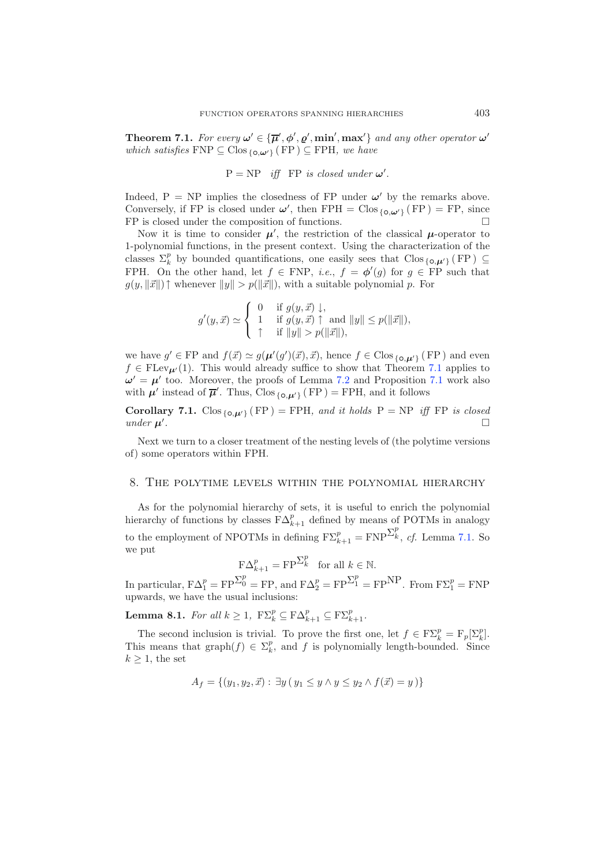**Theorem 7.1.** For every  $\omega' \in {\overline{\mu}', \phi', \varrho', \min', \max'}$  and any other operator  $\omega'$ *which satisfies*  $\text{FNP} \subseteq \text{Clos}_{\{o,\omega'\}}(\text{FP}) \subseteq \text{FPH}$ *, we have* 

 $P = NP$  *iff* FP *is closed under*  $\omega'$ .

Indeed,  $P = NP$  implies the closedness of FP under  $\omega'$  by the remarks above. Conversely, if FP is closed under  $\omega'$ , then FPH = Clos {*o*, $\omega'$ } (FP) = FP, since FP is closed under the composition of functions.  $\Box$ 

Now it is time to consider  $\mu'$ , the restriction of the classical  $\mu$ -operator to 1-polynomial functions, in the present context. Using the characterization of the classes  $\Sigma_k^p$  by bounded quantifications, one easily sees that  $C \text{los}_{\{o, \mu'\}} (FP) \subseteq$ <br>FPH On the other hand, let  $f \in FNP$  i.e.  $f = \phi'(a)$  for  $a \in FP$  such that FPH. On the other hand, let  $f \in FNP$ , *i.e.*,  $f = \phi'(g)$  for  $g \in FP$  such that  $g(y, \Vert \vec{x} \Vert)$   $\uparrow$  whenever  $\Vert y \Vert > p(\Vert \vec{x} \Vert)$ , with a suitable polynomial p. For

$$
g'(y, \vec{x}) \simeq \begin{cases} 0 & \text{if } g(y, \vec{x}) \downarrow, \\ 1 & \text{if } g(y, \vec{x}) \uparrow \text{ and } ||y|| \le p(||\vec{x}||), \\ \uparrow & \text{if } ||y|| > p(||\vec{x}||), \end{cases}
$$

we have  $g' \in FP$  and  $f(\vec{x}) \simeq g(\mu'(g')(\vec{x}), \vec{x})$ , hence  $f \in \text{Clos}_{\{0,\mu'\}}(FP)$  and even<br> $f \in \text{FL}_{\text{CV}_{\mathcal{P}}}(1)$ . This would already suffice to show that Theorem 7.1 applies to  $f \in FLev_{\mu'}(1)$ . This would already suffice to show that Theorem [7.1](#page-23-2) applies to  $\omega' = \mu'$  too. Moreover, the proofs of Lemma [7.2](#page-23-0) and Proposition [7.1](#page-23-1) work also with  $\mu'$  instead of  $\overline{\mu}'$ . Thus,  $C \log_{\{o, \mu'\}} (FP) = FPH$ , and it follows

<span id="page-24-1"></span>**Corollary 7.1.**  $\text{Clos}_{\{\text{o}, \mu'\}}(\text{FP}) = \text{FPH}$ , and it holds  $\text{P} = \text{NP}$  iff  $\text{FP}$  is closed *under*  $\mu'$ . *.* -

Next we turn to a closer treatment of the nesting levels of (the polytime versions of) some operators within FPH.

### 8. The polytime levels within the polynomial hierarchy

As for the polynomial hierarchy of sets, it is useful to enrich the polynomial hierarchy of functions by classes  $F\Delta_{k+1}^p$  defined by means of POTMs in analogy to the employment of NPOTMs in defining  $F\Sigma_{k+1}^p = FNP^{\Sigma_k^p}$ , *cf.* Lemma [7.1.](#page-21-0) So we put

$$
\mathbf{F}\Delta_{k+1}^p = \mathbf{F} \mathbf{P}^{\sum_k^p} \quad \text{for all } k \in \mathbb{N}.
$$

<span id="page-24-0"></span>In particular,  $F\Delta_1^p = FP\sum_0^p = FP$ , and  $F\Delta_2^p = FP\sum_1^p = FP^{\text{NP}}$ . From  $F\Sigma_1^p = FNP$ upwards, we have the usual inclusions:

**Lemma 8.1.** *For all*  $k \geq 1$ ,  $\mathbb{F}\Sigma_k^p \subseteq \mathbb{F}\Delta_{k+1}^p \subseteq \mathbb{F}\Sigma_{k+1}^p$ .

The second inclusion is trivial. To prove the first one, let  $f \in F\Sigma_k^p = F_p[\Sigma_k^p]$ .<br>is means that graph(f)  $\in \Sigma_k^p$  and f is polynomially length-bounded. Since This means that graph $(f) \in \Sigma_k^p$ , and f is polynomially length-bounded. Since  $k > 1$  the set  $k \geq 1$ , the set

$$
A_f = \{ (y_1, y_2, \vec{x}) : \exists y \ (y_1 \le y \land y \le y_2 \land f(\vec{x}) = y ) \}
$$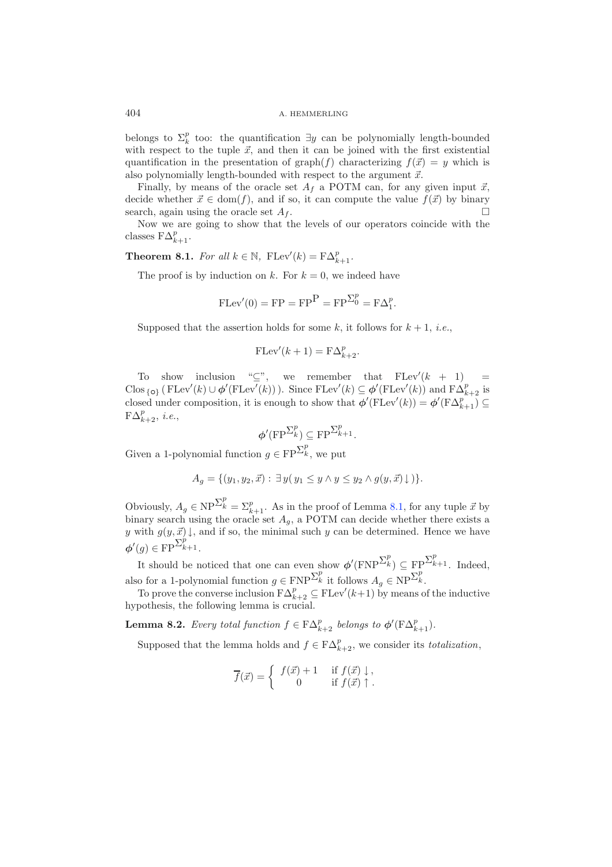belongs to  $\Sigma_k^p$  too: the quantification  $\exists y$  can be polynomially length-bounded with respect to the tuple  $\vec{r}$  and then it can be joined with the first existential with respect to the tuple  $\vec{x}$ , and then it can be joined with the first existential quantification in the presentation of graph(f) characterizing  $f(\vec{x}) = y$  which is also polynomially length-bounded with respect to the argument  $\vec{x}$ .

Finally, by means of the oracle set  $A_f$  a POTM can, for any given input  $\vec{x}$ , decide whether  $\vec{x} \in \text{dom}(f)$ , and if so, it can compute the value  $f(\vec{x})$  by binary search, again using the oracle set  $A_f$ .  $\square$ <br>Now we are going to show that the levels of our operators coincide with the

<span id="page-25-1"></span>classes  $F\Delta_{k+1}^p$ .

**Theorem 8.1.** *For all*  $k \in \mathbb{N}$ ,  $\text{FLev}'(k) = \text{F}\Delta_{k+1}^p$ .

The proof is by induction on k. For  $k = 0$ , we indeed have

$$
FLev'(0) = FP = FPP = FPpp = F\Delta_0^p = F\Delta_1^p.
$$

Supposed that the assertion holds for some k, it follows for  $k + 1$ , *i.e.*,

$$
\mathrm{FLev}'(k+1) = \mathrm{F}\Delta_{k+2}^p.
$$

To show inclusion " $\subseteq$ ", we remember that  $FLev'(k + 1) =$ Clos { $\circ$ } (FLev'(k) ∪  $\phi'(\text{FLev}'(k))$ ). Since FLev'(k)  $\subseteq \phi'(\text{FLev}'(k))$  and  $\text{FA}_{k+2}^{\rho}$  is closed under composition, it is enough to show that  $\phi'(\text{FLev}'(k)) = \phi'(\text{F}\Delta_{k+1}^p) \subseteq \text{F}\Delta_p^p$  $F\Delta_{k+2}^p$ , *i.e.*,

$$
\phi'(\operatorname{FP}^{\Sigma^p_k}) \subseteq \operatorname{FP}^{\Sigma^p_{k+1}}.
$$

Given a 1-polynomial function  $g \in \text{FP}^{\sum_{k}^{p}}$ , we put

$$
A_g = \{ (y_1, y_2, \vec{x}) : \exists y (y_1 \leq y \land y \leq y_2 \land g(y, \vec{x}) \downarrow ) \}.
$$

Obviously,  $A_g \in \text{NP}^{\sum_k^p} = \sum_{k=1}^p$ . As in the proof of Lemma [8.1,](#page-24-0) for any tuple  $\vec{x}$  by binary search using the oracle set  $A_g$ . POTM can decide whether there exists a binary search using the oracle set  $A_g$ , a POTM can decide whether there exists a<br>a with  $g(u, \vec{a})$  and if so the minimal such a son be determined. Hence we have y with  $g(y, \vec{x}) \downarrow$ , and if so, the minimal such y can be determined. Hence we have  $\phi'(g) \in \text{FP}^{\sum_{k=1}^{p}}$ .

It should be noticed that one can even show  $\phi'(\text{FNP}^{\sum_{k}^{p}}) \subseteq \text{FP}^{\sum_{k=1}^{p}}$ . Indeed, also for a 1-polynomial function  $g \in \text{FNP}^{\sum_{k}^{p}}$  it follows  $A_g \in \text{NP}^{\sum_{k}^{p}}$ .<br>To present the converge inclusion  $\text{FAP}$   $\subset \text{FT}$  or  $\mathcal{U}_{k+1}$  by presence

<span id="page-25-0"></span>To prove the converse inclusion  $F\Delta_{k+2}^p \subseteq FLev'(k+1)$  by means of the inductive<br>pothesis, the following lemma is crucial hypothesis, the following lemma is crucial.

**Lemma 8.2.** *Every total function*  $f \in F\Delta_{k+2}^p$  *belongs to*  $\phi'(\mathbf{F}\Delta_{k+1}^p)$ *.* 

Supposed that the lemma holds and  $f \in F\Delta_{k+2}^p$ , we consider its *totalization*,

$$
\overline{f}(\vec{x}) = \begin{cases} f(\vec{x}) + 1 & \text{if } f(\vec{x}) \downarrow, \\ 0 & \text{if } f(\vec{x}) \uparrow. \end{cases}
$$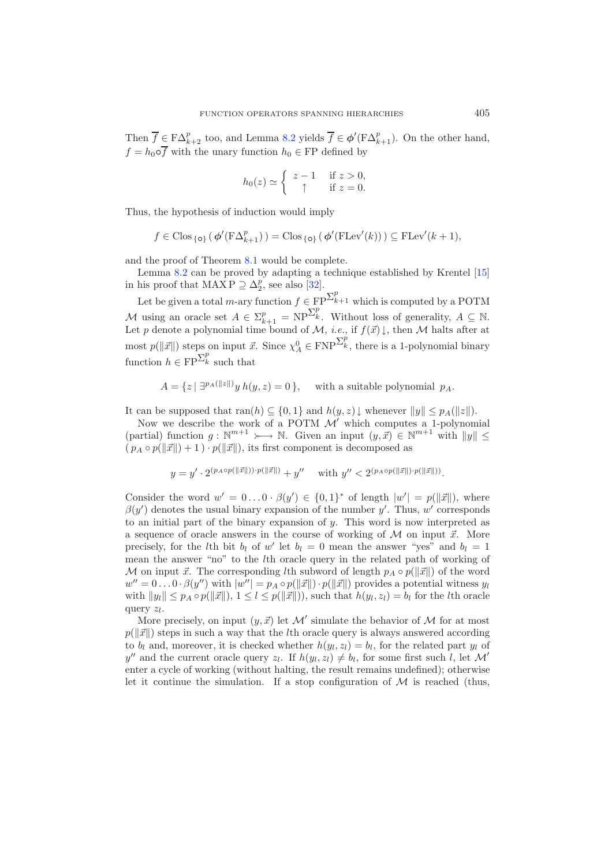Then  $\overline{f} \in F\Delta_{k+2}^p$  too, and Lemma [8.2](#page-25-0) yields  $\overline{f} \in \phi'(\mathrm{F}\Delta_{k+1}^p)$ . On the other hand,  $f = h_0 \circ \overline{f}$  with the unary function  $h_0 \in FP$  defined by

$$
h_0(z) \simeq \begin{cases} z - 1 & \text{if } z > 0, \\ \uparrow & \text{if } z = 0. \end{cases}
$$

Thus, the hypothesis of induction would imply

$$
f \in \text{Clos}_{\{o\}}\left(\phi'(\text{FA}_{k+1}^p)\right) = \text{Clos}_{\{o\}}\left(\phi'(\text{FLev}'(k))\right) \subseteq \text{FLev}'(k+1),
$$

and the proof of Theorem [8.1](#page-25-1) would be complete.

Lemma [8.2](#page-25-0) can be proved by adapting a technique established by Krentel [\[15\]](#page-39-23) in his proof that  $\text{MAX } P \supseteq \Delta_2^p$ , see also [\[32](#page-39-20)].

Let be given a total *m*-ary function  $f \in \mathbb{FP}^{\sum_{k=1}^{p} p^k}$  which is computed by a POTM M using an oracle set  $A \in \Sigma_{k+1}^p = \text{NP}^{\Sigma_k^p}$ . Without loss of generality,  $A \subseteq \mathbb{N}$ .<br>Let n denote a polynomial time bound of  $M$  i.e. if  $f(\vec{x})$  then M halts after at Let p denote a polynomial time bound of  $\mathcal{M}$ , *i.e.*, if  $f(\vec{x})\downarrow$ , then  $\mathcal M$  halts after at most  $p(||\vec{x}||)$  steps on input  $\vec{x}$ . Since  $\chi_A^0 \in \text{FNP}^{\sum_k^p}$ , there is a 1-polynomial binary function  $h \in \text{FP}^{\sum_{k}^{p}}$  such that

$$
A = \{ z \mid \exists^{p_A(\|z\|)} y \ h(y, z) = 0 \}, \quad \text{ with a suitable polynomial } p_A.
$$

It can be supposed that  $\text{ran}(h) \subseteq \{0,1\}$  and  $h(y, z) \downarrow$  whenever  $||y|| \leq p_A(||z||)$ .

Now we describe the work of a POTM  $\mathcal{M}'$  which computes a 1-polynomial (partial) function  $g: \mathbb{N}^{m+1} \rightarrow \mathbb{N}$ . Given an input  $(y, \vec{x}) \in \mathbb{N}^{m+1}$  with  $||y|| \leq$  $(p_A \circ p(\|\vec{x}\|) + 1) \cdot p(\|\vec{x}\|)$ , its first component is decomposed as

$$
y=y'\cdot 2^{(p_A\circ p(\|\vec x\|))\cdot p(\|\vec x\|)}+y''\quad\text{ with }y''<2^{(p_A\circ p(\|\vec x\|)\cdot p(\|\vec x\|))}.
$$

Consider the word  $w' = 0 \dots 0 \cdot \beta(y') \in \{0,1\}^*$  of length  $|w'| = p(||\vec{x}||)$ , where  $\beta(y')$  denotes the usual binary expansion of the number y'. Thus, w' corresponds to an initial part of the binary expansion of  $y$ . This word is now interpreted as a sequence of oracle answers in the course of working of  $M$  on input  $\vec{x}$ . More precisely, for the lth bit  $b_l$  of w' let  $b_l = 0$  mean the answer "yes" and  $b_l = 1$ mean the answer "no" to the lth oracle query in the related path of working of M on input  $\vec{x}$ . The corresponding *l*th subword of length  $p_A \circ p(||\vec{x}||)$  of the word  $w'' = 0 \dots 0 \cdot \beta(y'')$  with  $|w''| = p_A \circ p(||\vec{x}||) \cdot p(||\vec{x}||)$  provides a potential witness  $y_l$ <br>with  $||w|| \leq n$ ,  $\alpha v^{(||\vec{x}||)} \cdot 1 \leq l \leq v^{(||\vec{x}||)}$  and that  $b(x, y) = b$  for the like angles with  $||y_l|| \leq p_A \circ p(||\vec{x}||), 1 \leq l \leq p(||\vec{x}||)),$  such that  $h(y_l, z_l) = b_l$  for the *l*th oracle query  $z_l$ .

More precisely, on input  $(y, \vec{x})$  let  $\mathcal{M}'$  simulate the behavior of  $\mathcal M$  for at most  $p(||\vec{x}||)$  steps in such a way that the *l*th oracle query is always answered according to  $b_l$  and, moreover, it is checked whether  $h(y_l, z_l) = b_l$ , for the related part  $y_l$  of y'' and the current oracle query  $z_l$ . If  $h(y_l, z_l) \neq b_l$ , for some first such l, let M' enter a cycle of working (without halting, the result remains undefined); otherwise let it continue the simulation. If a stop configuration of  $\mathcal M$  is reached (thus,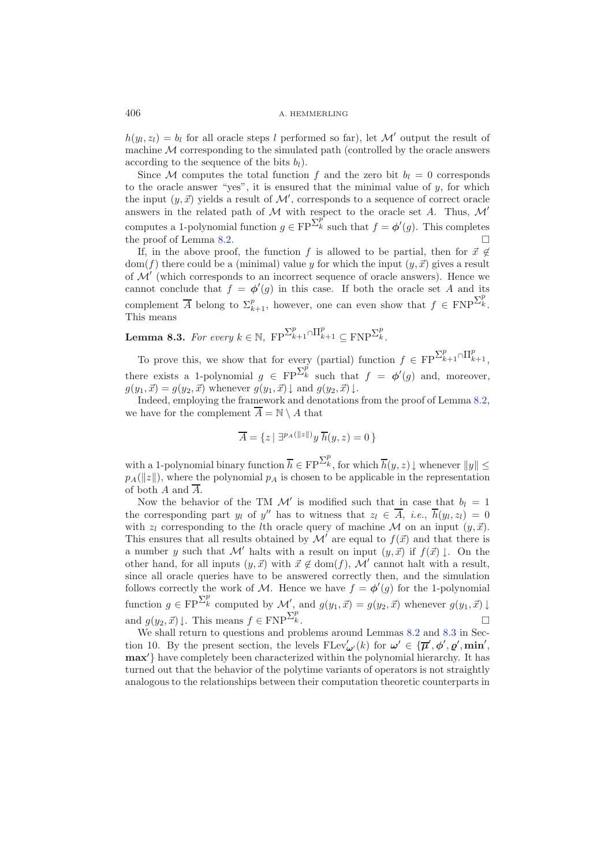$h(y_l, z_l) = b_l$  for all oracle steps l performed so far), let M' output the result of machine  $M$  corresponding to the simulated path (controlled by the oracle answers according to the sequence of the bits  $b_l$ ).

Since M computes the total function f and the zero bit  $b_l = 0$  corresponds to the oracle answer "yes", it is ensured that the minimal value of  $y$ , for which the input  $(y, \vec{x})$  yields a result of  $\mathcal{M}'$ , corresponds to a sequence of correct oracle answers in the related path of  $M$  with respect to the oracle set A. Thus,  $M'$ computes a 1-polynomial function  $g \in FP^{\sum_{k=0}^{p}}$  such that  $f = \phi'(g)$ . This completes the proof of Lemma [8.2.](#page-25-0)  $\Box$ 

If, in the above proof, the function f is allowed to be partial, then for  $\vec{x} \notin$  $dom(f)$  there could be a (minimal) value y for which the input  $(y, \vec{x})$  gives a result of  $\mathcal{M}'$  (which corresponds to an incorrect sequence of oracle answers). Hence we cannot conclude that  $f = \phi'(g)$  in this case. If both the oracle set A and its complement  $\overline{A}$  belong to  $\Sigma_{k+1}^p$ , however, one can even show that  $f \in \text{FNP}^{\Sigma_k^p}$ .<br>This means This means

<span id="page-27-0"></span>**Lemma 8.3.** *For every*  $k \in \mathbb{N}$ ,  $\text{FP}^{\sum_{k=1}^{p} \cap \prod_{k=1}^{p} \subseteq \text{FNP}^{\sum_{k=1}^{p} \subseteq \text{FNP}^{\sum_{k=1}^{p} \subseteq \text{FNP}^{\sum_{k=1}^{p} \subseteq \text{FNP}^{\sum_{k=1}^{p} \subseteq \text{FNP}^{\sum_{k=1}^{p} \subseteq \text{FNP}^{\sum_{k=1}^{p} \subseteq \text{FNP}^{\sum_{k=1}^{p} \subseteq \text{FNP}^{\sum_{k=1}^{p} \subseteq$ 

To prove this, we show that for every (partial) function  $f \in FP^{\sum_{k=1}^{p} \cap \prod_{k=1}^{p}}$ , there exists a 1-polynomial  $g \in \text{FP}^{\sum_{k=1}^{p} g(k)}$  such that  $f = \phi'(g)$  and, moreover,  $g(y_1, \vec{x}) = g(y_2, \vec{x})$  whenever  $g(y_1, \vec{x}) \downarrow$  and  $g(y_2, \vec{x}) \downarrow$ .

Indeed, employing the framework and denotations from the proof of Lemma [8.2,](#page-25-0) we have for the complement  $\overline{A} = \mathbb{N} \setminus A$  that

$$
\overline{A} = \{z \mid \exists^{p_A(\|z\|)} y \; \overline{h}(y, z) = 0 \}
$$

with a 1-polynomial binary function  $\overline{h} \in \text{FP}^{\sum_{k}^{p}}$ , for which  $\overline{h}(y, z) \downarrow$  whenever  $||y|| \le$  $p_A(||z||)$ , where the polynomial  $p_A$  is chosen to be applicable in the representation of both  $A$  and  $\overline{A}$ .

Now the behavior of the TM  $\mathcal{M}'$  is modified such that in case that  $b_l = 1$ the corresponding part  $y_l$  of  $y''$  has to witness that  $z_l \in \overline{A}$ , *i.e.*,  $\overline{h}(y_l, z_l)=0$ with  $z_l$  corresponding to the *l*th oracle query of machine M on an input  $(y, \vec{x})$ .<br>This appures that all possible abtained by  $M'$  are several to  $f(\vec{x})$  and that there is This ensures that all results obtained by  $\mathcal{M}'$  are equal to  $f(\vec{x})$  and that there is a number y such that M' halts with a result on input  $(y, \vec{x})$  if  $f(\vec{x}) \downarrow$ . On the other hand, for all inputs  $(y, \vec{x})$  with  $\vec{x} \notin \text{dom}(f)$ , M' cannot halt with a result, since all oracle queries have to be answered correctly then, and the simulation follows correctly the work of M. Hence we have  $f = \phi'(g)$  for the 1-polynomial function  $g \in \text{FP}^{\sum_k^p}$  computed by  $\mathcal{M}'$ , and  $g(y_1, \vec{x}) = g(y_2, \vec{x})$  whenever  $g(y_1, \vec{x}) \downarrow$ and  $g(y_2, \vec{x}) \downarrow$ . This means  $f \in \text{FNP}^{\Sigma_k^p}$  $k$  .

We shall return to questions and problems around Lemmas [8.2](#page-25-0) and [8.3](#page-27-0) in Section 10. By the present section, the levels  $FLev'_{\omega'}(k)$  for  $\omega' \in {\bar{\mu}', \phi', \varrho', \min',\varrho'}$ max'} have completely been characterized within the polynomial hierarchy. It has turned out that the behavior of the polytime variants of operators is not straightly analogous to the relationships between their computation theoretic counterparts in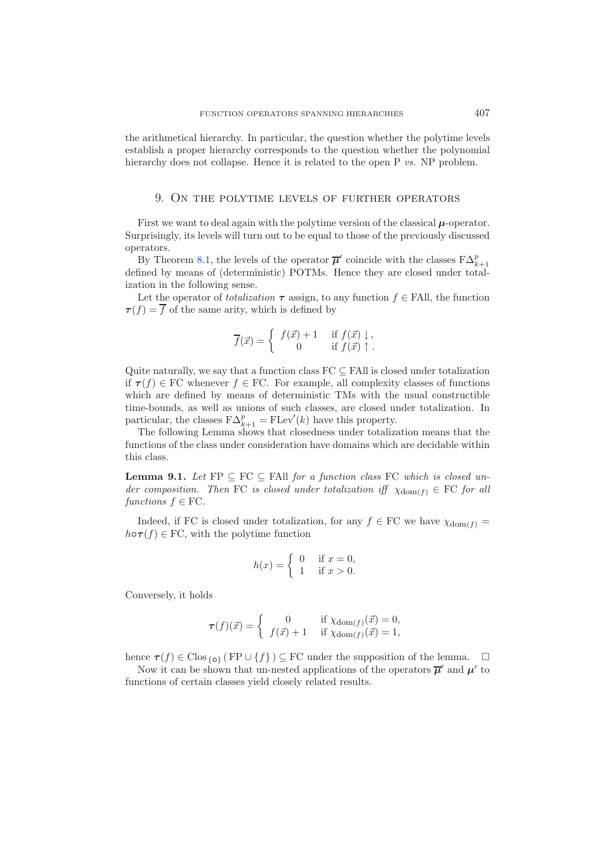the arithmetical hierarchy. In particular, the question whether the polytime levels establish a proper hierarchy corresponds to the question whether the polynomial hierarchy does not collapse. Hence it is related to the open P *vs.* NP problem.

### 9. On the polytime levels of further operators

First we want to deal again with the polytime version of the classical  $\mu$ -operator. Surprisingly, its levels will turn out to be equal to those of the previously discussed operators.

By Theorem [8.1,](#page-25-1) the levels of the operator  $\bar{\mu}'$  coincide with the classes  $F\Delta_{k+1}^p$ By Theorem 8.1, the levels of the operator  $\mu$  confidence with the classes  $\Gamma \Delta_{k+1}$  defined by means of (deterministic) POTMs. Hence they are closed under totalization in the following sense.

Let the operator of *totalization*  $\tau$  assign, to any function  $f \in \text{FAll}$ , the function  $\tau(f) = \overline{f}$  of the same arity, which is defined by

$$
\overline{f}(\vec{x}) = \begin{cases} f(\vec{x}) + 1 & \text{if } f(\vec{x}) \downarrow, \\ 0 & \text{if } f(\vec{x}) \uparrow. \end{cases}
$$

Quite naturally, we say that a function class  $FC \subseteq FAll$  is closed under totalization if  $\tau(f) \in FC$  whenever  $f \in FC$ . For example, all complexity classes of functions which are defined by means of deterministic TMs with the usual constructible time-bounds, as well as unions of such classes, are closed under totalization. In particular, the classes  $F\Delta_{k+1}^p = FLev'(k)$  have this property.<br>The following Lemma shows that closedness under totalize

The following Lemma shows that closedness under totalization means that the functions of the class under consideration have domains which are decidable within this class.

**Lemma 9.1.** *Let*  $\text{FP} \subseteq \text{FC} \subseteq \text{FAll}$  *for a function class*  $\text{FC}$  *which is closed under composition. Then* FC *is closed under totalization iff*  $\chi_{dom(f)} \in FC$  *for all*  $functions f \in FC$ *.* 

Indeed, if FC is closed under totalization, for any  $f \in FC$  we have  $\chi_{dom(f)} =$  $h \circ \tau(f) \in FC$ , with the polytime function

$$
h(x) = \begin{cases} 0 & \text{if } x = 0, \\ 1 & \text{if } x > 0. \end{cases}
$$

Conversely, it holds

$$
\tau(f)(\vec{x}) = \begin{cases} 0 & \text{if } \chi_{\text{dom}(f)}(\vec{x}) = 0, \\ f(\vec{x}) + 1 & \text{if } \chi_{\text{dom}(f)}(\vec{x}) = 1, \end{cases}
$$

hence  $\tau(f) \in \text{Clos}_{\{o\}}$  (FP  $\cup$  {f})  $\subseteq$  FC under the supposition of the lemma.  $\Box$ 

<span id="page-28-0"></span>Now it can be shown that un-nested applications of the operators  $\overline{\mu}'$  and  $\mu'$  to functions of certain classes yield closely related results.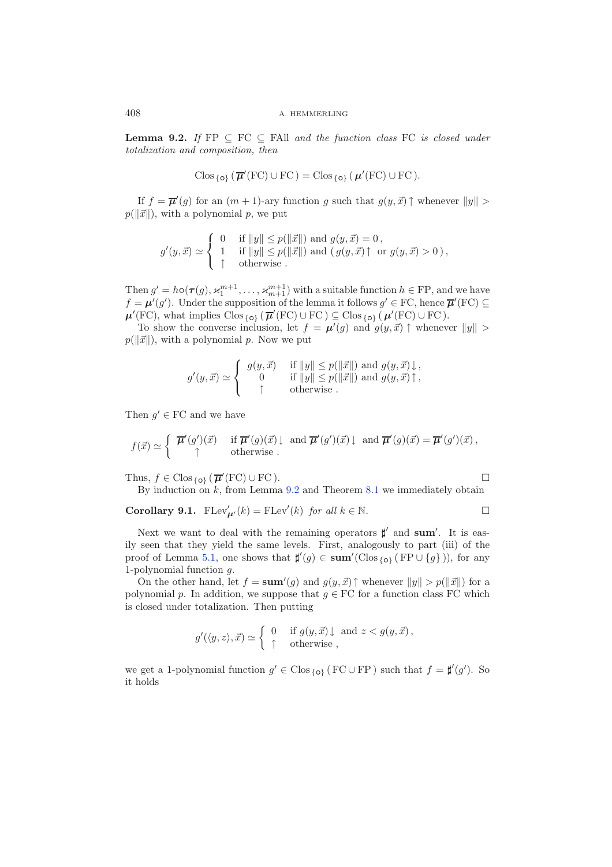**Lemma 9.2.** *If*  $FP \subseteq FC \subseteq Fall and the function class FC is closed under$ *totalization and composition, then*

$$
\mathrm{Clos}_{\{\mathbf{o}\}}\left(\overline{\boldsymbol{\mu}}'(\mathrm{FC})\cup\mathrm{FC}\right)=\mathrm{Clos}_{\{\mathbf{o}\}}\left(\boldsymbol{\mu}'(\mathrm{FC})\cup\mathrm{FC}\right).
$$

If  $f = \overline{\mu}'(g)$  for an  $(m + 1)$ -ary function g such that  $g(y, \vec{x}) \uparrow$  whenever  $||y|| >$  $p(||\vec{x}||)$ , with a polynomial p, we put

$$
g'(y, \vec{x}) \simeq \begin{cases} 0 & \text{if } ||y|| \le p(||\vec{x}||) \text{ and } g(y, \vec{x}) = 0, \\ 1 & \text{if } ||y|| \le p(||\vec{x}||) \text{ and } (g(y, \vec{x}) \uparrow \text{ or } g(y, \vec{x}) > 0), \\ \uparrow & \text{otherwise.} \end{cases}
$$

Then  $g' = h \circ (\tau(g), \kappa_1^{m+1}, \ldots, \kappa_{m+1}^{m+1})$  with a suitable function  $h \in \text{FP}$ , and we have  $f = \mu'(g')$ . Under the supposition of the lemma it follows  $g' \in \text{FC}$ , hence  $\overline{\mu}'(\text{FC}) \subseteq$  $\mu'(\text{FC})$ , what implies  $\text{Clos}_{\{o\}}$  ( $\overline{\mu}'(\text{FC}) \cup \text{FC}$ )  $\subseteq \text{Clos}_{\{o\}}$  ( $\mu'(\text{FC}) \cup \text{FC}$ ).

To show the converse inclusion, let  $f = \mu'(g)$  and  $g(y, \vec{x})$   $\uparrow$  whenever  $||y|| >$  $p(\Vert\vec{x}\Vert)$ , with a polynomial p. Now we put

$$
g'(y, \vec{x}) \simeq \begin{cases} g(y, \vec{x}) & \text{if } ||y|| \le p(||\vec{x}||) \text{ and } g(y, \vec{x}) \downarrow, \\ 0 & \text{if } ||y|| \le p(||\vec{x}||) \text{ and } g(y, \vec{x}) \uparrow, \\ \uparrow & \text{otherwise} . \end{cases}
$$

Then  $g' \in FC$  and we have

$$
f(\vec{x}) \simeq \begin{cases} \overline{\mu}'(g')(\vec{x}) & \text{if } \overline{\mu}'(g)(\vec{x}) \downarrow \text{ and } \overline{\mu}'(g')(\vec{x}) \downarrow \text{ and } \overline{\mu}'(g)(\vec{x}) = \overline{\mu}'(g')(\vec{x}), \\ \uparrow & \text{otherwise.} \end{cases}
$$

<span id="page-29-0"></span>Thus,  $f \in \text{Clos}_{\{o\}}(\overline{\mu}'(\text{FC}) \cup \text{FC})$ .

$$
\Box
$$

By induction on  $k$ , from Lemma  $9.2$  and Theorem  $8.1$  we immediately obtain

**Corollary 9.1.**  $FLev'_{\mu'}(k) = FLev'(k)$  *for all*  $k \in \mathbb{N}$ .  $\Box$ 

Next we want to deal with the remaining operators  $\sharp'$  and **sum'**. It is easily seen that they yield the same levels. First, analogously to part (iii) of the proof of Lemma [5.1,](#page-12-0) one shows that  $\sharp'(g) \in \text{sum}'(\text{Clos}_{\{o\}}(FP \cup \{g\})),$  for any 1-polynomial function g.

On the other hand, let  $f = \textbf{sum}'(g)$  and  $g(y, \vec{x}) \uparrow$  whenever  $||y|| > p(||\vec{x}||)$  for a polynomial p. In addition, we suppose that  $g \in \mathbf{FC}$  for a function class FC which is closed under totalization. Then putting

$$
g'(\langle y, z \rangle, \vec{x}) \simeq \begin{cases} 0 & \text{if } g(y, \vec{x}) \downarrow \text{ and } z < g(y, \vec{x}), \\ \uparrow & \text{otherwise} \end{cases}
$$

we get a 1-polynomial function  $g' \in \text{Clos}_{\{o\}} (FC \cup FP)$  such that  $f = \sharp'(g')$ . So it holds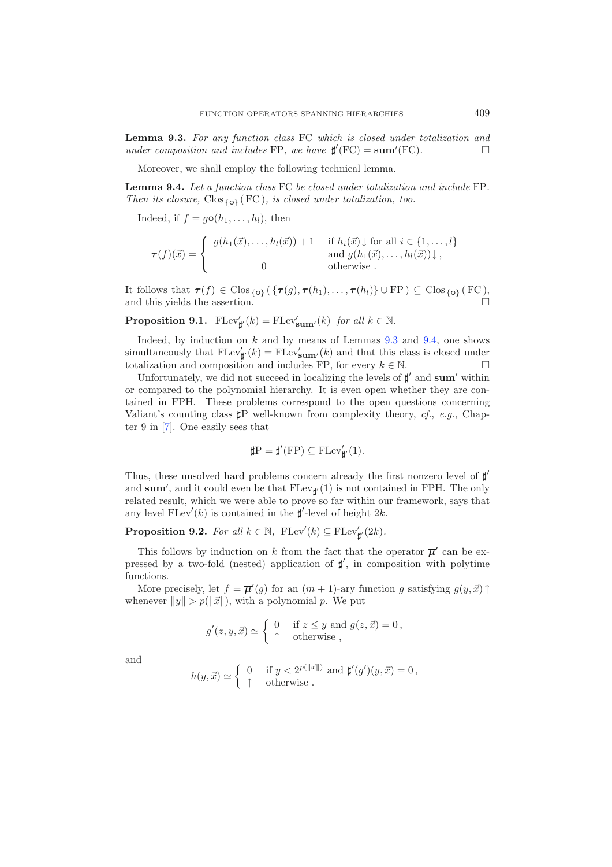<span id="page-30-0"></span>**Lemma 9.3.** *For any function class* FC *which is closed under totalization and under composition and includes* FP*, we have*  $\sharp'(\text{FC}) = \text{sum}'(\text{FC})$ *.*  $\Box$ 

Moreover, we shall employ the following technical lemma.

<span id="page-30-1"></span>**Lemma 9.4.** *Let a function class* FC *be closed under totalization and include* FP*. Then its closure,* Clos {*◦*} ( FC )*, is closed under totalization, too.*

Indeed, if  $f = g \circ (h_1, \ldots, h_l)$ , then

$$
\tau(f)(\vec{x}) = \begin{cases} g(h_1(\vec{x}), \dots, h_l(\vec{x})) + 1 & \text{if } h_i(\vec{x}) \downarrow \text{ for all } i \in \{1, \dots, l\} \\ \text{and } g(h_1(\vec{x}), \dots, h_l(\vec{x})) \downarrow, \\ 0 & \text{otherwise} \end{cases}
$$

It follows that  $\tau(f) \in \text{Clos}_{\{o\}} (\{\tau(g), \tau(h_1), \ldots, \tau(h_l)\} \cup \text{FP}) \subseteq \text{Clos}_{\{o\}} (\text{FC})$ , and this violds the assertion and this yields the assertion.

**Proposition 9.1.**  $\text{FLev}'_{\sharp'}(k) = \text{FLev}'_{\text{sum}'}(k)$  *for all*  $k \in \mathbb{N}$ .

Indeed, by induction on  $k$  and by means of Lemmas  $9.3$  and  $9.4$ , one shows simultaneously that  $\text{FLev}'_{\sharp}(\mathbf{k}) = \text{FLev}'_{\text{sum}'}(\mathbf{k})$  and that this class is closed under totalization and composition and includes FP, for every  $k \in \mathbb{N}$ .

Unfortunately, we did not succeed in localizing the levels of  $\sharp'$  and **sum**' within or compared to the polynomial hierarchy. It is even open whether they are contained in FPH. These problems correspond to the open questions concerning Valiant's counting class  $\sharp P$  well-known from complexity theory, *cf.*, *e.g.*, Chapter 9 in [\[7](#page-39-18)]. One easily sees that

$$
\sharp P=\sharp'(\mathrm{FP})\subseteq \mathrm{FLev}'_{\sharp'}(1).
$$

Thus, these unsolved hard problems concern already the first nonzero level of  $\sharp'$ and sum', and it could even be that  $F \text{Lev}_{\sharp} (1)$  is not contained in FPH. The only related result, which we were able to prove so far within our framework, says that any level  $\text{FLev}'(k)$  is contained in the  $\sharp'$ -level of height  $2k$ .

<span id="page-30-2"></span>**Proposition 9.2.** *For all*  $k \in \mathbb{N}$ ,  $\text{FLev}'(k) \subseteq \text{FLev}'_{\sharp}(2k)$ *.* 

This follows by induction on k from the fact that the operator  $\overline{\mu}'$  can be expressed by a two-fold (nested) application of  $\sharp'$ , in composition with polytime functions.

More precisely, let  $f = \overline{\mu}'(g)$  for an  $(m + 1)$ -ary function g satisfying  $g(y, \vec{x})$ whenever  $||y|| > p(||\vec{x}||)$ , with a polynomial p. We put

$$
g'(z, y, \vec{x}) \simeq \begin{cases} 0 & \text{if } z \leq y \text{ and } g(z, \vec{x}) = 0, \\ \uparrow & \text{otherwise} , \end{cases}
$$

and

$$
h(y, \vec{x}) \simeq \begin{cases} 0 & \text{if } y < 2^{p(||\vec{x}||)} \text{ and } \sharp'(g')(y, \vec{x}) = 0, \\ \uparrow & \text{otherwise.} \end{cases}
$$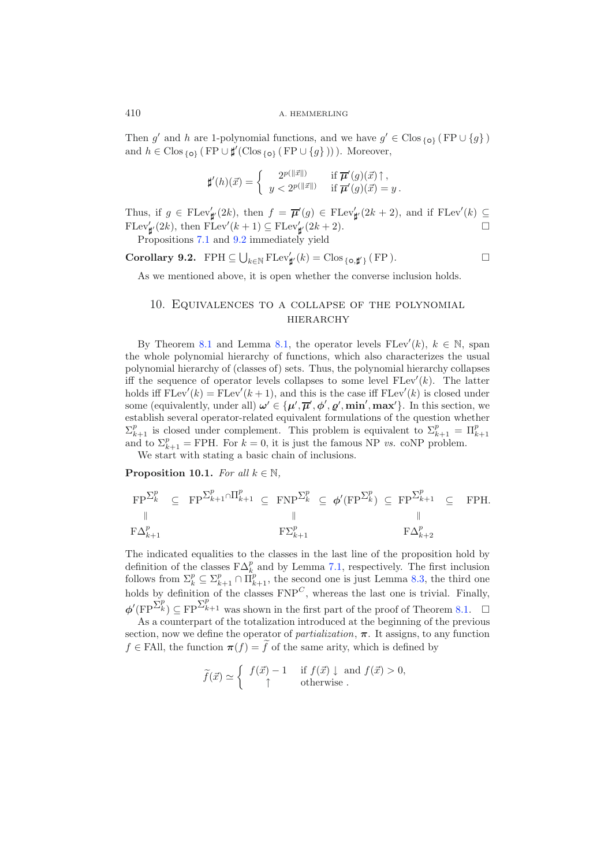Then g' and h are 1-polynomial functions, and we have  $g' \in \text{Clos}_{\{o\}}$  (FP  $\cup \{q\}$ ) and  $h \in \text{Clos}_{\{o\}}$  (FP ∪  $\sharp'(\text{Clos}_{\{o\}} (\text{FP} \cup \{g\})))$ ). Moreover,

$$
\sharp'(h)(\vec{x}) = \begin{cases} 2^{p(||\vec{x}||)} & \text{if } \overline{\mu}'(g)(\vec{x}) \uparrow, \\ y < 2^{p(||\vec{x}||)} & \text{if } \overline{\mu}'(g)(\vec{x}) = y \,. \end{cases}
$$

Thus, if  $g \in \text{FLev}'_{\sharp'}(2k)$ , then  $f = \overline{\mu}'(g) \in \text{FLev}'_{\sharp'}(2k+2)$ , and if  $\text{FLev}'(k) \subseteq$  $\text{FLev}'_{\sharp}(2k)$ , then  $\text{FLev}'(k+1) \subseteq \text{FLev}'_{\sharp}(2k+2)$ .

Propositions [7.1](#page-23-1) and [9.2](#page-30-2) immediately yield

**Corollary 9.2.** FPH  $\subseteq \bigcup_{k \in \mathbb{N}} \text{FLev}'_{\sharp}(k) = \text{Clos}_{\{o,\sharp'\}}(\text{FP})$ .  $\Box$ 

As we mentioned above, it is open whether the converse inclusion holds.

### 10. Equivalences to a collapse of the polynomial **HIERARCHY**

By Theorem [8.1](#page-25-1) and Lemma [8.1,](#page-24-0) the operator levels  $FLev'(k)$ ,  $k \in \mathbb{N}$ , span the whole polynomial hierarchy of functions, which also characterizes the usual polynomial hierarchy of (classes of) sets. Thus, the polynomial hierarchy collapses iff the sequence of operator levels collapses to some level  $F \text{Lev}'(k)$ . The latter holds iff  $FLev'(k) = FLev'(k+1)$ , and this is the case iff  $FLev'(k)$  is closed under some (equivalently, under all)  $\omega' \in {\{\mu', \overline{\mu}', \phi', \varrho', \min', \max'\}}$ . In this section, we establish several operator-related equivalent formulations of the question whether  $\Sigma_{k+1}^p$  is closed under complement. This problem is equivalent to  $\Sigma_{k+1}^p = \Pi_{k+1}^p$ <br>and to  $\Sigma_{k+1}^p = \text{FDH}$ . For  $k=0$  it is just the famous NP as coNP problem and to  $\Sigma_{k+1}^p = \text{FPH}$ . For  $k = 0$ , it is just the famous NP *vs.* coNP problem.<br>We start with stating a basic chain of inclusions We start with stating a basic chain of inclusions.

<span id="page-31-0"></span>**Proposition 10.1.** *For all*  $k \in \mathbb{N}$ *,* 

$$
\begin{array}{ccccccccc}\n\text{FP}^{\sum_{k}^{p}} & \subseteq & \text{FP}^{\sum_{k+1}^{p} \cap \prod_{k+1}^{p}} & \subseteq & \text{FNP}^{\sum_{k}^{p}} & \subseteq & \phi'(\text{FP}^{\sum_{k}^{p}}) & \subseteq & \text{FP}^{\sum_{k+1}^{p}} & \subseteq & \text{FPH.} \\
\parallel & & & & & & & & & & \\
\text{F}\Delta_{k+1}^{p} & & & & & & & & & \\
\end{array}
$$

The indicated equalities to the classes in the last line of the proposition hold by definition of the classes  $F\Delta_k^p$  and by Lemma 7.1, respectively. The first inclusion definition of the classes  $\mathbf{F}\Delta_k^p$  and by Lemma [7.1,](#page-21-0) respectively. The first inclusion follows from  $\Sigma_k^p \subseteq \Sigma_{k+1}^p \cap \Pi_{k+1}^p$ , the second one is just Lemma [8.3,](#page-27-0) the third one halds has definition of the algorithm holds by definition of the classes  $FNP<sup>C</sup>$ , whereas the last one is trivial. Finally,  $\phi'(\text{FP}^{\sum_{k}^{p}}) \subseteq \text{FP}^{\sum_{k=1}^{p}}$  was shown in the first part of the proof of Theorem [8.1.](#page-25-1)  $\Box$ 

As a counterpart of the totalization introduced at the beginning of the previous section, now we define the operator of *partialization*,  $\pi$ . It assigns, to any function  $f \in \text{FAll}$ , the function  $\pi(f) = f$  of the same arity, which is defined by

$$
\widetilde{f}(\vec{x}) \simeq \begin{cases} f(\vec{x}) - 1 & \text{if } f(\vec{x}) \downarrow \text{ and } f(\vec{x}) > 0, \\ \uparrow & \text{otherwise} . \end{cases}
$$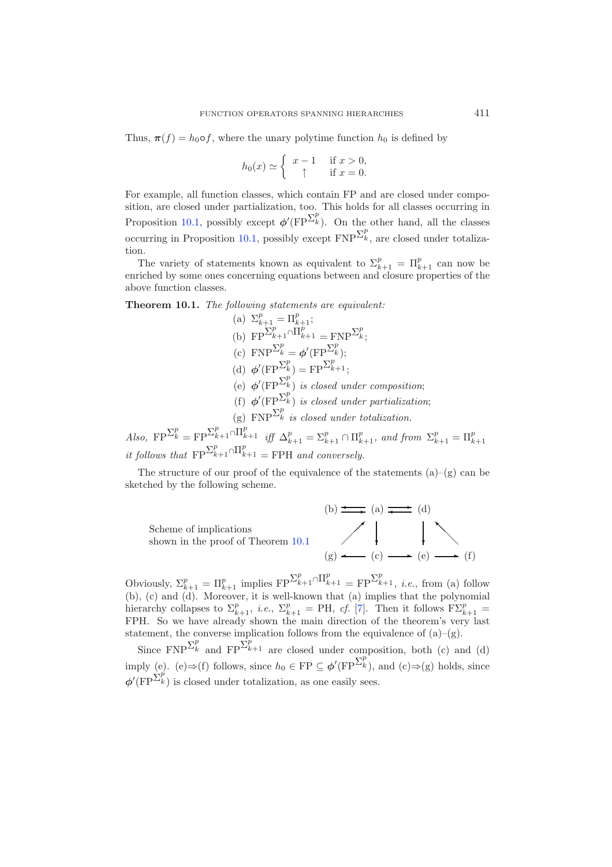Thus,  $\pi(f) = h_0 \circ f$ , where the unary polytime function  $h_0$  is defined by

$$
h_0(x) \simeq \begin{cases} x - 1 & \text{if } x > 0, \\ \uparrow & \text{if } x = 0. \end{cases}
$$

For example, all function classes, which contain FP and are closed under composition, are closed under partialization, too. This holds for all classes occurring in Proposition [10.1,](#page-31-0) possibly except  $\phi'(\text{FP}^{\sum_{k}^{p}})$ . On the other hand, all the classes occurring in Proposition [10.1,](#page-31-0) possibly except  $\text{FNP}^{\sum_{k}^{p}}$ , are closed under totalization.

The variety of statements known as equivalent to  $\Sigma_{k+1}^p = \Pi_{k+1}^p$  can now be<br>riched by some ones concerning equations between and closure properties of the enriched by some ones concerning equations between and closure properties of the above function classes.

<span id="page-32-0"></span>**Theorem 10.1.** *The following statements are equivalent:*

\n- (a) 
$$
\Sigma_{k+1}^p = \Pi_{k+1}^p;
$$
\n- (b)  $FP^{\Sigma_{k+1}^p} \cap \Pi_{k+1}^p = FNP^{\Sigma_k^p};$
\n- (c)  $FNP^{\Sigma_k^p} = \phi'(FP^{\Sigma_k^p});$
\n- (d)  $\phi'(FP^{\Sigma_k^p}) = FP^{\Sigma_{k+1}^p};$
\n- (e)  $\phi'(FP^{\Sigma_k^p})$  is closed under composition;
\n- (f)  $\phi'(FP^{\Sigma_k^p})$  is closed under partialization;
\n- (g)  $FNP^{\Sigma_k^p}$  is closed under totalization.
\n

*Also,*  $\text{FP}^{\sum_{k=1}^{p} \bigcap_{k=1}^{p} \bigcap_{k=1}^{p} f_{k+1}}$  *iff*  $\Delta_{k+1}^{p} = \sum_{k=1}^{p} \bigcap_{k=1}^{p} f_{k+1}$ , and from  $\sum_{k=1}^{p} \bigcap_{k=1}^{p} f_{k+1}$ *it follows that*  $\text{FP}^{\sum_{k=1}^{p} \cap \prod_{k=1}^{p}}$  = FPH *and conversely.* 

The structure of our proof of the equivalence of the statements  $(a)$ – $(g)$  can be sketched by the following scheme.



Obviously,  $\Sigma_{k+1}^p = \Pi_{k+1}^p$  implies  $\text{FP}^{\Sigma_{k+1}^p \cap \Pi_{k+1}^p} = \text{FP}^{\Sigma_{k+1}^p}$ , *i.e.*, from (a) follow (b), (c) and (d). Moreover, it is well-known that (a) implies that the polynomial hierarchy collapses to  $\Sigma_{k+1}^p$ , *i.e.*,  $\Sigma_{k+1}^p = PH$ , *cf.* [\[7\]](#page-39-18). Then it follows  $F\Sigma_{k+1}^p = FPH$ . So we have already shown the main direction of the theorem's very last statement, the converse implication follows from the equivalence of  $(a)$ – $(g)$ .

Since  $\text{FNP}^{\sum_{k}^{p}}$  and  $\text{FP}^{\sum_{k=1}^{p}}$  are closed under composition, both (c) and (d) imply (e). (e) $\Rightarrow$ (f) follows, since  $h_0 \in FP \subseteq \phi'(FP^{\sum_{k}^{p}})$ , and (c) $\Rightarrow$ (g) holds, since  $\phi'(\text{FP}^{\sum_{k}^{p}})$  is closed under totalization, as one easily sees.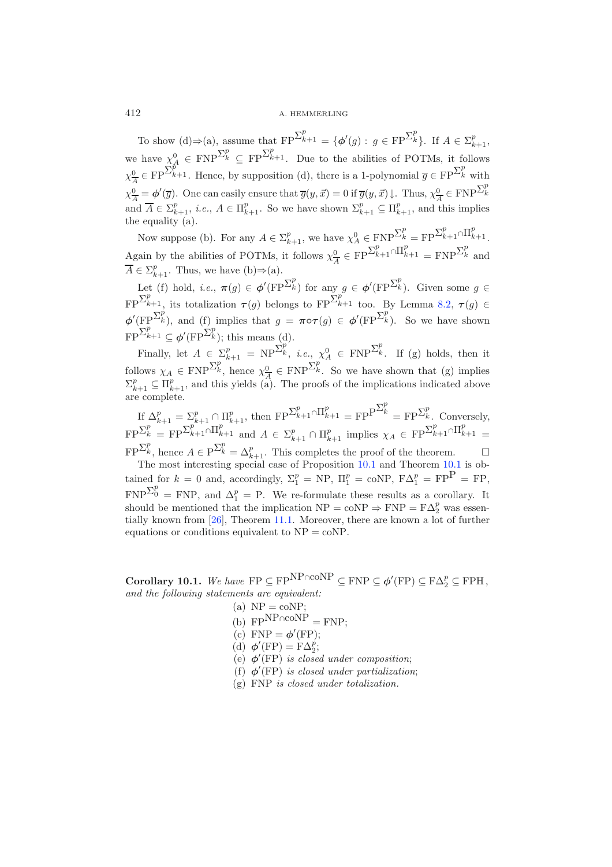412 A. HEMMERLING

To show (d)  $\Rightarrow$  (a), assume that  $\text{FP}^{\sum_{k=1}^{p}} = {\phi'(g) : g \in \text{FP}^{\sum_{k=1}^{p}}}.$  If  $A \in \sum_{k=1}^{p}$ , we have  $\chi^0_A \in \text{FNP}^{\sum_k^p} \subseteq \text{FP}^{\sum_{k=1}^p}$ . Due to the abilities of POTMs, it follows  $\chi^0_A \in \text{FP}^{\sum_{k=1}^p}$ . Hence, by supposition (d), there is a 1-polynomial  $\overline{g} \in \text{FP}^{\sum_{k=1}^p}$  with  $\chi^0_{\overline{A}} = \phi'(\overline{g})$ . One can easily ensure that  $\overline{g}(y, \vec{x}) = 0$  if  $\overline{g}(y, \vec{x}) \downarrow$ . Thus,  $\chi^0_{\overline{A}} \in \text{FNP}^{\Sigma^p_k}$ and  $A \in \Sigma_{k+1}^p$ , *i.e.*,  $A \in \Pi_{k+1}^p$ . So we have shown  $\Sigma_{k+1}^p \subseteq \Pi_{k+1}^p$ , and this implies the equality (a).

Now suppose (b). For any  $A \in \Sigma_{k+1}^p$ , we have  $\chi_A^0 \in \text{FNP}^{\Sigma_k^p} = \text{FP}^{\Sigma_{k+1}^p \cap \prod_{k+1}^p}$ . Again by the abilities of POTMs, it follows  $\chi_{\overline{A}}^0 \in FP^{\sum_{k=1}^p \cap \prod_{k=1}^p} = FNP^{\sum_{k=1}^p}$  and  $\overline{A} \in \Sigma^p$ . Thus, we have  $(h) \rightarrow (s)$ .  $A \in \Sigma_{k+1}^p$ . Thus, we have (b) $\Rightarrow$ (a).

Let (f) hold, *i.e.*,  $\pi(g) \in \phi'(\text{FP}^{\sum_k^p})$  for any  $g \in \phi'(\text{FP}^{\sum_k^p})$ . Given some  $g \in \mathbb{R}^n$  $\text{FP}^{\sum_{k=1}^{p} x_k}$  its totalization  $\tau(g)$  belongs to  $\text{FP}^{\sum_{k=1}^{p} x_k}$  too. By Lemma [8.2,](#page-25-0)  $\tau(g) \in$  $\phi'(\text{FP}^{\Sigma_k^p})$ , and  $(f)$  implies that  $g = \pi \circ \tau(g) \in \phi'(\text{FP}^{\Sigma_k^p})$ . So we have shown  $FP^{\sum_{k=1}^{p}} \subseteq \boldsymbol{\phi}'(FP^{\sum_{k}^{p}});$  this means (d).

Finally, let  $A \in \Sigma_{k+1}^p = NP^{\Sigma_k^p}$ , *i.e.*,  $\chi_A^0 \in FNP^{\Sigma_k^p}$ . If (g) holds, then it follows  $\chi_A \in \text{FNP}^{\Sigma_k^p}$ , hence  $\chi_A^0 \in \text{FNP}^{\Sigma_k^p}$ . So we have shown that (g) implies  $\sum_{k=1}^p C_{\text{LP}}$  and this vields (a). The proofs of the implications indicated above  $\Sigma_{k+1}^p \subseteq \Pi_{k+1}^p$ , and this yields (a). The proofs of the implications indicated above<br>are complete are complete.

If  $\Delta_{k+1}^p = \sum_{k+1}^p \cap \Pi_{k+1}^p$ , then  $\text{FP}^{\sum_{k+1}^p \cap \Pi_{k+1}^p} = \text{FP}^{\sum_{k}^p} = \text{FP}^{\sum_{k}^p}$ . Conversely,  $\text{FP}^{\sum_{k}^{p}} = \text{FP}^{\sum_{k+1}^{p} \cap \prod_{k+1}^{p}}$  and  $A \in \sum_{k+1}^{p} \cap \prod_{k+1}^{p}$  implies  $\chi_A \in \text{FP}^{\sum_{k+1}^{p} \cap \prod_{k+1}^{p}} =$ 

 $FP^{\sum_{k}^{p}}$ , hence  $A \in P^{\sum_{k}^{p}} = \Delta_{k+1}^{p}$ . This completes the proof of the theorem.  $\Box$ <br>The most interesting special case of Proposition [10.1](#page-32-0) and Theorem 10.1 is obtained for  $k = 0$  and, accordingly,  $\Sigma_1^p = \text{NP}$ ,  $\Pi_1^p = \text{coNP}$ ,  $F\Delta_1^p = FP$  = FP,  $FNP^{\sum_{0}^{p}} = FNP$ , and  $\Delta_1^p = P$ . We re-formulate these results as a corollary. It should be mentioned that the implication  $NP = \text{coNP} \Rightarrow FNP = F\Delta_2^p$  was essentially known from [\[26](#page-39-22)], Theorem [11.1.](#page-36-0) Moreover, there are known a lot of further equations or conditions equivalent to NP = coNP.

<span id="page-33-0"></span>**Corollary 10.1.** *We have*  $\text{FP} \subseteq \text{FP}^{\text{NP} \cap \text{coNP}} \subseteq \text{FNP} \subseteq \phi'(\text{FP}) \subseteq \text{F}\Delta_2^p \subseteq \text{FPH}$ , *and the following statements are equivalent:*

- (a)  $NP = coNP$ ;
- $(b)$  FP<sup>NP∩coNP</sup> = FNP:
- (c)  $FNP = \phi'(FP);$
- (d)  $\phi'(\text{FP}) = \text{F}\Delta_2^p$ ;
- (e) *φ* (FP) *is closed under composition*;
- (f)  $\phi$ <sup>'</sup>(FP) *is closed under partialization*;
- (g) FNP *is closed under totalization.*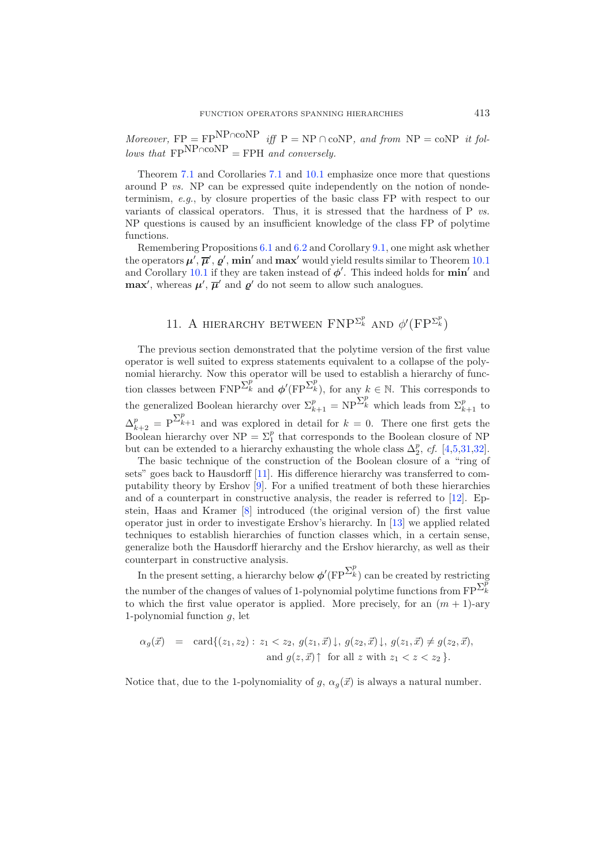*Moreover,*  $FP = FP<sup>NP\cap coNP</sup>$  *iff*  $P = NP \cap coNP$ *, and from*  $NP = coNP$  *it fol-* $\frac{d}{d\omega}$  *lows that*  $\frac{d}{d\omega}$  FPNP∩coNP = FPH *and conversely.* 

Theorem [7.1](#page-23-2) and Corollaries [7.1](#page-24-1) and [10.1](#page-33-0) emphasize once more that questions around P *vs.* NP can be expressed quite independently on the notion of nondeterminism, *e.g.*, by closure properties of the basic class FP with respect to our variants of classical operators. Thus, it is stressed that the hardness of P *vs.* NP questions is caused by an insufficient knowledge of the class FP of polytime functions.

Remembering Propositions [6.1](#page-19-1) and [6.2](#page-19-2) and Corollary [9.1,](#page-29-0) one might ask whether the operators  $\mu', \overline{\mu}', \varrho', \min'$  and  $\max'$  would yield results similar to Theorem [10.1](#page-32-0) and Corollary [10.1](#page-33-0) if they are taken instead of  $\phi'$ . This indeed holds for **min**' and **max'**, whereas  $\mu'$ ,  $\overline{\mu}'$  and  $\varrho'$  do not seem to allow such analogues.

# 11. A HIERARCHY BETWEEN  $\text{FNP}^{\Sigma_k^p}$  and  $\phi'(\text{FP}^{\Sigma_k^p})$

The previous section demonstrated that the polytime version of the first value operator is well suited to express statements equivalent to a collapse of the polynomial hierarchy. Now this operator will be used to establish a hierarchy of function classes between  $FNP^{\sum_{k}^{p}}$  and  $\phi'(FP^{\sum_{k}^{p}})$ , for any  $k \in \mathbb{N}$ . This corresponds to the generalized Boolean hierarchy over  $\Sigma_{k+1}^p = NP^{\sum_k^p}$  which leads from  $\Sigma_{k+1}^p$  to  $\Delta_{k+2}^p = P^{\sum_{k=1}^p}$  and was explored in detail for  $k = 0$ . There one first gets the Boolean biggardy over NP =  $\Sigma^p$  that germands to the Boolean electric of NP Boolean hierarchy over  $NP = \sum_{1}^{p}$  that corresponds to the Boolean closure of NP but can be extended to a hierarchy exhausting the whole class  $\Delta_2^p$ , *cf.* [\[4](#page-39-24)[,5](#page-39-25)[,31](#page-39-26)[,32\]](#page-39-20).

The basic technique of the construction of the Boolean closure of a "ring of sets" goes back to Hausdorff [\[11\]](#page-39-27). His difference hierarchy was transferred to computability theory by Ershov [\[9](#page-39-2)]. For a unified treatment of both these hierarchies and of a counterpart in constructive analysis, the reader is referred to [\[12\]](#page-39-5). Epstein, Haas and Kramer [\[8\]](#page-39-1) introduced (the original version of) the first value operator just in order to investigate Ershov's hierarchy. In [\[13](#page-39-0)] we applied related techniques to establish hierarchies of function classes which, in a certain sense, generalize both the Hausdorff hierarchy and the Ershov hierarchy, as well as their counterpart in constructive analysis.

In the present setting, a hierarchy below  $\phi'(\text{FP}^{\sum_{k}^{p}})$  can be created by restricting the number of the changes of values of 1-polynomial polytime functions from  $\text{FP}^{\sum_{k}^{p}}$ to which the first value operator is applied. More precisely, for an  $(m + 1)$ -ary 1-polynomial function  $q$ , let

$$
\alpha_g(\vec{x}) = \operatorname{card}\{(z_1, z_2) : z_1 < z_2, g(z_1, \vec{x}) \downarrow, g(z_2, \vec{x}) \downarrow, g(z_1, \vec{x}) \neq g(z_2, \vec{x}),
$$
  
and  $g(z, \vec{x}) \uparrow$  for all z with  $z_1 < z < z_2 \}$ .

Notice that, due to the 1-polynomiality of  $g$ ,  $\alpha_g(\vec{x})$  is always a natural number.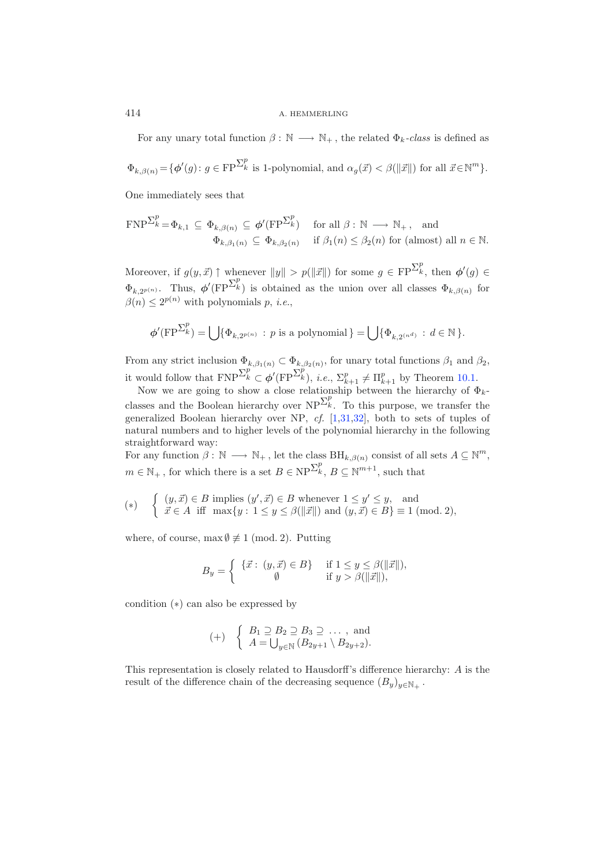For any unary total function  $\beta : \mathbb{N} \longrightarrow \mathbb{N}_+$ , the related  $\Phi_k$ -class is defined as

$$
\Phi_{k,\beta(n)} = \{ \phi'(g) \colon g \in \mathop{\text{FP}}\nolimits^{\sum_{k}^{p}} \text{ is 1-polynomial, and } \alpha_g(\vec{x}) < \beta(\|\vec{x}\|) \text{ for all } \vec{x} \in \mathbb{N}^m \}.
$$

One immediately sees that

$$
\text{FNP}^{\sum_{k}^{p}} = \Phi_{k,1} \subseteq \Phi_{k,\beta(n)} \subseteq \phi'(\text{FP}^{\sum_{k}^{p}}) \quad \text{for all } \beta : \mathbb{N} \longrightarrow \mathbb{N}_{+}, \text{ and}
$$

$$
\Phi_{k,\beta_1(n)} \subseteq \Phi_{k,\beta_2(n)} \quad \text{if } \beta_1(n) \leq \beta_2(n) \text{ for (almost) all } n \in \mathbb{N}.
$$

Moreover, if  $g(y, \vec{x}) \uparrow$  whenever  $||y|| > p(||\vec{x}||)$  for some  $g \in FP^{\sum_{k=1}^{p}$ , then  $\phi'(g) \in$  $\Phi_{k,2^{p(n)}}$ . Thus,  $\phi'(\text{FP}^{\sum_{k}^{p}})$  is obtained as the union over all classes  $\Phi_{k,\beta(n)}$  for  $\beta(n) \leq 2^{p(n)}$  with polynomials p, *i.e.*,

$$
\phi'(\operatorname{FP}^{\sum_{k}^{p}})=\bigcup\{\Phi_{k,2^{p(n)}}: p \text{ is a polynomial}\}=\bigcup\{\Phi_{k,2^{(n^d)}}: d\in\mathbb{N}\}.
$$

From any strict inclusion  $\Phi_{k,\beta_1(n)} \subset \Phi_{k,\beta_2(n)}$ , for unary total functions  $\beta_1$  and  $\beta_2$ , it would follow that  $\text{FNP}^{\sum_{k}^{p}} \subset \phi'(\text{FP}^{\sum_{k}^{p}}), i.e., \sum_{k+1}^{p} \neq \Pi_{k+1}^{p}$  by Theorem [10.1.](#page-32-0)<br>Now we are going to show a close relationship between the bierarchy of d

Now we are going to show a close relationship between the hierarchy of  $\Phi_k$ classes and the Boolean hierarchy over  $NP^{\sum_{k}^{p}}$ . To this purpose, we transfer the generalized Boolean hierarchy over NP, *cf.* [\[1](#page-38-2)[,31](#page-39-26)[,32\]](#page-39-20), both to sets of tuples of natural numbers and to higher levels of the polynomial hierarchy in the following straightforward way:

For any function  $\beta : \mathbb{N} \longrightarrow \mathbb{N}_+$ , let the class  $\text{BH}_{k,\beta(n)}$  consist of all sets  $A \subseteq \mathbb{N}^m$ ,  $m \in \mathbb{N}_+$ , for which there is a set  $B \in \text{NP}^{\sum_k^p}$ ,  $B \subseteq \mathbb{N}^{m+1}$ , such that

$$
(*) \quad \begin{cases} \begin{array}{ll} (y,\vec{x}) \in B \text{ implies } (y',\vec{x}) \in B \text{ whenever } 1 \leq y' \leq y, \text{ and } \\ \vec{x} \in A \text{ iff } \max\{y: 1 \leq y \leq \beta(\|\vec{x}\|) \text{ and } (y,\vec{x}) \in B\} \equiv 1 \text{ (mod. 2)}, \end{array} \end{cases}
$$

where, of course, max  $\emptyset \not\equiv 1 \pmod{2}$ . Putting

$$
B_y = \begin{cases} \{ \vec{x} : (y, \vec{x}) \in B \} & \text{if } 1 \le y \le \beta(\|\vec{x}\|), \\ \emptyset & \text{if } y > \beta(\|\vec{x}\|), \end{cases}
$$

condition (∗) can also be expressed by

$$
(+) \left\{\n\begin{array}{l}\nB_1 \supseteq B_2 \supseteq B_3 \supseteq \dots \text{ , and} \\
A = \bigcup_{y \in \mathbb{N}} (B_{2y+1} \setminus B_{2y+2}).\n\end{array}\n\right.
$$

This representation is closely related to Hausdorff's difference hierarchy: A is the result of the difference chain of the decreasing sequence  $(B_u)_{u \in \mathbb{N}_+}$ .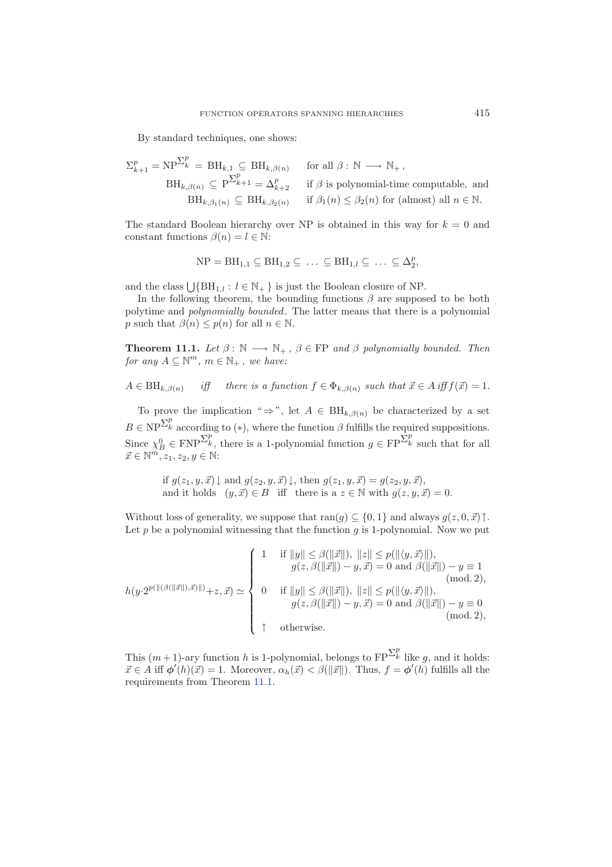By standard techniques, one shows:

$$
\Sigma_{k+1}^p = \text{NP}^{\sum_k^p} = \text{BH}_{k,1} \subseteq \text{BH}_{k,\beta(n)} \quad \text{for all } \beta : \mathbb{N} \longrightarrow \mathbb{N}_+,
$$
  
\n
$$
\text{BH}_{k,\beta(n)} \subseteq \text{P}^{\sum_{k+1}^p} = \Delta_{k+2}^p \quad \text{if } \beta \text{ is polynomial-time computable, and}
$$
  
\n
$$
\text{BH}_{k,\beta_1(n)} \subseteq \text{BH}_{k,\beta_2(n)} \quad \text{if } \beta_1(n) \leq \beta_2(n) \text{ for (almost) all } n \in \mathbb{N}.
$$

The standard Boolean hierarchy over NP is obtained in this way for  $k = 0$  and constant functions  $\beta(n) = l \in \mathbb{N}$ :

$$
NP = BH_{1,1} \subseteq BH_{1,2} \subseteq \ldots \subseteq BH_{1,l} \subseteq \ldots \subseteq \Delta_2^p,
$$

and the class  $\bigcup \{ BH_{1,l} : l \in \mathbb{N}_+ \}$  is just the Boolean closure of NP.

In the following theorem, the bounding functions  $\beta$  are supposed to be both polytime and *polynomially bounded*. The latter means that there is a polynomial p such that  $\beta(n) \leq p(n)$  for all  $n \in \mathbb{N}$ .

<span id="page-36-0"></span>**Theorem 11.1.** *Let*  $\beta : \mathbb{N} \longrightarrow \mathbb{N}_+$ ,  $\beta \in \mathbb{FP}$  *and*  $\beta$  *polynomially bounded. Then for any*  $A \subseteq \mathbb{N}^m$ ,  $m \in \mathbb{N}_+$ , we have:

 $A \in \text{BH}_{k,\beta(n)}$  *iff* there is a function  $f \in \Phi_{k,\beta(n)}$  such that  $\vec{x} \in A$  iff  $f(\vec{x}) = 1$ .

To prove the implication "  $\Rightarrow$ ", let  $A \in BH_{k,\beta(n)}$  be characterized by a set  $B \in NP^{\sum_{k}^{p}}$  according to (\*), where the function  $\beta$  fulfills the required suppositions. Since  $\chi_B^0 \in \text{FNP}^{\sum_k^p}$ , there is a 1-polynomial function  $g \in \text{FP}^{\sum_k^p}$  such that for all  $\vec{x} \in \mathbb{N}^m$ ,  $\chi_k \chi_k \in \mathbb{N}$ .  $\vec{x} \in \mathbb{N}^m, z_1, z_2, y \in \mathbb{N}$ :

if  $g(z_1, y, \vec{x}) \downarrow$  and  $g(z_2, y, \vec{x}) \downarrow$ , then  $g(z_1, y, \vec{x}) = g(z_2, y, \vec{x})$ , and it holds  $(y, \vec{x}) \in B$  iff there is a  $z \in \mathbb{N}$  with  $g(z, y, \vec{x}) = 0$ .

Without loss of generality, we suppose that  $ran(g) \subseteq \{0, 1\}$  and always  $g(z, 0, \vec{x})\uparrow$ . Let  $p$  be a polynomial witnessing that the function  $q$  is 1-polynomial. Now we put

$$
h(y \cdot 2^{p(\|(\beta(\|\vec{x}\|), \vec{x})\|)} + z, \vec{x}) \simeq \begin{cases} 1 & \text{if } \|y\| \le \beta(\|\vec{x}\|), \|z\| \le p(\|\langle y, \vec{x} \rangle\|), \\ g(z, \beta(\|\vec{x}\|) - y, \vec{x}) = 0 \text{ and } \beta(\|\vec{x}\|) - y \equiv 1 \\ 0 & \text{if } \|y\| \le \beta(\|\vec{x}\|), \|z\| \le p(\|\langle y, \vec{x} \rangle\|), \\ g(z, \beta(\|\vec{x}\|) - y, \vec{x}) = 0 \text{ and } \beta(\|\vec{x}\|) - y \equiv 0 \\ 0 & \text{if } \|y\| \le \beta(\|\vec{x}\|) - y, \vec{x}) = 0 \text{ and } \beta(\|\vec{x}\|) - y \equiv 0 \\ 0 & \text{if } \|y\| \le \beta(\|\vec{x}\|) - y, \vec{x}) = 0 \text{ and } \beta(\|\vec{x}\|) - y \equiv 0 \\ 0 & \text{if } \|y\| \le \beta(\|\vec{x}\|) - y, \vec{x}) = 0 \text{ and } \beta(\|\vec{x}\|) - y \equiv 0 \\ 0 & \text{if } \|y\| \le \beta(\|\vec{x}\|) - y, \vec{x}) = 0 \text{ and } \beta(\|\vec{x}\|) - y \equiv 0 \end{cases}
$$

This  $(m+1)$ -ary function h is 1-polynomial, belongs to  $\text{FP}^{\sum_{k}^{p}}$  like g, and it holds:  $\vec{x} \in A$  iff  $\phi'(h)(\vec{x}) = 1$ . Moreover,  $\alpha_h(\vec{x}) < \beta(||\vec{x}||)$ . Thus,  $f = \phi'(h)$  fulfills all the requirements from Theorem [11.1.](#page-36-0)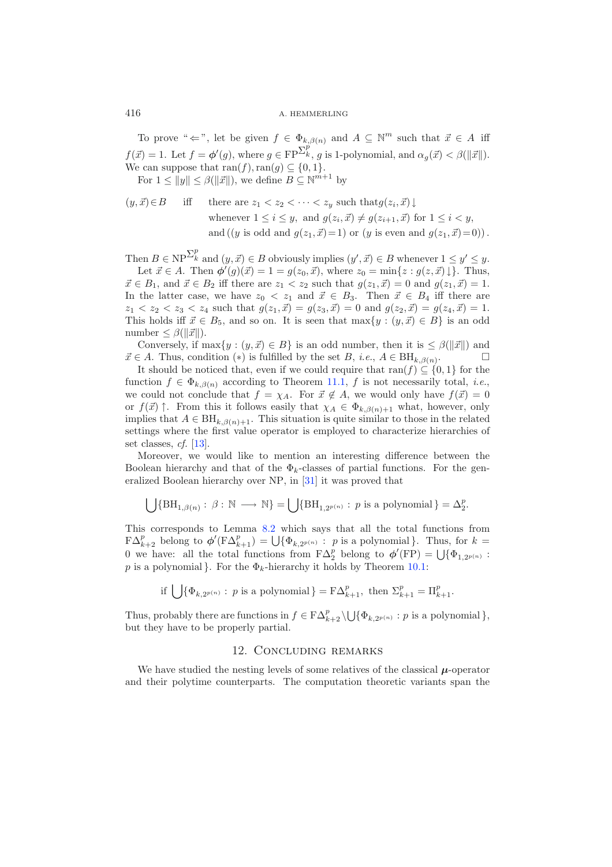To prove " $\Leftarrow$ ", let be given  $f \in \Phi_{k,\beta(n)}$  and  $A \subseteq \mathbb{N}^m$  such that  $\vec{x} \in A$  iff  $f(\vec{x}) = 1$ . Let  $f = \phi'(g)$ , where  $g \in FP^{\sum_{k=1}^{p} g}$  is 1-polynomial, and  $\alpha_g(\vec{x}) < \beta(||\vec{x}||)$ . We can suppose that  $\text{ran}(f), \text{ran}(g) \subseteq \{0, 1\}.$ 

For  $1 \le ||y|| \le \beta(||\vec{x}||)$ , we define  $B \subseteq \mathbb{N}^{m+1}$  by

$$
(y, \vec{x}) \in B \quad \text{iff} \quad \text{there are } z_1 < z_2 < \cdots < z_y \text{ such that } g(z_i, \vec{x}) \downarrow
$$
\n
$$
\text{whenever } 1 \leq i \leq y, \text{ and } g(z_i, \vec{x}) \neq g(z_{i+1}, \vec{x}) \text{ for } 1 \leq i < y,
$$
\n
$$
\text{and } ((y \text{ is odd and } g(z_1, \vec{x}) = 1) \text{ or } (y \text{ is even and } g(z_1, \vec{x}) = 0)).
$$

Then  $B \in \text{NP}^{\Sigma_k^p}$  and  $(y, \vec{x}) \in B$  obviously implies  $(y', \vec{x}) \in B$  whenever  $1 \le y' \le y$ . Let  $\vec{x} \in A$ . Then  $\phi'(g)(\vec{x}) = 1 = g(z_0, \vec{x})$ , where  $z_0 = \min\{z : g(z, \vec{x})\}\$ . Thus,  $\vec{x} \in B_1$ , and  $\vec{x} \in B_2$  iff there are  $z_1 < z_2$  such that  $g(z_1, \vec{x}) = 0$  and  $g(z_1, \vec{x}) = 1$ . In the latter case, we have  $z_0 < z_1$  and  $\vec{x} \in B_3$ . Then  $\vec{x} \in B_4$  iff there are  $z_1 < z_2 < z_3 < z_4$  such that  $g(z_1, \vec{x}) = g(z_3, \vec{x}) = 0$  and  $g(z_2, \vec{x}) = g(z_4, \vec{x}) = 1$ . This holds iff  $\vec{x} \in B_5$ , and so on. It is seen that  $\max\{y : (y, \vec{x}) \in B\}$  is an odd number  $\leq \beta(\|\vec{x}\|)$ .

Conversely, if  $\max\{y : (y, \vec{x}) \in B\}$  is an odd number, then it is  $\leq \beta(||\vec{x}||)$  and  $\vec{x} \in A$ . Thus, condition (\*) is fulfilled by the set B, *i.e.*,  $A \in \text{BH}_{k,\beta(n)}$ .  $\square$ <br>It should be noticed that, even if we sould negative that  $\text{res}(f) \subseteq [0, 1]$  for the

It should be noticed that, even if we could require that ran(f)  $\subseteq$  {0, 1} for the function  $f \in \Phi_{k,\beta(n)}$  according to Theorem [11.1,](#page-36-0) f is not necessarily total, *i.e.*, we could not conclude that  $f = \chi_A$ . For  $\vec{x} \notin A$ , we would only have  $f(\vec{x}) = 0$ <br>on  $f(\vec{x}) \uparrow$ . From this it follows easily that  $\omega \in \Phi$ , which have easily or  $f(\vec{x})$   $\uparrow$ . From this it follows easily that  $\chi_A \in \Phi_{k,\beta(n)+1}$  what, however, only implies that  $A \subset \text{BH}$ . implies that  $A \in \text{BH}_{k,\beta(n)+1}$ . This situation is quite similar to those in the related settings where the first value operator is employed to characterize hierarchies of set classes, *cf.* [\[13\]](#page-39-0).

Moreover, we would like to mention an interesting difference between the Boolean hierarchy and that of the  $\Phi_k$ -classes of partial functions. For the generalized Boolean hierarchy over NP, in [\[31](#page-39-26)] it was proved that

$$
\bigcup \{ \mathrm{BH}_{1, \beta(n)}: \, \beta: \, \mathbb{N} \longrightarrow \mathbb{N} \} = \bigcup \{ \mathrm{BH}_{1, 2^{p(n)}}: \, p \text{ is a polynomial} \} = \Delta_2^p.
$$

This corresponds to Lemma [8.2](#page-25-0) which says that all the total functions from  $F\Delta_{k+2}^p$  belong to  $\phi'(F\Delta_{k+1}^p) = \bigcup \{\Phi_{k,2^{p(n)}} : p \text{ is a polynomial}\}\.$  Thus, for  $k = 0$  we have all the total functions from  $F\Delta_p^p$  belong to  $\phi'(FD) = \Pi(\Phi_0, \Phi_1)$ 0 we have: all the total functions from  $\mathbf{F}\Delta_2^p$  belong to  $\phi'(\mathbf{FP}) = \bigcup{\Phi_{1,2^{p(n)}}}:$ <br>*n* is a polynomial. For the  $\Phi$ , biasarchy it holds by Theorem 10.1. p is a polynomial }. For the  $\Phi_k$ -hierarchy it holds by Theorem [10.1:](#page-32-0)

$$
\text{if } \bigcup\{\Phi_{k,2^{p(n)}}: \ p \text{ is a polynomial}\} = \mathcal{F} \Delta_{k+1}^p, \text{ then } \Sigma_{k+1}^p = \Pi_{k+1}^p.
$$

Thus, probably there are functions in  $f \in F\Delta_{k+2}^p \setminus \bigcup \{\Phi_{k,2^{p(n)}} : p \text{ is a polynomial}\},$ but they have to be properly partial.

### 12. Concluding remarks

We have studied the nesting levels of some relatives of the classical  $\mu$ -operator and their polytime counterparts. The computation theoretic variants span the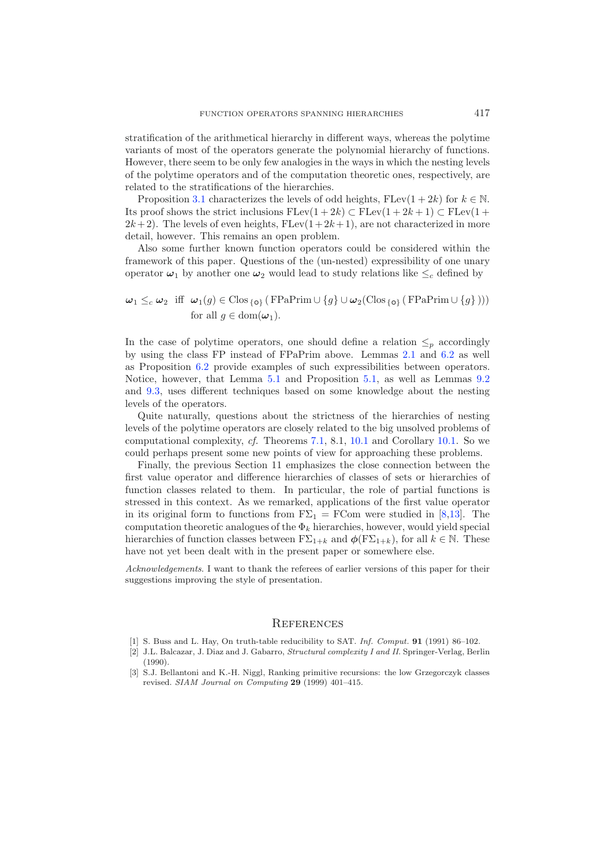stratification of the arithmetical hierarchy in different ways, whereas the polytime variants of most of the operators generate the polynomial hierarchy of functions. However, there seem to be only few analogies in the ways in which the nesting levels of the polytime operators and of the computation theoretic ones, respectively, are related to the stratifications of the hierarchies.

Proposition [3.1](#page-7-0) characterizes the levels of odd heights,  $FLev(1+2k)$  for  $k \in \mathbb{N}$ . Its proof shows the strict inclusions  $\text{FLev}(1+2k) \subset \text{FLev}(1+2k+1) \subset \text{FLev}(1+2k+1)$  $2k+2$ . The levels of even heights,  $F Lev(1+2k+1)$ , are not characterized in more detail, however. This remains an open problem.

Also some further known function operators could be considered within the framework of this paper. Questions of the (un-nested) expressibility of one unary operator  $\omega_1$  by another one  $\omega_2$  would lead to study relations like  $\leq_c$  defined by

## $\omega_1 \leq_c \omega_2$  iff  $\omega_1(g) \in \text{Clos}_{\{o\}}$  (FPaPrim  $\cup \{g\} \cup \omega_2(\text{Clos}_{\{o\}} (\text{FPaPrim} \cup \{g\})))$ for all  $g \in \text{dom}(\boldsymbol{\omega}_1)$ .

In the case of polytime operators, one should define a relation  $\leq_p$  accordingly by using the class FP instead of FPaPrim above. Lemmas [2.1](#page-4-1) and [6.2](#page-19-0) as well as Proposition [6.2](#page-19-2) provide examples of such expressibilities between operators. Notice, however, that Lemma [5.1](#page-12-0) and Proposition [5.1,](#page-12-1) as well as Lemmas [9.2](#page-28-0) and [9.3,](#page-30-0) uses different techniques based on some knowledge about the nesting levels of the operators.

Quite naturally, questions about the strictness of the hierarchies of nesting levels of the polytime operators are closely related to the big unsolved problems of computational complexity, *cf.* Theorems [7.1,](#page-23-2) 8.1, [10.1](#page-32-0) and Corollary [10.1.](#page-33-0) So we could perhaps present some new points of view for approaching these problems.

Finally, the previous Section 11 emphasizes the close connection between the first value operator and difference hierarchies of classes of sets or hierarchies of function classes related to them. In particular, the role of partial functions is stressed in this context. As we remarked, applications of the first value operator in its original form to functions from  $F\Sigma_1 = FCom$  were studied in [\[8](#page-39-1)[,13\]](#page-39-0). The computation theoretic analogues of the  $\Phi_k$  hierarchies, however, would yield special hierarchies of function classes between  $F\Sigma_{1+k}$  and  $\phi(F\Sigma_{1+k})$ , for all  $k \in \mathbb{N}$ . These have not yet been dealt with in the present paper or somewhere else.

*Acknowledgements*. I want to thank the referees of earlier versions of this paper for their suggestions improving the style of presentation.

#### **REFERENCES**

- <span id="page-38-2"></span>[1] S. Buss and L. Hay, On truth-table reducibility to SAT. Inf. Comput. **91** (1991) 86–102.
- <span id="page-38-1"></span>[2] J.L. Balcazar, J. Diaz and J. Gabarro, Structural complexity I and II. Springer-Verlag, Berlin (1990).
- <span id="page-38-0"></span>[3] S.J. Bellantoni and K.-H. Niggl, Ranking primitive recursions: the low Grzegorczyk classes revised. SIAM Journal on Computing **29** (1999) 401–415.